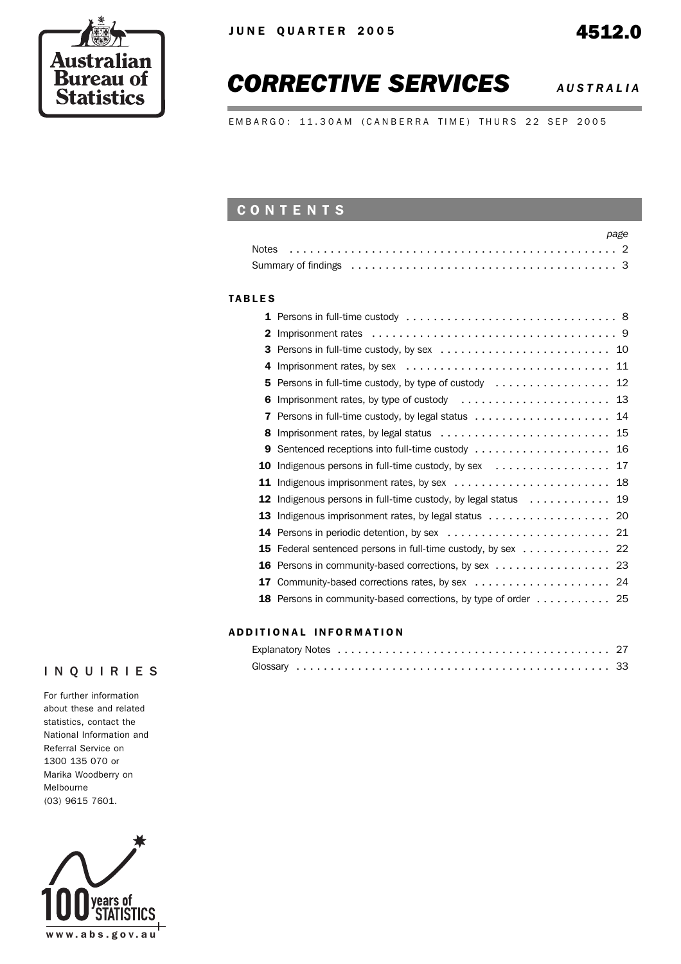

# *CORRECTIVE SERVICES AUSTRALIA*

EMBARGO: 11.30AM (CANBERRA TIME) THURS 22 SEP 2005

# CONTENTS

|               |              |                                                                                                                                                                                                                                | page |
|---------------|--------------|--------------------------------------------------------------------------------------------------------------------------------------------------------------------------------------------------------------------------------|------|
|               | <b>Notes</b> |                                                                                                                                                                                                                                |      |
|               |              | Summary of findings enterpreteration of the contract of the subset of the subset of the subset of the subset of the subset of the subset of the subset of the subset of the subset of the subset of the subset of the subset o |      |
|               |              |                                                                                                                                                                                                                                |      |
| <b>TABLES</b> |              |                                                                                                                                                                                                                                |      |
|               |              |                                                                                                                                                                                                                                |      |
|               | 2            |                                                                                                                                                                                                                                |      |
|               | 3            |                                                                                                                                                                                                                                |      |
|               | 4            |                                                                                                                                                                                                                                |      |
|               | 5            |                                                                                                                                                                                                                                |      |
|               | 6            |                                                                                                                                                                                                                                |      |
|               | 7            |                                                                                                                                                                                                                                |      |
|               | 8            |                                                                                                                                                                                                                                |      |
|               | 9            |                                                                                                                                                                                                                                |      |
|               | 10           | Indigenous persons in full-time custody, by sex 17                                                                                                                                                                             |      |
|               |              |                                                                                                                                                                                                                                |      |
|               | 12           | Indigenous persons in full-time custody, by legal status $\ldots \ldots \ldots$                                                                                                                                                |      |
|               |              |                                                                                                                                                                                                                                |      |
|               |              |                                                                                                                                                                                                                                |      |
|               | 15           | Federal sentenced persons in full-time custody, by sex 22                                                                                                                                                                      |      |
|               | 16           | Persons in community-based corrections, by sex 23                                                                                                                                                                              |      |
|               | 17           |                                                                                                                                                                                                                                |      |
|               | 18           | Persons in community-based corrections, by type of order 25                                                                                                                                                                    |      |
|               |              |                                                                                                                                                                                                                                |      |

#### ADD ITIONAL INFORMATION

#### INQUIRIES

For further information about these and related statistics, contact the National Information and Referral Service on 1300 135 070 or Marika Woodberry on Melbourne (03) 9615 7601.

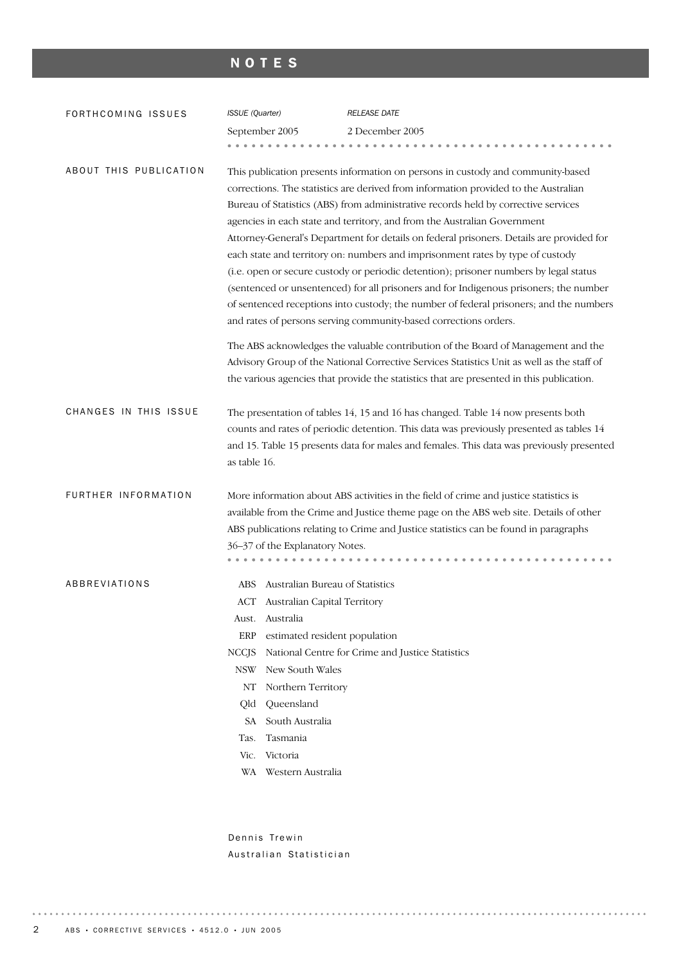# NOTES

| FORTHCOMING ISSUES     | ISSUE (Quarter)                                                                                                                                                                                                                                                                                                                                                                                                                                                                                                                                                                                                                                                                                                                                                                                                                                                                                                                                             | <b>RELEASE DATE</b>                                                                                                                                                                                                                                                    |  |  |  |  |
|------------------------|-------------------------------------------------------------------------------------------------------------------------------------------------------------------------------------------------------------------------------------------------------------------------------------------------------------------------------------------------------------------------------------------------------------------------------------------------------------------------------------------------------------------------------------------------------------------------------------------------------------------------------------------------------------------------------------------------------------------------------------------------------------------------------------------------------------------------------------------------------------------------------------------------------------------------------------------------------------|------------------------------------------------------------------------------------------------------------------------------------------------------------------------------------------------------------------------------------------------------------------------|--|--|--|--|
|                        | September 2005                                                                                                                                                                                                                                                                                                                                                                                                                                                                                                                                                                                                                                                                                                                                                                                                                                                                                                                                              | 2 December 2005                                                                                                                                                                                                                                                        |  |  |  |  |
|                        |                                                                                                                                                                                                                                                                                                                                                                                                                                                                                                                                                                                                                                                                                                                                                                                                                                                                                                                                                             |                                                                                                                                                                                                                                                                        |  |  |  |  |
| ABOUT THIS PUBLICATION | This publication presents information on persons in custody and community-based<br>corrections. The statistics are derived from information provided to the Australian<br>Bureau of Statistics (ABS) from administrative records held by corrective services<br>agencies in each state and territory, and from the Australian Government<br>Attorney-General's Department for details on federal prisoners. Details are provided for<br>each state and territory on: numbers and imprisonment rates by type of custody<br>(i.e. open or secure custody or periodic detention); prisoner numbers by legal status<br>(sentenced or unsentenced) for all prisoners and for Indigenous prisoners; the number<br>of sentenced receptions into custody; the number of federal prisoners; and the numbers<br>and rates of persons serving community-based corrections orders.<br>The ABS acknowledges the valuable contribution of the Board of Management and the |                                                                                                                                                                                                                                                                        |  |  |  |  |
|                        |                                                                                                                                                                                                                                                                                                                                                                                                                                                                                                                                                                                                                                                                                                                                                                                                                                                                                                                                                             | Advisory Group of the National Corrective Services Statistics Unit as well as the staff of<br>the various agencies that provide the statistics that are presented in this publication.                                                                                 |  |  |  |  |
| CHANGES IN THIS ISSUE  | The presentation of tables 14, 15 and 16 has changed. Table 14 now presents both<br>counts and rates of periodic detention. This data was previously presented as tables 14<br>and 15. Table 15 presents data for males and females. This data was previously presented<br>as table 16.                                                                                                                                                                                                                                                                                                                                                                                                                                                                                                                                                                                                                                                                     |                                                                                                                                                                                                                                                                        |  |  |  |  |
| FURTHER INFORMATION    | 36-37 of the Explanatory Notes.                                                                                                                                                                                                                                                                                                                                                                                                                                                                                                                                                                                                                                                                                                                                                                                                                                                                                                                             | More information about ABS activities in the field of crime and justice statistics is<br>available from the Crime and Justice theme page on the ABS web site. Details of other<br>ABS publications relating to Crime and Justice statistics can be found in paragraphs |  |  |  |  |
| ABBREVIATIONS          | ABS<br>Australia<br>Aust.<br>ERP<br>NCCIS                                                                                                                                                                                                                                                                                                                                                                                                                                                                                                                                                                                                                                                                                                                                                                                                                                                                                                                   | Australian Bureau of Statistics<br><b>ACT</b> Australian Capital Territory<br>estimated resident population<br>National Centre for Crime and Justice Statistics                                                                                                        |  |  |  |  |
|                        | <b>NSW</b><br>NΤ<br>Queensland<br>Old                                                                                                                                                                                                                                                                                                                                                                                                                                                                                                                                                                                                                                                                                                                                                                                                                                                                                                                       | New South Wales<br>Northern Territory                                                                                                                                                                                                                                  |  |  |  |  |
|                        | SA<br>South Australia<br>Tasmania<br>Tas.                                                                                                                                                                                                                                                                                                                                                                                                                                                                                                                                                                                                                                                                                                                                                                                                                                                                                                                   |                                                                                                                                                                                                                                                                        |  |  |  |  |
|                        | Victoria<br>Vic.                                                                                                                                                                                                                                                                                                                                                                                                                                                                                                                                                                                                                                                                                                                                                                                                                                                                                                                                            |                                                                                                                                                                                                                                                                        |  |  |  |  |
|                        | WA Western Australia                                                                                                                                                                                                                                                                                                                                                                                                                                                                                                                                                                                                                                                                                                                                                                                                                                                                                                                                        |                                                                                                                                                                                                                                                                        |  |  |  |  |
|                        |                                                                                                                                                                                                                                                                                                                                                                                                                                                                                                                                                                                                                                                                                                                                                                                                                                                                                                                                                             |                                                                                                                                                                                                                                                                        |  |  |  |  |

Dennis Trewin Australian Statistician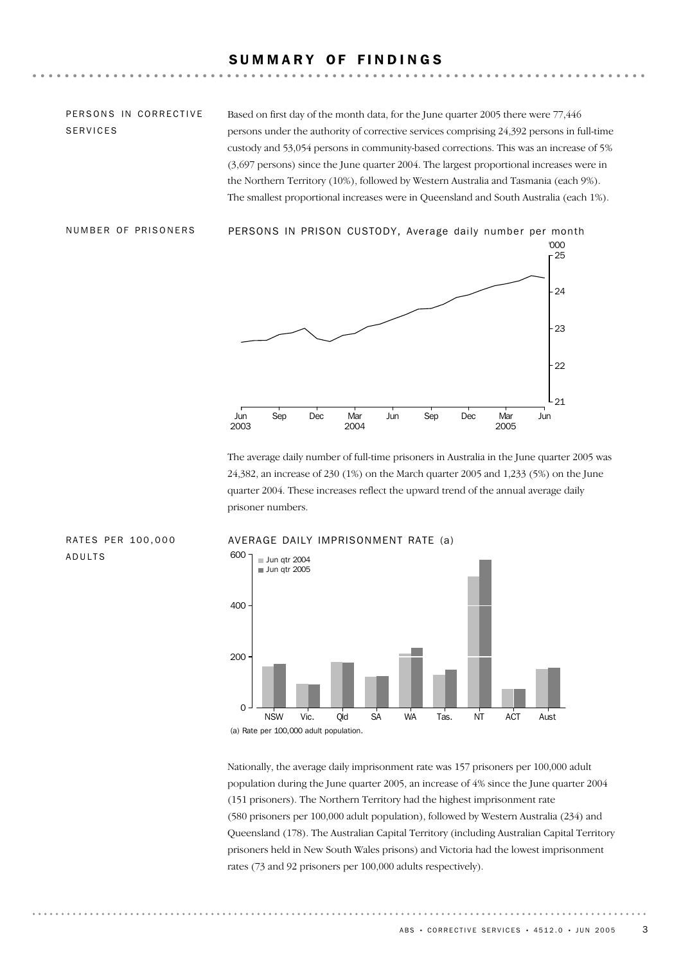#### SUMMARY OF FINDINGS

PERSONS IN CORRECTIVE SERVICES

Based on first day of the month data, for the June quarter 2005 there were 77,446 persons under the authority of corrective services comprising 24,392 persons in full-time custody and 53,054 persons in community-based corrections. This was an increase of 5% (3,697 persons) since the June quarter 2004. The largest proportional increases were in the Northern Territory (10%), followed by Western Australia and Tasmania (each 9%). The smallest proportional increases were in Queensland and South Australia (each 1%).

ADULTS

'000 NUMBER OF PRISONERS PERSONS IN PRISON CUSTODY, Average daily number per month



The average daily number of full-time prisoners in Australia in the June quarter 2005 was 24,382, an increase of 230 (1%) on the March quarter 2005 and 1,233 (5%) on the June quarter 2004. These increases reflect the upward trend of the annual average daily prisoner numbers.



#### RATES PER 100,000 AVERAGE DAILY IMPRISONMENT RATE (a)

Nationally, the average daily imprisonment rate was 157 prisoners per 100,000 adult population during the June quarter 2005, an increase of 4% since the June quarter 2004 (151 prisoners). The Northern Territory had the highest imprisonment rate (580 prisoners per 100,000 adult population), followed by Western Australia (234) and Queensland (178). The Australian Capital Territory (including Australian Capital Territory prisoners held in New South Wales prisons) and Victoria had the lowest imprisonment rates (73 and 92 prisoners per 100,000 adults respectively).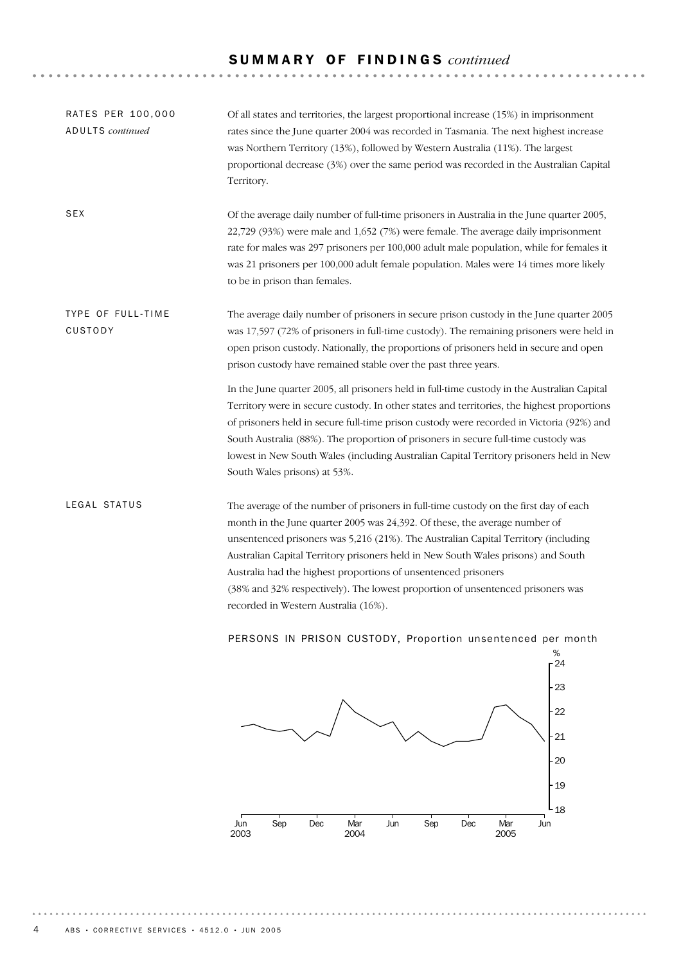| RATES PER 100,000<br>ADULTS continued | Of all states and territories, the largest proportional increase (15%) in imprisonment<br>rates since the June quarter 2004 was recorded in Tasmania. The next highest increase<br>was Northern Territory (13%), followed by Western Australia (11%). The largest<br>proportional decrease (3%) over the same period was recorded in the Australian Capital<br>Territory.                                                                                                                                                                 |
|---------------------------------------|-------------------------------------------------------------------------------------------------------------------------------------------------------------------------------------------------------------------------------------------------------------------------------------------------------------------------------------------------------------------------------------------------------------------------------------------------------------------------------------------------------------------------------------------|
| <b>SEX</b>                            | Of the average daily number of full-time prisoners in Australia in the June quarter 2005,<br>22,729 (93%) were male and 1,652 (7%) were female. The average daily imprisonment<br>rate for males was 297 prisoners per 100,000 adult male population, while for females it<br>was 21 prisoners per 100,000 adult female population. Males were 14 times more likely<br>to be in prison than females.                                                                                                                                      |
| <b>TYPE OF FULL-TIME</b><br>CUSTODY   | The average daily number of prisoners in secure prison custody in the June quarter 2005<br>was 17,597 (72% of prisoners in full-time custody). The remaining prisoners were held in<br>open prison custody. Nationally, the proportions of prisoners held in secure and open<br>prison custody have remained stable over the past three years.                                                                                                                                                                                            |
|                                       | In the June quarter 2005, all prisoners held in full-time custody in the Australian Capital<br>Territory were in secure custody. In other states and territories, the highest proportions<br>of prisoners held in secure full-time prison custody were recorded in Victoria (92%) and<br>South Australia (88%). The proportion of prisoners in secure full-time custody was<br>lowest in New South Wales (including Australian Capital Territory prisoners held in New<br>South Wales prisons) at 53%.                                    |
| LEGAL STATUS                          | The average of the number of prisoners in full-time custody on the first day of each<br>month in the June quarter 2005 was 24,392. Of these, the average number of<br>unsentenced prisoners was 5,216 (21%). The Australian Capital Territory (including<br>Australian Capital Territory prisoners held in New South Wales prisons) and South<br>Australia had the highest proportions of unsentenced prisoners<br>(38% and 32% respectively). The lowest proportion of unsentenced prisoners was<br>recorded in Western Australia (16%). |
|                                       | PERSONS IN PRISON CUSTODY, Proportion unsentenced per month                                                                                                                                                                                                                                                                                                                                                                                                                                                                               |



. . . . . . . . . . . . . . . . . . . .

 $\sim$   $\sim$ 

 $-0.000$ 

 $\sim$   $\sim$ 

. . . . . . . . . . . . . . . .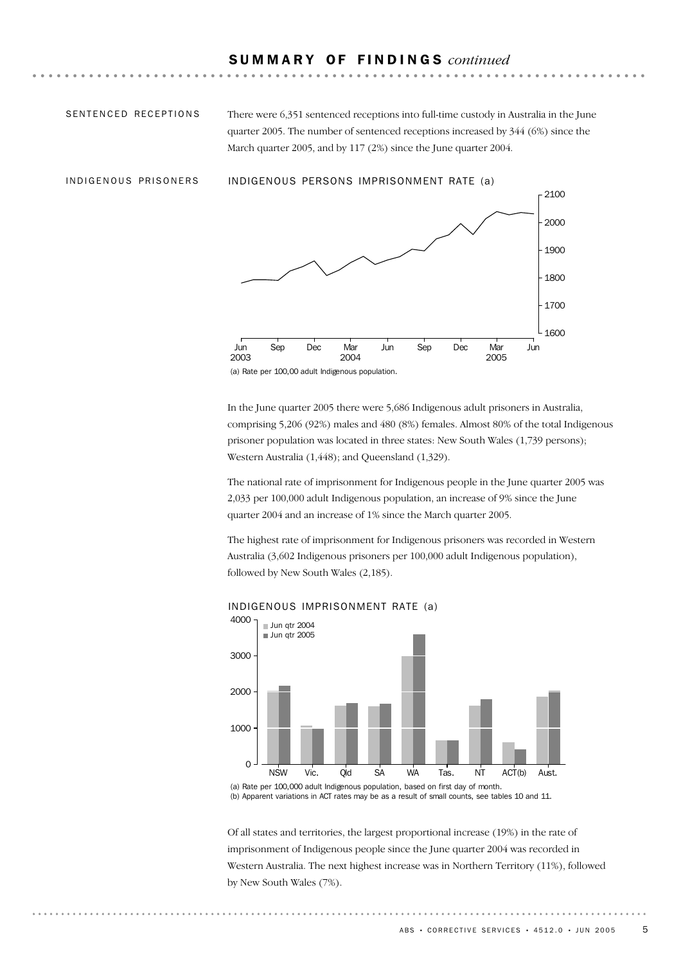#### SENTENCED RECEPTIONS

There were 6,351 sentenced receptions into full-time custody in Australia in the June quarter 2005. The number of sentenced receptions increased by 344 (6%) since the March quarter 2005, and by 117 (2%) since the June quarter 2004.



In the June quarter 2005 there were 5,686 Indigenous adult prisoners in Australia, comprising 5,206 (92%) males and 480 (8%) females. Almost 80% of the total Indigenous prisoner population was located in three states: New South Wales (1,739 persons); Western Australia (1,448); and Queensland (1,329).

The national rate of imprisonment for Indigenous people in the June quarter 2005 was 2,033 per 100,000 adult Indigenous population, an increase of 9% since the June quarter 2004 and an increase of 1% since the March quarter 2005.

The highest rate of imprisonment for Indigenous prisoners was recorded in Western Australia (3,602 Indigenous prisoners per 100,000 adult Indigenous population), followed by New South Wales (2,185).



INDIGENOUS IMPRISONMENT RATE (a)

(a) Rate per 100,000 adult Indigenous population, based on first day of month. (b) Apparent variations in ACT rates may be as a result of small counts, see tables 10 and 11.

Of all states and territories, the largest proportional increase (19%) in the rate of imprisonment of Indigenous people since the June quarter 2004 was recorded in Western Australia. The next highest increase was in Northern Territory (11%), followed by New South Wales (7%).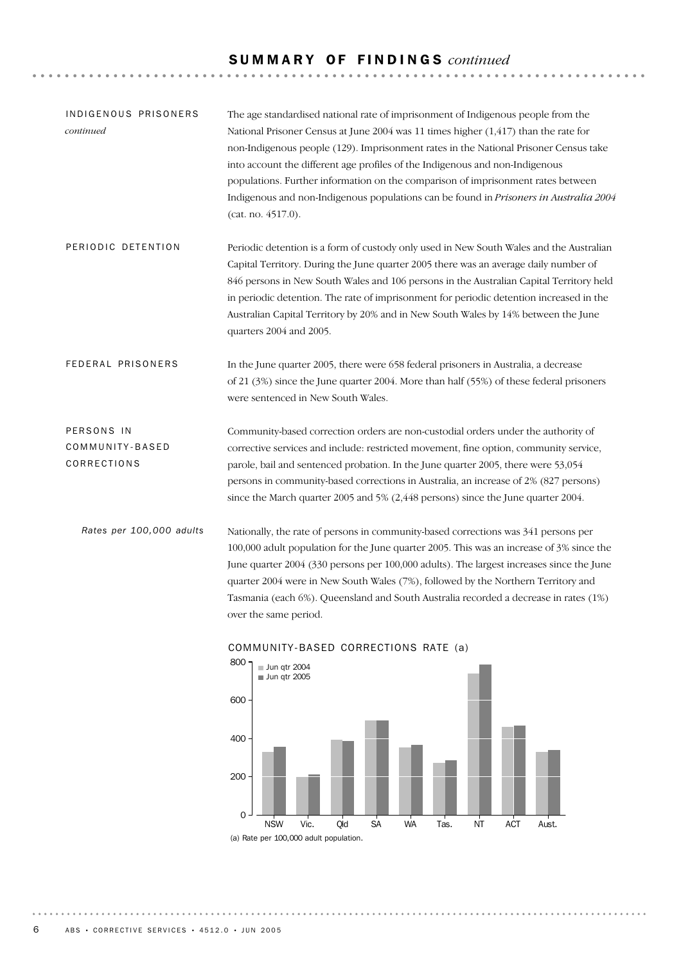| INDIGENOUS PRISONERS<br>continued            | The age standardised national rate of imprisonment of Indigenous people from the<br>National Prisoner Census at June 2004 was 11 times higher $(1, 417)$ than the rate for<br>non-Indigenous people (129). Imprisonment rates in the National Prisoner Census take<br>into account the different age profiles of the Indigenous and non-Indigenous<br>populations. Further information on the comparison of imprisonment rates between<br>Indigenous and non-Indigenous populations can be found in Prisoners in Australia 2004<br>(cat. no. 4517.0). |
|----------------------------------------------|-------------------------------------------------------------------------------------------------------------------------------------------------------------------------------------------------------------------------------------------------------------------------------------------------------------------------------------------------------------------------------------------------------------------------------------------------------------------------------------------------------------------------------------------------------|
| PERIODIC DETENTION                           | Periodic detention is a form of custody only used in New South Wales and the Australian<br>Capital Territory. During the June quarter 2005 there was an average daily number of<br>846 persons in New South Wales and 106 persons in the Australian Capital Territory held<br>in periodic detention. The rate of imprisonment for periodic detention increased in the<br>Australian Capital Territory by 20% and in New South Wales by 14% between the June<br>quarters 2004 and 2005.                                                                |
| FEDERAL PRISONERS                            | In the June quarter 2005, there were 658 federal prisoners in Australia, a decrease<br>of 21 (3%) since the June quarter 2004. More than half (55%) of these federal prisoners<br>were sentenced in New South Wales.                                                                                                                                                                                                                                                                                                                                  |
| PERSONS IN<br>COMMUNITY-BASED<br>CORRECTIONS | Community-based correction orders are non-custodial orders under the authority of<br>corrective services and include: restricted movement, fine option, community service,<br>parole, bail and sentenced probation. In the June quarter 2005, there were 53,054<br>persons in community-based corrections in Australia, an increase of 2% (827 persons)<br>since the March quarter 2005 and 5% (2,448 persons) since the June quarter 2004.                                                                                                           |
| Rates per 100,000 adults                     | Nationally, the rate of persons in community-based corrections was 341 persons per<br>100,000 adult population for the June quarter 2005. This was an increase of 3% since the<br>June quarter 2004 (330 persons per 100,000 adults). The largest increases since the June<br>quarter 2004 were in New South Wales (7%), followed by the Northern Territory and<br>Tasmania (each 6%). Queensland and South Australia recorded a decrease in rates (1%)<br>over the same period.                                                                      |



. . . . . . . . . .

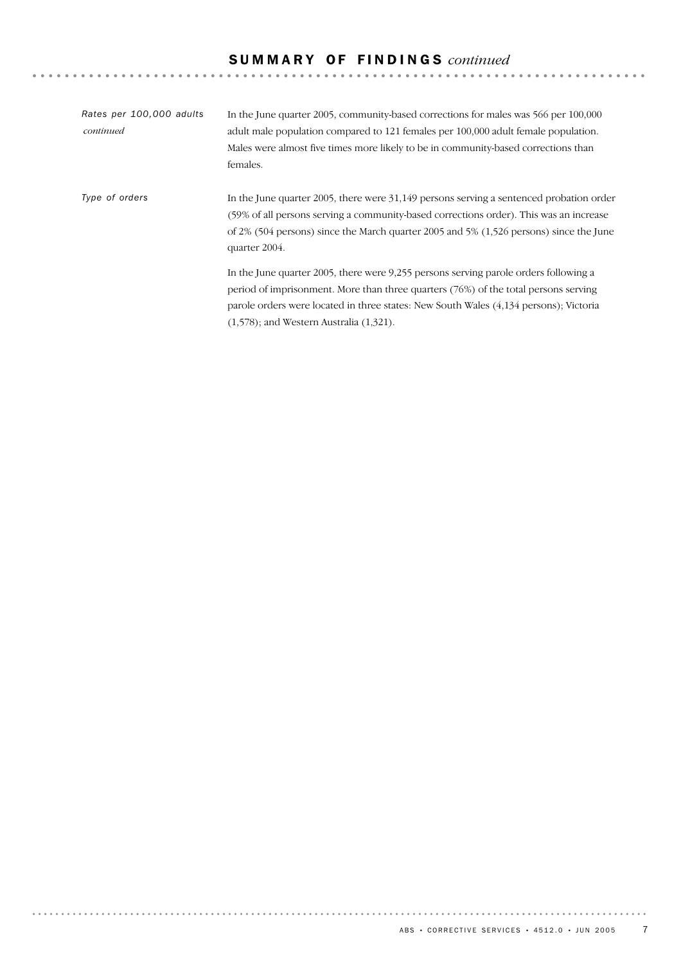| Rates per 100,000 adults<br>continued | In the June quarter 2005, community-based corrections for males was 566 per 100,000<br>adult male population compared to 121 females per 100,000 adult female population.<br>Males were almost five times more likely to be in community-based corrections than<br>females.                                           |
|---------------------------------------|-----------------------------------------------------------------------------------------------------------------------------------------------------------------------------------------------------------------------------------------------------------------------------------------------------------------------|
| Type of orders                        | In the June quarter 2005, there were 31,149 persons serving a sentenced probation order<br>(59% of all persons serving a community-based corrections order). This was an increase<br>of 2% (504 persons) since the March quarter 2005 and 5% (1,526 persons) since the June<br>quarter 2004.                          |
|                                       | In the June quarter 2005, there were 9,255 persons serving parole orders following a<br>period of imprisonment. More than three quarters (76%) of the total persons serving<br>parole orders were located in three states. New South Wales (4,134 persons); Victoria<br>$(1,578)$ ; and Western Australia $(1,321)$ . |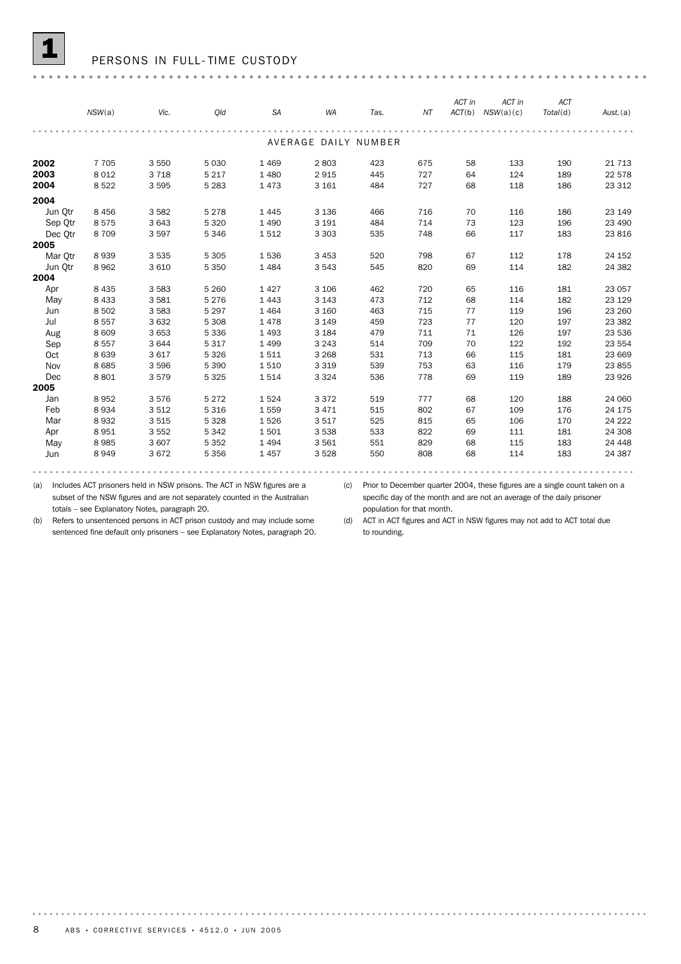#### PERSONS IN FULL-TIME CUSTODY

|                                               | NSW(a)                                | Vic.                                     | Old                                                 | <b>SA</b>                               | <b>WA</b>                                  | Tas.                            | NT                              | ACT in<br>ACT(b)           | ACT in<br>NSW(a)(c)             | <b>ACT</b><br>Total(d)          | Aust.(a)                                         |
|-----------------------------------------------|---------------------------------------|------------------------------------------|-----------------------------------------------------|-----------------------------------------|--------------------------------------------|---------------------------------|---------------------------------|----------------------------|---------------------------------|---------------------------------|--------------------------------------------------|
|                                               |                                       |                                          |                                                     |                                         | AVERAGE DAILY NUMBER                       |                                 |                                 |                            |                                 |                                 |                                                  |
| 2002<br>2003<br>2004                          | 7 7 0 5<br>8 0 1 2<br>8522            | 3550<br>3718<br>3595                     | 5 0 3 0<br>5 2 1 7<br>5 2 8 3                       | 1 4 6 9<br>1 4 8 0<br>1473              | 2803<br>2915<br>3 1 6 1                    | 423<br>445<br>484               | 675<br>727<br>727               | 58<br>64<br>68             | 133<br>124<br>118               | 190<br>189<br>186               | 21 7 1 3<br>22 578<br>23 312                     |
| 2004<br>Jun Qtr<br>Sep Qtr<br>Dec Qtr<br>2005 | 8 4 5 6<br>8575<br>8709               | 3582<br>3 6 4 3<br>3597                  | 5 2 7 8<br>5 3 2 0<br>5 3 4 6                       | 1 4 4 5<br>1 4 9 0<br>1512              | 3 1 3 6<br>3 1 9 1<br>3 3 0 3              | 466<br>484<br>535               | 716<br>714<br>748               | 70<br>73<br>66             | 116<br>123<br>117               | 186<br>196<br>183               | 23 149<br>23 490<br>23 816                       |
| Mar Otr<br>Jun Qtr<br>2004                    | 8939<br>8962                          | 3 5 3 5<br>3 6 1 0                       | 5 3 0 5<br>5 3 5 0                                  | 1536<br>1 4 8 4                         | 3 4 5 3<br>3 5 4 3                         | 520<br>545                      | 798<br>820                      | 67<br>69                   | 112<br>114                      | 178<br>182                      | 24 152<br>24 3 82                                |
| Apr<br>May<br>Jun<br>Jul                      | 8 4 3 5<br>8 4 3 3<br>8 5 0 2<br>8557 | 3583<br>3581<br>3 5 8 3<br>3 6 3 2       | 5 2 6 0<br>5 2 7 6<br>5 2 9 7<br>5 3 0 8            | 1427<br>1 4 4 3<br>1 4 6 4<br>1478      | 3 1 0 6<br>3 1 4 3<br>3 1 6 0<br>3 1 4 9   | 462<br>473<br>463<br>459        | 720<br>712<br>715<br>723        | 65<br>68<br>77<br>77       | 116<br>114<br>119<br>120        | 181<br>182<br>196<br>197        | 23 057<br>23 1 29<br>23 260<br>23 3 8 2          |
| Aug<br>Sep<br>Oct<br>Nov                      | 8 6 0 9<br>8557<br>8639<br>8685       | 3 6 5 3<br>3644<br>3617<br>3596          | 5 3 3 6<br>5 3 1 7<br>5 3 2 6<br>5 3 9 0            | 1 4 9 3<br>1 4 9 9<br>1511<br>1510      | 3 1 8 4<br>3 2 4 3<br>3 2 6 8<br>3 3 1 9   | 479<br>514<br>531<br>539        | 711<br>709<br>713<br>753        | 71<br>70<br>66<br>63       | 126<br>122<br>115<br>116        | 197<br>192<br>181<br>179        | 23 536<br>23 554<br>23 669<br>23 855             |
| Dec<br>2005<br>Jan                            | 8 8 0 1<br>8952                       | 3579<br>3576                             | 5 3 2 5<br>5 2 7 2                                  | 1514<br>1524                            | 3 3 2 4<br>3 3 7 2                         | 536<br>519                      | 778<br>777                      | 69<br>68                   | 119<br>120                      | 189<br>188                      | 23 9 26<br>24 060                                |
| Feb<br>Mar<br>Apr<br>May<br>Jun               | 8934<br>8932<br>8951<br>8985<br>8949  | 3512<br>3515<br>3 5 5 2<br>3 607<br>3672 | 5 3 1 6<br>5 3 2 8<br>5 3 4 2<br>5 3 5 2<br>5 3 5 6 | 1559<br>1526<br>1501<br>1 4 9 4<br>1457 | 3 4 7 1<br>3517<br>3 5 3 8<br>3561<br>3528 | 515<br>525<br>533<br>551<br>550 | 802<br>815<br>822<br>829<br>808 | 67<br>65<br>69<br>68<br>68 | 109<br>106<br>111<br>115<br>114 | 176<br>170<br>181<br>183<br>183 | 24 175<br>24 222<br>24 308<br>24 4 4 8<br>24 387 |

subset of the NSW figures and are not separately counted in the Australian totals – see Explanatory Notes, paragraph 20.

(a) Includes ACT prisoners held in NSW prisons. The ACT in NSW figures are a (c) Prior to December quarter 2004, these figures are a single count taken on a specific day of the month and are not an average of the daily prisoner population for that month.

(b) Refers to unsentenced persons in ACT prison custody and may include some sentenced fine default only prisoners – see Explanatory Notes, paragraph 20. (d) ACT in ACT figures and ACT in NSW figures may not add to ACT total due to rounding.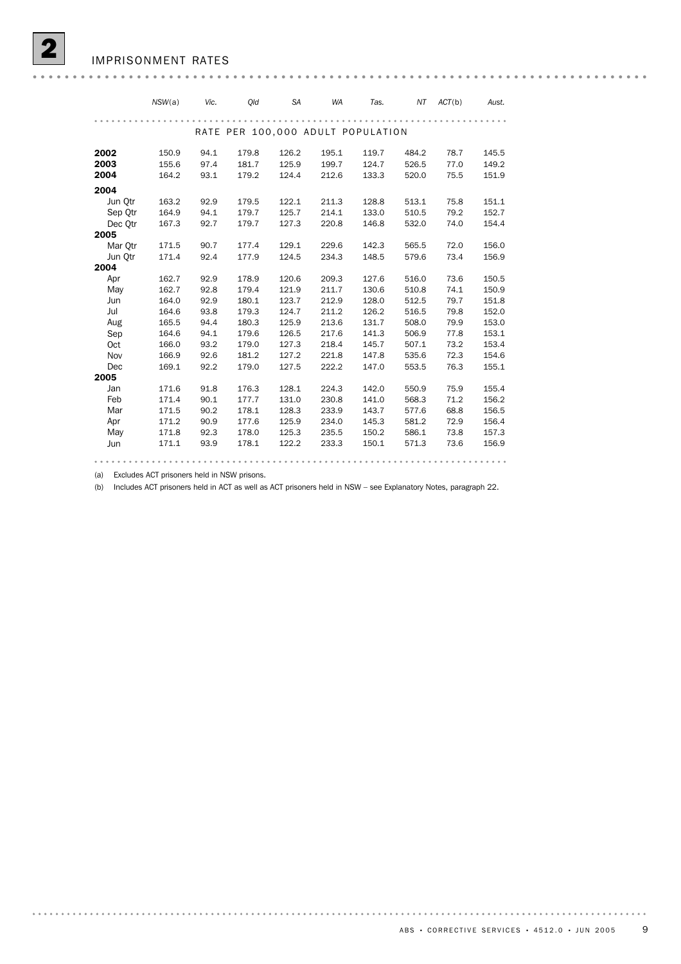|                                   | NSW(a) | Vic. | Old   | <b>SA</b> | <b>WA</b> | Tas.  | ΝT    | ACT(b) | Aust. |  |  |
|-----------------------------------|--------|------|-------|-----------|-----------|-------|-------|--------|-------|--|--|
|                                   |        |      |       |           |           |       |       |        |       |  |  |
| RATE PER 100,000 ADULT POPULATION |        |      |       |           |           |       |       |        |       |  |  |
| 2002                              | 150.9  | 94.1 | 179.8 | 126.2     | 195.1     | 119.7 | 484.2 | 78.7   | 145.5 |  |  |
| 2003                              | 155.6  | 97.4 | 181.7 | 125.9     | 199.7     | 124.7 | 526.5 | 77.0   | 149.2 |  |  |
| 2004                              | 164.2  | 93.1 | 179.2 | 124.4     | 212.6     | 133.3 | 520.0 | 75.5   | 151.9 |  |  |
| 2004                              |        |      |       |           |           |       |       |        |       |  |  |
| Jun Otr                           | 163.2  | 92.9 | 179.5 | 122.1     | 211.3     | 128.8 | 513.1 | 75.8   | 151.1 |  |  |
| Sep Otr                           | 164.9  | 94.1 | 179.7 | 125.7     | 214.1     | 133.0 | 510.5 | 79.2   | 152.7 |  |  |
| Dec Qtr                           | 167.3  | 92.7 | 179.7 | 127.3     | 220.8     | 146.8 | 532.0 | 74.0   | 154.4 |  |  |
| 2005                              |        |      |       |           |           |       |       |        |       |  |  |
| Mar Otr                           | 171.5  | 90.7 | 177.4 | 129.1     | 229.6     | 142.3 | 565.5 | 72.0   | 156.0 |  |  |
| Jun Otr                           | 171.4  | 92.4 | 177.9 | 124.5     | 234.3     | 148.5 | 579.6 | 73.4   | 156.9 |  |  |
| 2004                              |        |      |       |           |           |       |       |        |       |  |  |
| Apr                               | 162.7  | 92.9 | 178.9 | 120.6     | 209.3     | 127.6 | 516.0 | 73.6   | 150.5 |  |  |
| May                               | 162.7  | 92.8 | 179.4 | 121.9     | 211.7     | 130.6 | 510.8 | 74.1   | 150.9 |  |  |
| Jun                               | 164.0  | 92.9 | 180.1 | 123.7     | 212.9     | 128.0 | 512.5 | 79.7   | 151.8 |  |  |
| Jul                               | 164.6  | 93.8 | 179.3 | 124.7     | 211.2     | 126.2 | 516.5 | 79.8   | 152.0 |  |  |
| Aug                               | 165.5  | 94.4 | 180.3 | 125.9     | 213.6     | 131.7 | 508.0 | 79.9   | 153.0 |  |  |
| Sep                               | 164.6  | 94.1 | 179.6 | 126.5     | 217.6     | 141.3 | 506.9 | 77.8   | 153.1 |  |  |
| Oct                               | 166.0  | 93.2 | 179.0 | 127.3     | 218.4     | 145.7 | 507.1 | 73.2   | 153.4 |  |  |
| Nov                               | 166.9  | 92.6 | 181.2 | 127.2     | 221.8     | 147.8 | 535.6 | 72.3   | 154.6 |  |  |
| Dec                               | 169.1  | 92.2 | 179.0 | 127.5     | 222.2     | 147.0 | 553.5 | 76.3   | 155.1 |  |  |
| 2005                              |        |      |       |           |           |       |       |        |       |  |  |
| Jan                               | 171.6  | 91.8 | 176.3 | 128.1     | 224.3     | 142.0 | 550.9 | 75.9   | 155.4 |  |  |
| Feb                               | 171.4  | 90.1 | 177.7 | 131.0     | 230.8     | 141.0 | 568.3 | 71.2   | 156.2 |  |  |
| Mar                               | 171.5  | 90.2 | 178.1 | 128.3     | 233.9     | 143.7 | 577.6 | 68.8   | 156.5 |  |  |
| Apr                               | 171.2  | 90.9 | 177.6 | 125.9     | 234.0     | 145.3 | 581.2 | 72.9   | 156.4 |  |  |
| May                               | 171.8  | 92.3 | 178.0 | 125.3     | 235.5     | 150.2 | 586.1 | 73.8   | 157.3 |  |  |
| Jun                               | 171.1  | 93.9 | 178.1 | 122.2     | 233.3     | 150.1 | 571.3 | 73.6   | 156.9 |  |  |
|                                   |        |      |       |           |           |       |       |        |       |  |  |

(a) Excludes ACT prisoners held in NSW prisons.

(b) Includes ACT prisoners held in ACT as well as ACT prisoners held in NSW – see Explanatory Notes, paragraph 22.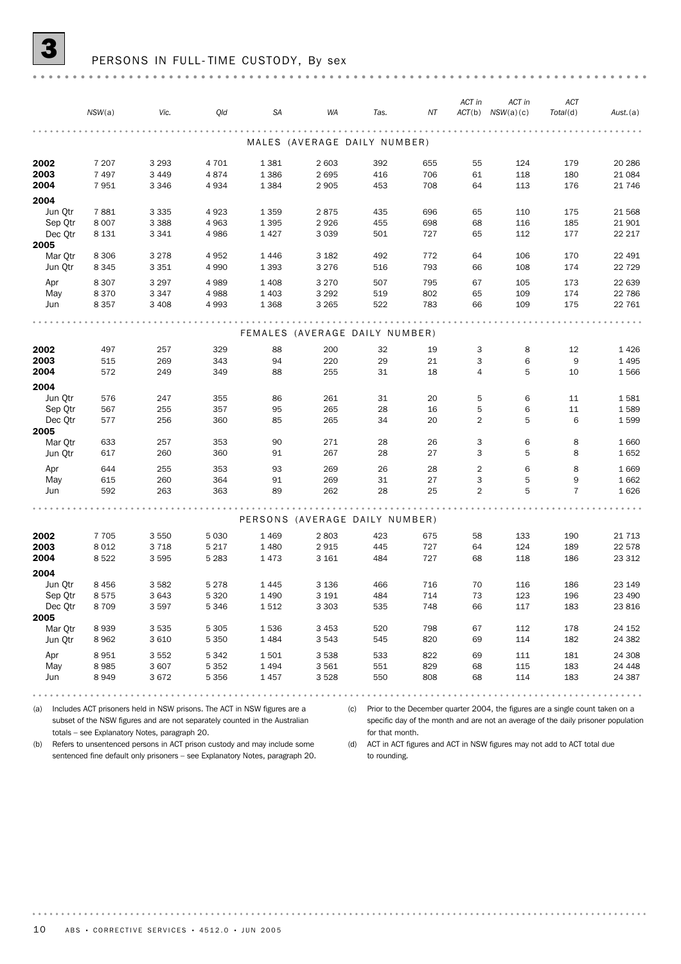#### PERSONS IN FULL-TIME CUSTODY, By sex

|                    |                 |                    |              |                    |                                |            |            | ACT in              | ACT in               | ACT        |                   |
|--------------------|-----------------|--------------------|--------------|--------------------|--------------------------------|------------|------------|---------------------|----------------------|------------|-------------------|
|                    | NSW(a)          | Vic.               | Qld          | <b>SA</b>          | <b>WA</b>                      | Tas.       | ΝT         |                     | $ACT(b)$ $NSW(a)(c)$ | Total(d)   | Aust.(a)          |
|                    |                 |                    |              |                    |                                |            |            |                     |                      |            |                   |
|                    |                 |                    |              |                    | MALES (AVERAGE DAILY NUMBER)   |            |            |                     |                      |            |                   |
| 2002               | 7 207           | 3 2 9 3            | 4 7 0 1      | 1 3 8 1            | 2 603                          | 392        | 655        | 55                  | 124                  | 179        | 20 28 6           |
| 2003               | 7497            | 3 4 4 9            | 4874         | 1 3 8 6            | 2695                           | 416        | 706        | 61                  | 118                  | 180        | 21 084            |
| 2004               | 7951            | 3 3 4 6            | 4934         | 1 3 8 4            | 2 9 0 5                        | 453        | 708        | 64                  | 113                  | 176        | 21 746            |
| 2004<br>Jun Otr    | 7881            | 3 3 3 5            | 4923         | 1 3 5 9            | 2875                           | 435        | 696        | 65                  | 110                  |            |                   |
| Sep Qtr            | 8 0 0 7         | 3 3 8 8            | 4963         | 1 3 9 5            | 2926                           | 455        | 698        | 68                  | 116                  | 175<br>185 | 21 5 68<br>21 901 |
| Dec Qtr            | 8 1 3 1         | 3 3 4 1            | 4986         | 1427               | 3 0 3 9                        | 501        | 727        | 65                  | 112                  | 177        | 22 217            |
| 2005               |                 |                    |              |                    |                                |            |            |                     |                      |            |                   |
| Mar Qtr            | 8 3 0 6         | 3 2 7 8            | 4952         | 1446               | 3 1 8 2                        | 492        | 772        | 64                  | 106                  | 170        | 22 491            |
| Jun Qtr            | 8 3 4 5         | 3 3 5 1            | 4 9 9 0      | 1 3 9 3            | 3 2 7 6                        | 516        | 793        | 66                  | 108                  | 174        | 22 7 29           |
| Apr                | 8 3 0 7         | 3 2 9 7            | 4 9 8 9      | 1 4 0 8            | 3 2 7 0                        | 507        | 795        | 67                  | 105                  | 173        | 22 639            |
| May<br>Jun         | 8370<br>8 3 5 7 | 3 3 4 7<br>3 4 0 8 | 4988<br>4993 | 1 4 0 3<br>1 3 6 8 | 3 2 9 2<br>3 2 6 5             | 519<br>522 | 802<br>783 | 65<br>66            | 109<br>109           | 174<br>175 | 22 786<br>22 761  |
|                    |                 |                    |              |                    |                                |            |            |                     |                      |            |                   |
|                    |                 |                    |              |                    | FEMALES (AVERAGE DAILY NUMBER) |            |            |                     |                      |            |                   |
|                    |                 |                    |              |                    |                                |            |            |                     |                      |            |                   |
| 2002               | 497             | 257                | 329          | 88                 | 200                            | 32         | 19         | 3                   | 8                    | 12         | 1426              |
| 2003<br>2004       | 515<br>572      | 269<br>249         | 343<br>349   | 94<br>88           | 220<br>255                     | 29<br>31   | 21<br>18   | 3<br>$\overline{4}$ | 6<br>5               | 9<br>10    | 1 4 9 5<br>1566   |
| 2004               |                 |                    |              |                    |                                |            |            |                     |                      |            |                   |
| Jun Qtr            | 576             | 247                | 355          | 86                 | 261                            | 31         | 20         | 5                   | 6                    | 11         | 1581              |
| Sep Qtr            | 567             | 255                | 357          | 95                 | 265                            | 28         | 16         | 5                   | 6                    | 11         | 1589              |
| Dec Qtr            | 577             | 256                | 360          | 85                 | 265                            | 34         | 20         | $\overline{2}$      | 5                    | 6          | 1599              |
| 2005               |                 |                    |              |                    |                                |            |            |                     |                      |            |                   |
| Mar Qtr<br>Jun Qtr | 633<br>617      | 257<br>260         | 353<br>360   | 90<br>91           | 271<br>267                     | 28<br>28   | 26<br>27   | 3<br>3              | 6<br>5               | 8<br>8     | 1 6 6 0<br>1652   |
|                    |                 |                    |              |                    |                                |            |            |                     |                      |            |                   |
| Apr<br>May         | 644<br>615      | 255<br>260         | 353<br>364   | 93<br>91           | 269<br>269                     | 26<br>31   | 28<br>27   | $\overline{2}$<br>3 | 6<br>5               | 8<br>9     | 1 6 6 9<br>1662   |
| Jun                | 592             | 263                | 363          | 89                 | 262                            | 28         | 25         | $\overline{2}$      | 5                    | 7          | 1626              |
|                    |                 |                    |              |                    |                                |            |            |                     |                      |            |                   |
|                    |                 |                    |              |                    | PERSONS (AVERAGE DAILY NUMBER) |            |            |                     |                      |            |                   |
| 2002               | 7 7 0 5         | 3 5 5 0            | 5 0 3 0      | 1 4 6 9            | 2 8 0 3                        | 423        | 675        | 58                  | 133                  | 190        | 21 7 1 3          |
| 2003               | 8 0 1 2         | 3718               | 5 2 1 7      | 1 4 8 0            | 2915                           | 445        | 727        | 64                  | 124                  | 189        | 22 578            |
| 2004               | 8522            | 3 5 9 5            | 5 2 8 3      | 1473               | 3 1 6 1                        | 484        | 727        | 68                  | 118                  | 186        | 23 312            |
| 2004               |                 |                    |              |                    |                                |            |            |                     |                      |            |                   |
| Jun Qtr            | 8 4 5 6         | 3582               | 5 2 7 8      | 1445               | 3 1 3 6                        | 466        | 716        | 70                  | 116                  | 186        | 23 149            |
| Sep Qtr            | 8575            | 3643               | 5 3 2 0      | 1 4 9 0            | 3 1 9 1                        | 484        | 714        | 73                  | 123                  | 196        | 23 490            |
| Dec Qtr<br>2005    | 8709            | 3 5 9 7            | 5 3 4 6      | 1512               | 3 3 0 3                        | 535        | 748        | 66                  | 117                  | 183        | 23 816            |
| Mar Qtr            | 8939            | 3535               | 5 3 0 5      | 1536               | 3 4 5 3                        | 520        | 798        | 67                  | 112                  | 178        | 24 152            |
| Jun Qtr            | 8962            | 3 6 1 0            | 5 3 5 0      | 1484               | 3 5 4 3                        | 545        | 820        | 69                  | 114                  | 182        | 24 382            |
| Apr                | 8951            | 3552               | 5 3 4 2      | 1501               | 3 5 3 8                        | 533        | 822        | 69                  | 111                  | 181        | 24 308            |
| May                | 8985            | 3 607              | 5 3 5 2      | 1494               | 3 5 6 1                        | 551        | 829        | 68                  | 115                  | 183        | 24 4 48           |
| Jun                | 8949            | 3672               | 5 3 5 6      | 1457               | 3 5 28                         | 550        | 808        | 68                  | 114                  | 183        | 24 387            |

subset of the NSW figures and are not separately counted in the Australian totals – see Explanatory Notes, paragraph 20.

(a) Includes ACT prisoners held in NSW prisons. The ACT in NSW figures are a (c) Prior to the December quarter 2004, the figures are a single count taken on a specific day of the month and are not an average of the daily prisoner population for that month.

. . . . . . . . . . . . .

(b) Refers to unsentenced persons in ACT prison custody and may include some sentenced fine default only prisoners – see Explanatory Notes, paragraph 20. (d) ACT in ACT figures and ACT in NSW figures may not add to ACT total due to rounding.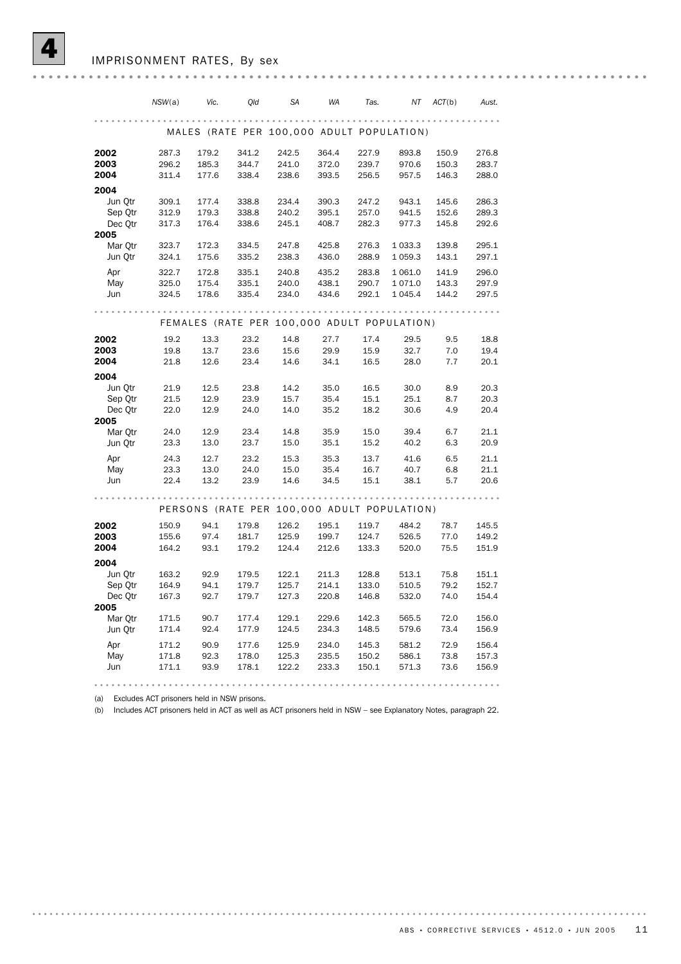|                                             | NSW(a)         | Vic.           | Old            | <b>SA</b>                                   | <b>WA</b>      | Tas.           | NT             | ACT(b)         | Aust.          |  |  |  |
|---------------------------------------------|----------------|----------------|----------------|---------------------------------------------|----------------|----------------|----------------|----------------|----------------|--|--|--|
|                                             |                |                |                |                                             |                |                |                |                |                |  |  |  |
|                                             |                |                |                | MALES (RATE PER 100,000 ADULT POPULATION)   |                |                |                |                |                |  |  |  |
| 2002                                        | 287.3          | 179.2          | 341.2          | 242.5                                       | 364.4          | 227.9          | 893.8          | 150.9          | 276.8          |  |  |  |
| 2003                                        | 296.2          | 185.3          | 344.7          | 241.0                                       | 372.0          | 239.7          | 970.6          | 150.3          | 283.7          |  |  |  |
| 2004                                        | 311.4          | 177.6          | 338.4          | 238.6                                       | 393.5          | 256.5          | 957.5          | 146.3          | 288.0          |  |  |  |
| 2004                                        |                |                |                |                                             |                |                |                |                |                |  |  |  |
| Jun Otr                                     | 309.1          | 177.4          | 338.8          | 234.4                                       | 390.3          | 247.2          | 943.1          | 145.6          | 286.3          |  |  |  |
| Sep Qtr                                     | 312.9<br>317.3 | 179.3<br>176.4 | 338.8<br>338.6 | 240.2<br>245.1                              | 395.1<br>408.7 | 257.0<br>282.3 | 941.5<br>977.3 | 152.6<br>145.8 | 289.3<br>292.6 |  |  |  |
| Dec Otr<br>2005                             |                |                |                |                                             |                |                |                |                |                |  |  |  |
| Mar Otr                                     | 323.7          | 172.3          | 334.5          | 247.8                                       | 425.8          | 276.3          | 1 0 3 3.3      | 139.8          | 295.1          |  |  |  |
| Jun Qtr                                     | 324.1          | 175.6          | 335.2          | 238.3                                       | 436.0          | 288.9          | 1 0 5 9.3      | 143.1          | 297.1          |  |  |  |
| Apr                                         | 322.7          | 172.8          | 335.1          | 240.8                                       | 435.2          | 283.8          | 1 0 6 1 . 0    | 141.9          | 296.0          |  |  |  |
| May                                         | 325.0          | 175.4          | 335.1          | 240.0                                       | 438.1          | 290.7          | 1 0 7 1 .0     | 143.3          | 297.9          |  |  |  |
| Jun                                         | 324.5          | 178.6          | 335.4          | 234.0                                       | 434.6          | 292.1          | 1 0 4 5 . 4    | 144.2          | 297.5          |  |  |  |
| FEMALES (RATE PER 100,000 ADULT POPULATION) |                |                |                |                                             |                |                |                |                |                |  |  |  |
|                                             |                |                |                |                                             |                |                |                |                |                |  |  |  |
| 2002<br>2003                                | 19.2           | 13.3           | 23.2           | 14.8                                        | 27.7<br>29.9   | 17.4           | 29.5           | 9.5<br>7.0     | 18.8           |  |  |  |
| 2004                                        | 19.8<br>21.8   | 13.7<br>12.6   | 23.6<br>23.4   | 15.6<br>14.6                                | 34.1           | 15.9<br>16.5   | 32.7<br>28.0   | 7.7            | 19.4<br>20.1   |  |  |  |
|                                             |                |                |                |                                             |                |                |                |                |                |  |  |  |
| 2004                                        |                |                |                |                                             |                |                |                |                |                |  |  |  |
| Jun Qtr<br>Sep Otr                          | 21.9<br>21.5   | 12.5<br>12.9   | 23.8<br>23.9   | 14.2<br>15.7                                | 35.0<br>35.4   | 16.5<br>15.1   | 30.0<br>25.1   | 8.9<br>8.7     | 20.3<br>20.3   |  |  |  |
| Dec Otr                                     | 22.0           | 12.9           | 24.0           | 14.0                                        | 35.2           | 18.2           | 30.6           | 4.9            | 20.4           |  |  |  |
| 2005                                        |                |                |                |                                             |                |                |                |                |                |  |  |  |
| Mar Qtr                                     | 24.0           | 12.9           | 23.4           | 14.8                                        | 35.9           | 15.0           | 39.4           | 6.7            | 21.1           |  |  |  |
| Jun Otr                                     | 23.3           | 13.0           | 23.7           | 15.0                                        | 35.1           | 15.2           | 40.2           | 6.3            | 20.9           |  |  |  |
| Apr                                         | 24.3           | 12.7           | 23.2           | 15.3                                        | 35.3           | 13.7           | 41.6           | 6.5            | 21.1           |  |  |  |
| May                                         | 23.3           | 13.0           | 24.0           | 15.0                                        | 35.4           | 16.7           | 40.7           | 6.8            | 21.1           |  |  |  |
| Jun                                         | 22.4           | 13.2           | 23.9           | 14.6                                        | 34.5           | 15.1           | 38.1           | 5.7            | 20.6           |  |  |  |
|                                             |                |                |                |                                             |                |                |                |                | $- - - -$      |  |  |  |
|                                             |                |                |                | PERSONS (RATE PER 100,000 ADULT POPULATION) |                |                |                |                |                |  |  |  |
| 2002                                        | 150.9          | 94.1           | 179.8          | 126.2                                       | 195.1          | 119.7          | 484.2          | 78.7           | 145.5          |  |  |  |
| 2003                                        | 155.6          | 97.4           | 181.7          | 125.9                                       | 199.7          | 124.7          | 526.5          | 77.0           | 149.2          |  |  |  |
| 2004                                        | 164.2          | 93.1           | 179.2          | 124.4                                       | 212.6          | 133.3          | 520.0          | 75.5           | 151.9          |  |  |  |
| 2004                                        |                |                |                |                                             |                |                |                |                |                |  |  |  |
| Jun Otr                                     | 163.2          | 92.9           | 179.5          | 122.1                                       | 211.3          | 128.8          | 513.1          | 75.8           | 151.1          |  |  |  |
| Sep Qtr                                     | 164.9          | 94.1           | 179.7          | 125.7                                       | 214.1          | 133.0          | 510.5          | 79.2           | 152.7          |  |  |  |
| Dec Otr                                     | 167.3          | 92.7           | 179.7          | 127.3                                       | 220.8          | 146.8          | 532.0          | 74.0           | 154.4          |  |  |  |
| 2005<br>Mar Otr                             | 171.5          | 90.7           | 177.4          | 129.1                                       | 229.6          | 142.3          | 565.5          | 72.0           | 156.0          |  |  |  |
| Jun Otr                                     | 171.4          | 92.4           | 177.9          | 124.5                                       | 234.3          | 148.5          | 579.6          | 73.4           | 156.9          |  |  |  |
|                                             |                |                |                |                                             |                |                |                |                |                |  |  |  |
| Apr                                         | 171.2          | 90.9           | 177.6          | 125.9                                       | 234.0          | 145.3          | 581.2          | 72.9           | 156.4          |  |  |  |
| May                                         | 171.8          | 92.3           | 178.0          | 125.3                                       | 235.5          | 150.2          | 586.1          | 73.8           | 157.3          |  |  |  |
| Jun                                         | 171.1          | 93.9           | 178.1          | 122.2                                       | 233.3          | 150.1          | 571.3          | 73.6           | 156.9          |  |  |  |
|                                             |                |                |                |                                             |                |                |                |                |                |  |  |  |

(a) Excludes ACT prisoners held in NSW prisons.

(b) Includes ACT prisoners held in ACT as well as ACT prisoners held in NSW – see Explanatory Notes, paragraph 22.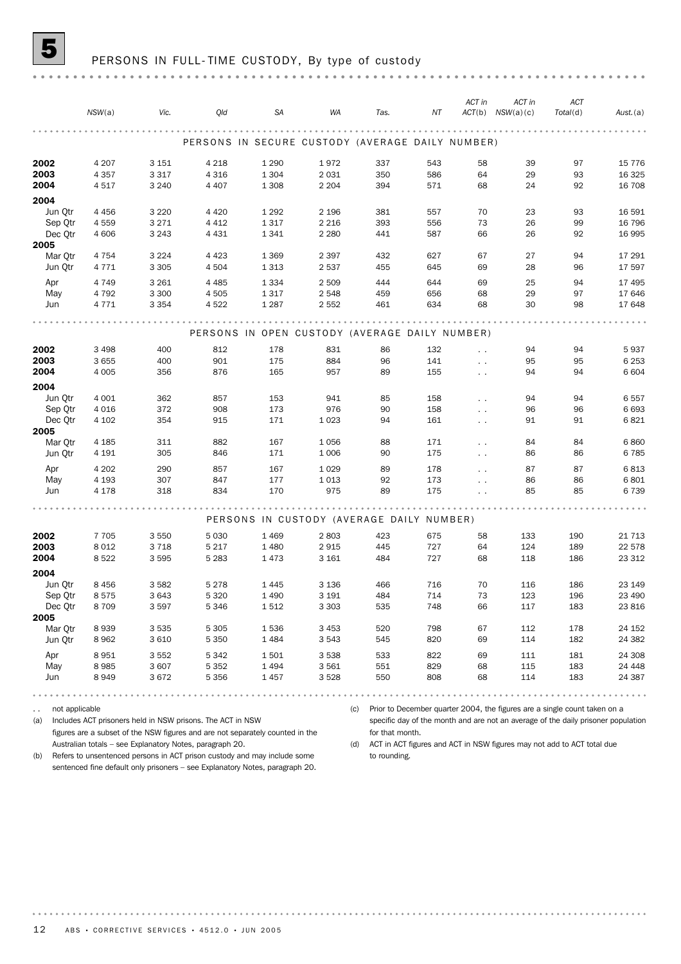#### PERSONS IN FULL-TIME CUSTODY, By type of custody

|                 | NSW(a)  | Vic.    | Old                                              | <b>SA</b>                                      | <b>WA</b> | Tas. | NT  | ACT in               | ACT in<br>$ACT(b)$ $NSW(a)(c)$ | ACT<br>Total(d) | $Aust.$ $(a)$ |
|-----------------|---------|---------|--------------------------------------------------|------------------------------------------------|-----------|------|-----|----------------------|--------------------------------|-----------------|---------------|
|                 |         |         | PERSONS IN SECURE CUSTODY (AVERAGE DAILY NUMBER) |                                                |           |      |     |                      |                                |                 |               |
| 2002            | 4 2 0 7 | 3 1 5 1 | 4 2 1 8                                          | 1 2 9 0                                        | 1972      | 337  | 543 | 58                   | 39                             | 97              | 15 7 7 6      |
| 2003            | 4 3 5 7 | 3 3 1 7 | 4 3 1 6                                          | 1 3 0 4                                        | 2 0 3 1   | 350  | 586 | 64                   | 29                             | 93              | 16 3 25       |
| 2004            | 4517    | 3 2 4 0 | 4 4 0 7                                          | 1 3 0 8                                        | 2 2 0 4   | 394  | 571 | 68                   | 24                             | 92              | 16 708        |
| 2004            |         |         |                                                  |                                                |           |      |     |                      |                                |                 |               |
| Jun Qtr         | 4 4 5 6 | 3 2 2 0 | 4 4 2 0                                          | 1 2 9 2                                        | 2 1 9 6   | 381  | 557 | 70                   | 23                             | 93              | 16 591        |
| Sep Qtr         | 4559    | 3 2 7 1 | 4 4 1 2                                          | 1317                                           | 2 2 1 6   | 393  | 556 | 73                   | 26                             | 99              | 16 796        |
| Dec Qtr<br>2005 | 4 60 6  | 3 2 4 3 | 4 4 3 1                                          | 1 3 4 1                                        | 2 2 8 0   | 441  | 587 | 66                   | 26                             | 92              | 16 9 95       |
| Mar Otr         | 4 7 5 4 | 3 2 2 4 | 4 4 2 3                                          | 1 3 6 9                                        | 2 3 9 7   | 432  | 627 | 67                   | 27                             | 94              | 17 291        |
| Jun Qtr         | 4 7 7 1 | 3 3 0 5 | 4 5 0 4                                          | 1 3 1 3                                        | 2 5 3 7   | 455  | 645 | 69                   | 28                             | 96              | 17 597        |
| Apr             | 4 7 4 9 | 3 2 6 1 | 4 4 8 5                                          | 1 3 3 4                                        | 2 5 0 9   | 444  | 644 | 69                   | 25                             | 94              | 17 495        |
| May             | 4 7 9 2 | 3 3 0 0 | 4 5 0 5                                          | 1317                                           | 2 5 4 8   | 459  | 656 | 68                   | 29                             | 97              | 17646         |
| Jun             | 4771    | 3 3 5 4 | 4522                                             | 1 2 8 7                                        | 2 5 5 2   | 461  | 634 | 68                   | 30                             | 98              | 17648         |
|                 |         |         |                                                  | PERSONS IN OPEN CUSTODY (AVERAGE DAILY NUMBER) |           |      |     |                      |                                |                 |               |
| 2002            | 3 4 9 8 | 400     | 812                                              | 178                                            | 831       | 86   | 132 | $\sim$ $\sim$        | 94                             | 94              | 5937          |
| 2003            | 3 6 5 5 | 400     | 901                                              | 175                                            | 884       | 96   | 141 | $\sim$ $\sim$        | 95                             | 95              | 6 2 5 3       |
| 2004            | 4 0 0 5 | 356     | 876                                              | 165                                            | 957       | 89   | 155 | $\sim$ $\sim$        | 94                             | 94              | 6 6 0 4       |
| 2004            |         |         |                                                  |                                                |           |      |     |                      |                                |                 |               |
| Jun Qtr         | 4 0 0 1 | 362     | 857                                              | 153                                            | 941       | 85   | 158 | $\ddot{\phantom{0}}$ | 94                             | 94              | 6557          |
| Sep Qtr         | 4 0 1 6 | 372     | 908                                              | 173                                            | 976       | 90   | 158 | $\sim$ $\sim$        | 96                             | 96              | 6693          |
| Dec Qtr         | 4 1 0 2 | 354     | 915                                              | 171                                            | 1 0 2 3   | 94   | 161 | $\sim$ $\sim$        | 91                             | 91              | 6821          |
| 2005            |         |         |                                                  |                                                |           |      |     |                      |                                |                 |               |
| Mar Qtr         | 4 1 8 5 | 311     | 882                                              | 167                                            | 1056      | 88   | 171 | $\ddotsc$            | 84                             | 84              | 6860          |
| Jun Qtr         | 4 1 9 1 | 305     | 846                                              | 171                                            | 1 0 0 6   | 90   | 175 | $\sim$ $\sim$        | 86                             | 86              | 6785          |
| Apr             | 4 2 0 2 | 290     | 857                                              | 167                                            | 1 0 2 9   | 89   | 178 | $\ddot{\phantom{0}}$ | 87                             | 87              | 6813          |
| May             | 4 1 9 3 | 307     | 847                                              | 177                                            | 1013      | 92   | 173 | $\sim$ $\sim$        | 86                             | 86              | 6801          |
| Jun             | 4 1 7 8 | 318     | 834                                              | 170                                            | 975       | 89   | 175 |                      | 85                             | 85              | 6739          |
|                 |         |         |                                                  | PERSONS IN CUSTODY (AVERAGE DAILY NUMBER)      |           |      |     |                      |                                |                 |               |
| 2002            | 7 7 0 5 | 3 5 5 0 | 5 0 3 0                                          | 1 4 6 9                                        | 2803      | 423  | 675 | 58                   | 133                            | 190             | 21 7 1 3      |
| 2003            | 8 0 1 2 | 3 7 1 8 | 5 2 1 7                                          | 1480                                           | 2915      | 445  | 727 | 64                   | 124                            | 189             | 22 578        |
| 2004            | 8522    | 3 5 9 5 | 5 2 8 3                                          | 1473                                           | 3 1 6 1   | 484  | 727 | 68                   | 118                            | 186             | 23 312        |
| 2004            |         |         |                                                  |                                                |           |      |     |                      |                                |                 |               |
| Jun Qtr         | 8 4 5 6 | 3 5 8 2 | 5 2 7 8                                          | 1 4 4 5                                        | 3 1 3 6   | 466  | 716 | 70                   | 116                            | 186             | 23 149        |
| Sep Qtr         | 8575    | 3 6 4 3 | 5 3 2 0                                          | 1 4 9 0                                        | 3 1 9 1   | 484  | 714 | 73                   | 123                            | 196             | 23 490        |
| Dec Otr         | 8 7 0 9 | 3597    | 5 3 4 6                                          | 1512                                           | 3 3 0 3   | 535  | 748 | 66                   | 117                            | 183             | 23 816        |
| 2005            |         |         |                                                  |                                                |           |      |     |                      |                                |                 |               |
| Mar Qtr         | 8939    | 3 5 3 5 | 5 3 0 5                                          | 1536                                           | 3 4 5 3   | 520  | 798 | 67                   | 112                            | 178             | 24 152        |
| Jun Qtr         | 8962    | 3 6 1 0 | 5 3 5 0                                          | 1484                                           | 3 5 4 3   | 545  | 820 | 69                   | 114                            | 182             | 24 3 82       |
| Apr             | 8951    | 3552    | 5 3 4 2                                          | 1501                                           | 3 5 3 8   | 533  | 822 | 69                   | 111                            | 181             | 24 308        |
| May             | 8985    | 3 607   | 5 3 5 2                                          | 1 4 9 4                                        | 3 5 6 1   | 551  | 829 | 68                   | 115                            | 183             | 24 4 4 8      |
| Jun             | 8949    | 3672    | 5 3 5 6                                          | 1457                                           | 3 5 2 8   | 550  | 808 | 68                   | 114                            | 183             | 24 387        |

.. not applicable

(a) Includes ACT prisoners held in NSW prisons. The ACT in NSW

figures are a subset of the NSW figures and are not separately counted in the Australian totals – see Explanatory Notes, paragraph 20.

(b) Refers to unsentenced persons in ACT prison custody and may include some sentenced fine default only prisoners – see Explanatory Notes, paragraph 20.

(c) Prior to December quarter 2004, the figures are a single count taken on a specific day of the month and are not an average of the daily prisoner population for that month.

(d) ACT in ACT figures and ACT in NSW figures may not add to ACT total due to rounding.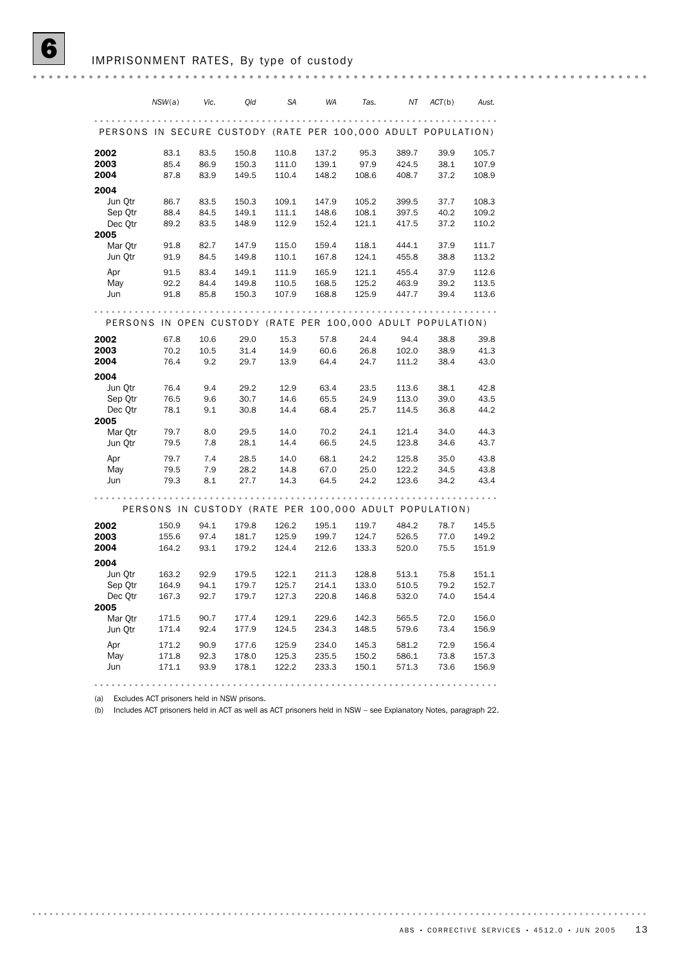|                                                               | NSW(a)                                                      | Vic.       | Qld          | SА             | WA           | Tas.         | NT             | ACT(b) | Aust.          |
|---------------------------------------------------------------|-------------------------------------------------------------|------------|--------------|----------------|--------------|--------------|----------------|--------|----------------|
|                                                               |                                                             |            |              |                |              |              |                |        |                |
| PERSONS IN SECURE CUSTODY (RATE PER 100,000 ADULT POPULATION) |                                                             |            |              |                |              |              |                |        |                |
| 2002                                                          | 83.1                                                        | 83.5       | 150.8        | 110.8          | 137.2        | 95.3         | 389.7          | 39.9   | 105.7          |
| 2003                                                          | 85.4                                                        | 86.9       | 150.3        | 111.0          | 139.1        | 97.9         | 424.5          | 38.1   | 107.9          |
| 2004                                                          | 87.8                                                        | 83.9       | 149.5        | 110.4          | 148.2        | 108.6        | 408.7          | 37.2   | 108.9          |
| 2004                                                          |                                                             |            |              |                |              |              |                |        |                |
| Jun Qtr                                                       | 86.7                                                        | 83.5       | 150.3        | 109.1          | 147.9        | 105.2        | 399.5          | 37.7   | 108.3          |
| Sep Qtr                                                       | 88.4                                                        | 84.5       | 149.1        | 111.1          | 148.6        | 108.1        | 397.5          | 40.2   | 109.2          |
| Dec Qtr                                                       | 89.2                                                        | 83.5       | 148.9        | 112.9          | 152.4        | 121.1        | 417.5          | 37.2   | 110.2          |
| 2005                                                          |                                                             |            |              |                |              |              |                |        |                |
| Mar Qtr                                                       | 91.8                                                        | 82.7       | 147.9        | 115.0          | 159.4        | 118.1        | 444.1          | 37.9   | 111.7          |
| Jun Qtr                                                       | 91.9                                                        | 84.5       | 149.8        | 110.1          | 167.8        | 124.1        | 455.8          | 38.8   | 113.2          |
| Apr                                                           | 91.5                                                        | 83.4       | 149.1        | 111.9          | 165.9        | 121.1        | 455.4          | 37.9   | 112.6          |
| May                                                           | 92.2                                                        | 84.4       | 149.8        | 110.5          | 168.5        | 125.2        | 463.9          | 39.2   | 113.5          |
| Jun                                                           | 91.8                                                        | 85.8       | 150.3        | 107.9          | 168.8        | 125.9        | 447.7          | 39.4   | 113.6          |
|                                                               |                                                             |            |              |                |              |              |                |        |                |
|                                                               | PERSONS IN OPEN CUSTODY (RATE PER 100,000 ADULT POPULATION) |            |              |                |              |              |                |        |                |
| 2002                                                          | 67.8                                                        | 10.6       | 29.0         | 15.3           | 57.8         | 24.4         | 94.4           | 38.8   | 39.8           |
| 2003                                                          | 70.2                                                        | 10.5       | 31.4         | 14.9           | 60.6         | 26.8         | 102.0          | 38.9   | 41.3           |
| 2004                                                          | 76.4                                                        | 9.2        | 29.7         | 13.9           | 64.4         | 24.7         | 111.2          | 38.4   | 43.0           |
| 2004                                                          |                                                             |            |              |                |              |              |                |        |                |
| Jun Qtr                                                       | 76.4                                                        | 9.4        | 29.2         | 12.9           | 63.4         | 23.5         | 113.6          | 38.1   | 42.8           |
| Sep Qtr                                                       | 76.5                                                        | 9.6        | 30.7         | 14.6           | 65.5         | 24.9         | 113.0          | 39.0   | 43.5           |
| Dec Otr                                                       | 78.1                                                        | 9.1        | 30.8         | 14.4           | 68.4         | 25.7         | 114.5          | 36.8   | 44.2           |
| 2005                                                          |                                                             |            |              |                |              |              | 121.4          | 34.0   | 44.3           |
| Mar Qtr<br>Jun Qtr                                            | 79.7<br>79.5                                                | 8.0<br>7.8 | 29.5<br>28.1 | 14.0<br>14.4   | 70.2<br>66.5 | 24.1<br>24.5 | 123.8          | 34.6   | 43.7           |
|                                                               |                                                             |            |              |                |              |              |                |        |                |
| Apr                                                           | 79.7                                                        | 7.4        | 28.5         | 14.0           | 68.1         | 24.2         | 125.8          | 35.0   | 43.8           |
| May<br>Jun                                                    | 79.5<br>79.3                                                | 7.9        | 28.2         | 14.8           | 67.0<br>64.5 | 25.0         | 122.2<br>123.6 | 34.5   | 43.8<br>43.4   |
|                                                               |                                                             | 8.1        | 27.7         | 14.3           |              | 24.2         |                | 34.2   |                |
|                                                               |                                                             |            |              |                |              |              |                |        |                |
|                                                               | PERSONS IN CUSTODY (RATE PER 100,000 ADULT POPULATION)      |            |              |                |              |              |                |        |                |
| 2002                                                          | 150.9                                                       | 94.1       | 179.8        | 126.2          | 195.1        | 119.7        | 484.2          | 78.7   | 145.5          |
| 2003                                                          | 155.6                                                       | 97.4       | 181.7        | 125.9          | 199.7        | 124.7        | 526.5          | 77.0   | 149.2          |
| 2004                                                          | 164.2                                                       | 93.1       | 179.2        | 124.4          | 212.6        | 133.3        | 520.0          | 75.5   | 151.9          |
| 2004                                                          |                                                             |            |              |                |              |              |                |        |                |
| Jun Qtr                                                       | 163.2                                                       | 92.9       | 179.5        | 122.1          | 211.3        | 128.8        | 513.1          | 75.8   | 151.1          |
| Sep Qtr                                                       | 164.9                                                       | 94.1       | 179.7        | 125.7          | 214.1        | 133.0        | 510.5          | 79.2   | 152.7          |
| Dec Qtr<br>2005                                               | 167.3                                                       | 92.7       | 179.7        | 127.3          | 220.8        | 146.8        | 532.0          | 74.0   | 154.4          |
| Mar Qtr                                                       | 171.5                                                       | 90.7       | 177.4        | 129.1          | 229.6        | 142.3        | 565.5          | 72.0   | 156.0          |
| Jun Qtr                                                       | 171.4                                                       | 92.4       | 177.9        | 124.5          | 234.3        | 148.5        | 579.6          | 73.4   | 156.9          |
|                                                               |                                                             | 90.9       | 177.6        |                | 234.0        | 145.3        | 581.2          | 72.9   |                |
| Apr<br>May                                                    | 171.2<br>171.8                                              | 92.3       | 178.0        | 125.9<br>125.3 | 235.5        | 150.2        | 586.1          | 73.8   | 156.4<br>157.3 |
| Jun                                                           | 171.1                                                       | 93.9       | 178.1        | 122.2          | 233.3        | 150.1        | 571.3          | 73.6   | 156.9          |
|                                                               |                                                             |            |              |                |              |              |                |        |                |
|                                                               |                                                             |            |              |                |              |              |                |        |                |

(a) Excludes ACT prisoners held in NSW prisons.

(b) Includes ACT prisoners held in ACT as well as ACT prisoners held in NSW – see Explanatory Notes, paragraph 22.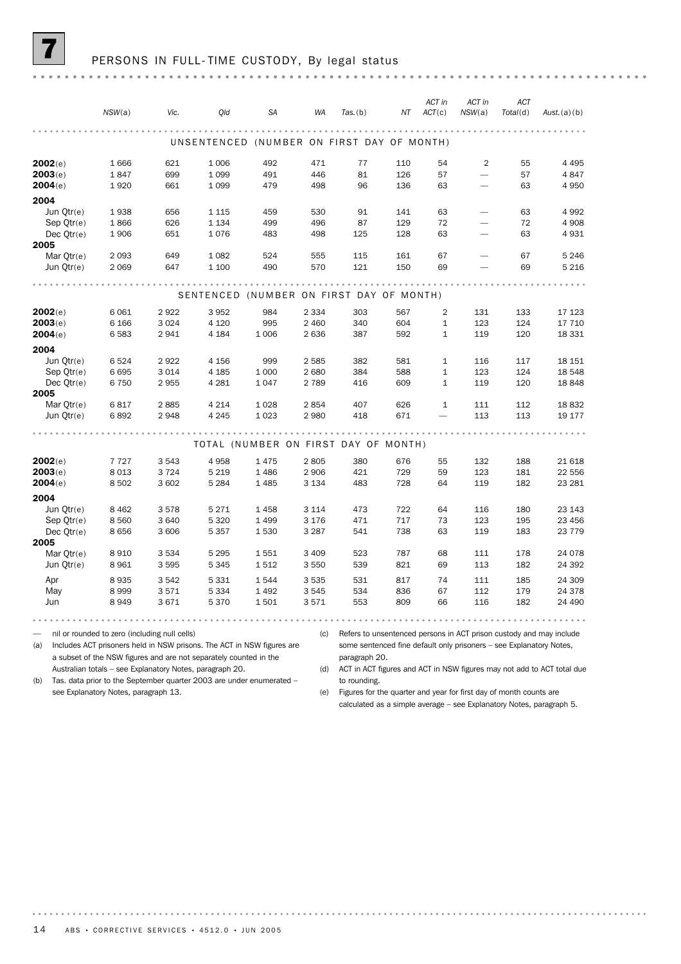#### PERSONS IN FULL-TIME CUSTODY, By legal status

|              | NSW(a)                                                                 | Vic.    | Old                                        | <b>SA</b>                      | <b>WA</b> | Tas.(b)       | ΝT  | ACT in<br>ACT(c) | ACT in<br>NSW(a)                                                    | <b>ACT</b><br>Total(d) | Aust. $(a)(b)$                                                      |
|--------------|------------------------------------------------------------------------|---------|--------------------------------------------|--------------------------------|-----------|---------------|-----|------------------|---------------------------------------------------------------------|------------------------|---------------------------------------------------------------------|
|              |                                                                        |         | UNSENTENCED (NUMBER ON FIRST DAY OF MONTH) |                                |           |               |     |                  |                                                                     |                        |                                                                     |
| 2002(e)      | 1666                                                                   | 621     | 1 0 0 6                                    | 492                            | 471       | 77            | 110 | 54               | $\overline{2}$                                                      | 55                     | 4 4 9 5                                                             |
| 2003(e)      | 1847                                                                   | 699     | 1 0 9 9                                    | 491                            | 446       | 81            | 126 | 57               |                                                                     | 57                     | 4847                                                                |
| 2004(e)      | 1920                                                                   | 661     | 1 0 9 9                                    | 479                            | 498       | 96            | 136 | 63               |                                                                     | 63                     | 4950                                                                |
| 2004         |                                                                        |         |                                            |                                |           |               |     |                  |                                                                     |                        |                                                                     |
| Jun Qtr(e)   | 1938                                                                   | 656     | 1 1 1 5                                    | 459                            | 530       | 91            | 141 | 63               |                                                                     | 63                     | 4992                                                                |
| Sep $Qtr(e)$ | 1866                                                                   | 626     | 1 1 3 4                                    | 499                            | 496       | 87            | 129 | 72               |                                                                     | 72                     | 4 9 0 8                                                             |
| Dec $Qtr(e)$ | 1906                                                                   | 651     | 1076                                       | 483                            | 498       | 125           | 128 | 63               |                                                                     | 63                     | 4931                                                                |
| 2005         |                                                                        |         |                                            |                                |           |               |     |                  |                                                                     |                        |                                                                     |
| Mar Qtr(e)   | 2093                                                                   | 649     | 1082                                       | 524                            | 555       | 115           | 161 | 67               |                                                                     | 67                     | 5 2 4 6                                                             |
| Jun Qtr(e)   | 2 0 6 9                                                                | 647     | 1 100                                      | 490                            | 570       | 121           | 150 | 69               |                                                                     | 69                     | 5 2 1 6                                                             |
|              |                                                                        |         |                                            |                                |           |               |     |                  |                                                                     |                        |                                                                     |
|              |                                                                        |         | SENTENCED                                  | (NUMBER ON FIRST DAY OF MONTH) |           |               |     |                  |                                                                     |                        |                                                                     |
| 2002(e)      | 6 0 6 1                                                                | 2922    | 3 9 5 2                                    | 984                            | 2 3 3 4   | 303           | 567 | $\overline{2}$   | 131                                                                 | 133                    | 17 123                                                              |
| 2003(e)      | 6 1 6 6                                                                | 3 0 2 4 | 4 1 2 0                                    | 995                            | 2 4 6 0   | 340           | 604 | 1                | 123                                                                 | 124                    | 17 710                                                              |
| 2004(e)      | 6583                                                                   | 2941    | 4 1 8 4                                    | 1 0 0 6                        | 2 6 3 6   | 387           | 592 | $\mathbf{1}$     | 119                                                                 | 120                    | 18 3 3 1                                                            |
| 2004         |                                                                        |         |                                            |                                |           |               |     |                  |                                                                     |                        |                                                                     |
| Jun Qtr(e)   | 6524                                                                   | 2922    | 4 1 5 6                                    | 999                            | 2585      | 382           | 581 | 1                | 116                                                                 | 117                    | 18 15 1                                                             |
| Sep Qtr(e)   | 6695                                                                   | 3 0 1 4 | 4 1 8 5                                    | 1 0 0 0                        | 2680      | 384           | 588 | 1                | 123                                                                 | 124                    | 18 548                                                              |
| Dec $Qtr(e)$ | 6750                                                                   | 2955    | 4 2 8 1                                    | 1047                           | 2 7 8 9   | 416           | 609 | 1                | 119                                                                 | 120                    | 18 848                                                              |
| 2005         |                                                                        |         |                                            |                                |           |               |     |                  |                                                                     |                        |                                                                     |
| Mar $Qtr(e)$ | 6817                                                                   | 2885    | 4 2 1 4                                    | 1028                           | 2854      | 407           | 626 | $\mathbf{1}$     | 111                                                                 | 112                    | 18 832                                                              |
| Jun Qtr(e)   | 6892                                                                   | 2948    | 4 2 4 5                                    | 1023                           | 2 9 8 0   | 418           | 671 |                  | 113                                                                 | 113                    | 19 177                                                              |
|              |                                                                        |         |                                            |                                |           |               |     |                  |                                                                     |                        |                                                                     |
|              |                                                                        |         | TOTAL (NUMBER ON FIRST DAY OF MONTH)       |                                |           |               |     |                  |                                                                     |                        |                                                                     |
| 2002(e)      | 7727                                                                   | 3 5 4 3 | 4958                                       | 1475                           | 2805      | 380           | 676 | 55               | 132                                                                 | 188                    | 21 618                                                              |
| 2003(e)      | 8 0 1 3                                                                | 3 7 2 4 | 5 2 1 9                                    | 1486                           | 2 9 0 6   | 421           | 729 | 59               | 123                                                                 | 181                    | 22 556                                                              |
| 2004(e)      | 8502                                                                   | 3 6 0 2 | 5 2 8 4                                    | 1 4 8 5                        | 3 1 3 4   | 483           | 728 | 64               | 119                                                                 | 182                    | 23 28 1                                                             |
| 2004         |                                                                        |         |                                            |                                |           |               |     |                  |                                                                     |                        |                                                                     |
| Jun Qtr(e)   | 8 4 6 2                                                                | 3578    | 5 2 7 1                                    | 1458                           | 3 1 1 4   | 473           | 722 | 64               | 116                                                                 | 180                    | 23 143                                                              |
| Sep Qtr(e)   | 8560                                                                   | 3 6 4 0 | 5 3 2 0                                    | 1 4 9 9                        | 3 1 7 6   | 471           | 717 | 73               | 123                                                                 | 195                    | 23 45 6                                                             |
| Dec $Qtr(e)$ | 8656                                                                   | 3 60 6  | 5 3 5 7                                    | 1530                           | 3 2 8 7   | 541           | 738 | 63               | 119                                                                 | 183                    | 23 7 7 9                                                            |
| 2005         |                                                                        |         |                                            |                                |           |               |     |                  |                                                                     |                        |                                                                     |
| Mar $Qtr(e)$ | 8910                                                                   | 3 5 3 4 | 5 2 9 5                                    | 1551                           | 3 4 0 9   | 523           | 787 | 68               | 111                                                                 | 178                    | 24 0 78                                                             |
| Jun Qtr(e)   | 8961                                                                   | 3595    | 5 3 4 5                                    | 1512                           | 3 5 5 0   | 539           | 821 | 69               | 113                                                                 | 182                    | 24 392                                                              |
| Apr          | 8935                                                                   | 3542    | 5 3 3 1                                    | 1544                           | 3 5 3 5   | 531           | 817 | 74               | 111                                                                 | 185                    | 24 309                                                              |
| May          | 8999                                                                   | 3571    | 5 3 3 4                                    | 1 4 9 2                        | 3545      | 534           | 836 | 67               | 112                                                                 | 179                    | 24 378                                                              |
| Jun          | 8949                                                                   | 3671    | 5370                                       | 1501                           | 3571      | 553           | 809 | 66               | 116                                                                 | 182                    | 24 490                                                              |
|              |                                                                        |         |                                            |                                |           |               |     |                  |                                                                     |                        |                                                                     |
|              | nil or rounded to zero (including null cells)                          |         |                                            |                                | (c)       |               |     |                  |                                                                     |                        | Refers to unsentenced persons in ACT prison custody and may include |
| (a)          | Includes ACT prisoners held in NSW prisons. The ACT in NSW figures are |         |                                            |                                |           |               |     |                  | some sentenced fine default only prisoners - see Explanatory Notes, |                        |                                                                     |
|              | a subset of the NSW figures and are not separately counted in the      |         |                                            |                                |           | paragraph 20. |     |                  |                                                                     |                        |                                                                     |

Australian totals – see Explanatory Notes, paragraph 20. (b) Tas. data prior to the September quarter 2003 are under enumerated –

see Explanatory Notes, paragraph 13.

(d) ACT in ACT figures and ACT in NSW figures may not add to ACT total due to rounding.

(e) Figures for the quarter and year for first day of month counts are calculated as a simple average – see Explanatory Notes, paragraph 5.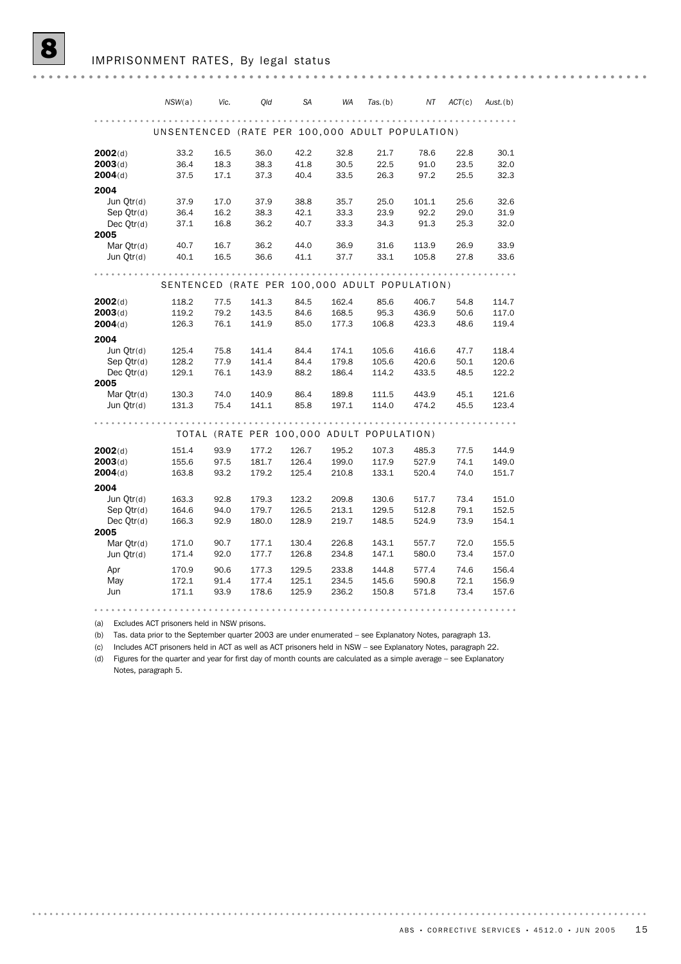|              | NSW(a)                                          | Vic. | Qld                                           | <b>SA</b> | <b>WA</b> | $Tas.$ (b) | ΝT    | ACT(c) | $Aust.$ (b) |
|--------------|-------------------------------------------------|------|-----------------------------------------------|-----------|-----------|------------|-------|--------|-------------|
|              |                                                 |      |                                               |           |           |            |       |        |             |
|              | UNSENTENCED (RATE PER 100,000 ADULT POPULATION) |      |                                               |           |           |            |       |        |             |
| 2002(d)      | 33.2                                            | 16.5 | 36.0                                          | 42.2      | 32.8      | 21.7       | 78.6  | 22.8   | 30.1        |
| 2003(d)      | 36.4                                            | 18.3 | 38.3                                          | 41.8      | 30.5      | 22.5       | 91.0  | 23.5   | 32.0        |
| 2004(d)      | 37.5                                            | 17.1 | 37.3                                          | 40.4      | 33.5      | 26.3       | 97.2  | 25.5   | 32.3        |
| 2004         |                                                 |      |                                               |           |           |            |       |        |             |
| Jun $Qtr(d)$ | 37.9                                            | 17.0 | 37.9                                          | 38.8      | 35.7      | 25.0       | 101.1 | 25.6   | 32.6        |
| Sep Qtr(d)   | 36.4                                            | 16.2 | 38.3                                          | 42.1      | 33.3      | 23.9       | 92.2  | 29.0   | 31.9        |
| Dec $Qtr(d)$ | 37.1                                            | 16.8 | 36.2                                          | 40.7      | 33.3      | 34.3       | 91.3  | 25.3   | 32.0        |
| 2005         |                                                 |      |                                               |           |           |            |       |        |             |
| Mar Otr(d)   | 40.7                                            | 16.7 | 36.2                                          | 44.0      | 36.9      | 31.6       | 113.9 | 26.9   | 33.9        |
| Jun $Qtr(d)$ | 40.1                                            | 16.5 | 36.6                                          | 41.1      | 37.7      | 33.1       | 105.8 | 27.8   | 33.6        |
|              |                                                 |      |                                               |           |           |            |       |        |             |
|              |                                                 |      |                                               |           |           |            |       |        |             |
|              |                                                 |      | SENTENCED (RATE PER 100,000 ADULT POPULATION) |           |           |            |       |        |             |
| 2002(d)      | 118.2                                           | 77.5 | 141.3                                         | 84.5      | 162.4     | 85.6       | 406.7 | 54.8   | 114.7       |
| 2003(d)      | 119.2                                           | 79.2 | 143.5                                         | 84.6      | 168.5     | 95.3       | 436.9 | 50.6   | 117.0       |
| 2004(d)      | 126.3                                           | 76.1 | 141.9                                         | 85.0      | 177.3     | 106.8      | 423.3 | 48.6   | 119.4       |
| 2004         |                                                 |      |                                               |           |           |            |       |        |             |
| Jun $Qtr(d)$ | 125.4                                           | 75.8 | 141.4                                         | 84.4      | 174.1     | 105.6      | 416.6 | 47.7   | 118.4       |
| Sep Qtr(d)   | 128.2                                           | 77.9 | 141.4                                         | 84.4      | 179.8     | 105.6      | 420.6 | 50.1   | 120.6       |
| Dec $Qtr(d)$ | 129.1                                           | 76.1 | 143.9                                         | 88.2      | 186.4     | 114.2      | 433.5 | 48.5   | 122.2       |
| 2005         |                                                 |      |                                               |           |           |            |       |        |             |
| Mar Qtr(d)   | 130.3                                           | 74.0 | 140.9                                         | 86.4      | 189.8     | 111.5      | 443.9 | 45.1   | 121.6       |
| Jun Otr(d)   | 131.3                                           | 75.4 | 141.1                                         | 85.8      | 197.1     | 114.0      | 474.2 | 45.5   | 123.4       |
|              |                                                 |      |                                               |           |           |            |       |        |             |
|              |                                                 |      | TOTAL (RATE PER 100,000 ADULT POPULATION)     |           |           |            |       |        |             |
| 2002(d)      | 151.4                                           | 93.9 | 177.2                                         | 126.7     | 195.2     | 107.3      | 485.3 | 77.5   | 144.9       |
| 2003(d)      | 155.6                                           | 97.5 | 181.7                                         | 126.4     | 199.0     | 117.9      | 527.9 | 74.1   | 149.0       |
| 2004(d)      | 163.8                                           | 93.2 | 179.2                                         | 125.4     | 210.8     | 133.1      | 520.4 | 74.0   | 151.7       |
| 2004         |                                                 |      |                                               |           |           |            |       |        |             |
| Jun $Qtr(d)$ | 163.3                                           | 92.8 | 179.3                                         | 123.2     | 209.8     | 130.6      | 517.7 | 73.4   | 151.0       |
| Sep Qtr(d)   | 164.6                                           | 94.0 | 179.7                                         | 126.5     | 213.1     | 129.5      | 512.8 | 79.1   | 152.5       |
| Dec $Qtr(d)$ | 166.3                                           | 92.9 | 180.0                                         | 128.9     | 219.7     | 148.5      | 524.9 | 73.9   | 154.1       |
| 2005         |                                                 |      |                                               |           |           |            |       |        |             |
| Mar $Qtr(d)$ | 171.0                                           | 90.7 | 177.1                                         | 130.4     | 226.8     | 143.1      | 557.7 | 72.0   | 155.5       |
| Jun Otr(d)   | 171.4                                           | 92.0 | 177.7                                         | 126.8     | 234.8     | 147.1      | 580.0 | 73.4   | 157.0       |
| Apr          | 170.9                                           | 90.6 | 177.3                                         | 129.5     | 233.8     | 144.8      | 577.4 | 74.6   | 156.4       |
| May          | 172.1                                           | 91.4 | 177.4                                         | 125.1     | 234.5     | 145.6      | 590.8 | 72.1   | 156.9       |
| Jun          | 171.1                                           | 93.9 | 178.6                                         | 125.9     | 236.2     | 150.8      | 571.8 | 73.4   | 157.6       |
|              |                                                 |      |                                               |           |           |            |       |        |             |

(a) Excludes ACT prisoners held in NSW prisons.

(b) Tas. data prior to the September quarter 2003 are under enumerated – see Explanatory Notes, paragraph 13.

(c) Includes ACT prisoners held in ACT as well as ACT prisoners held in NSW – see Explanatory Notes, paragraph 22.

(d) Figures for the quarter and year for first day of month counts are calculated as a simple average – see Explanatory Notes, paragraph 5.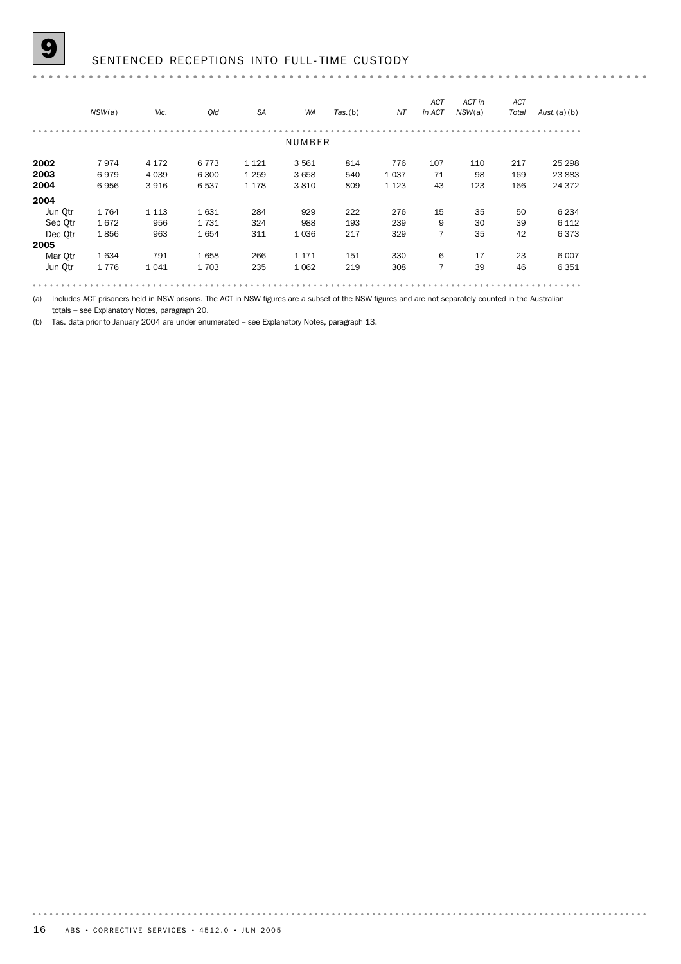#### SENTENCED RECEPTIONS INTO FULL-TIME CUSTODY

|         | NSW(a) | Vic.    | Qld     | <b>SA</b> | <b>WA</b> | $Tas.$ (b) | ΝT      | <b>ACT</b><br>in ACT | ACT in<br>NSW(a) | ACT<br>Total | Aust. $(a)(b)$ |
|---------|--------|---------|---------|-----------|-----------|------------|---------|----------------------|------------------|--------------|----------------|
|         |        |         |         |           | NUMBER    |            |         |                      |                  |              |                |
| 2002    | 7974   | 4 1 7 2 | 6 7 7 3 | 1 1 2 1   | 3561      | 814        | 776     | 107                  | 110              | 217          | 25 298         |
| 2003    | 6979   | 4 0 3 9 | 6 3 0 0 | 1 2 5 9   | 3 6 5 8   | 540        | 1037    | 71                   | 98               | 169          | 23 8 83        |
| 2004    | 6956   | 3916    | 6537    | 1 1 7 8   | 3810      | 809        | 1 1 2 3 | 43                   | 123              | 166          | 24 3 72        |
| 2004    |        |         |         |           |           |            |         |                      |                  |              |                |
| Jun Qtr | 1764   | 1 1 1 3 | 1631    | 284       | 929       | 222        | 276     | 15                   | 35               | 50           | 6 2 3 4        |
| Sep Otr | 1672   | 956     | 1731    | 324       | 988       | 193        | 239     | 9                    | 30               | 39           | 6 1 1 2        |
| Dec Otr | 1856   | 963     | 1654    | 311       | 1036      | 217        | 329     | $\overline{7}$       | 35               | 42           | 6373           |
| 2005    |        |         |         |           |           |            |         |                      |                  |              |                |
| Mar Otr | 1634   | 791     | 1658    | 266       | 1 1 7 1   | 151        | 330     | 6                    | 17               | 23           | 6 0 0 7        |
| Jun Otr | 1776   | 1041    | 1 7 0 3 | 235       | 1 0 6 2   | 219        | 308     | 7                    | 39               | 46           | 6 3 5 1        |
|         |        |         |         |           |           |            |         |                      |                  |              |                |

(a) Includes ACT prisoners held in NSW prisons. The ACT in NSW figures are a subset of the NSW figures and are not separately counted in the Australian totals – see Explanatory Notes, paragraph 20.

(b) Tas. data prior to January 2004 are under enumerated – see Explanatory Notes, paragraph 13.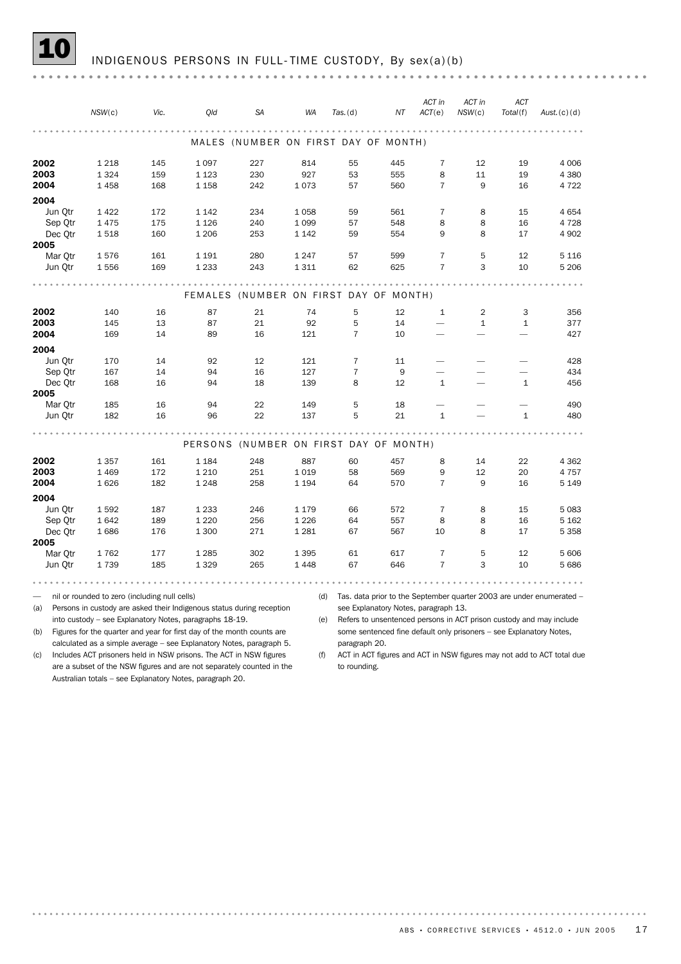

#### 10 INDIGENOUS PERSONS IN FULL- TIME CUSTODY, By sex(a)(b)

|                 | NSW(c)             | Vic.       | Old                | <b>SA</b>                              | <b>WA</b>   | Tas.(d)        | ΝT         | ACT in<br>ACT(e)         | ACT in<br>NSW(c) | <b>ACT</b><br>Total(f) | Aust. (c) (d)      |
|-----------------|--------------------|------------|--------------------|----------------------------------------|-------------|----------------|------------|--------------------------|------------------|------------------------|--------------------|
|                 |                    |            |                    |                                        |             |                |            |                          |                  |                        |                    |
|                 |                    |            |                    | MALES (NUMBER ON FIRST DAY OF MONTH)   |             |                |            |                          |                  |                        |                    |
|                 |                    |            |                    |                                        |             |                |            |                          |                  |                        |                    |
| 2002            | 1 2 1 8            | 145        | 1 0 9 7            | 227                                    | 814         | 55             | 445        | $\overline{7}$           | 12               | 19                     | 4 0 0 6            |
| 2003<br>2004    | 1 3 2 4<br>1 4 5 8 | 159<br>168 | 1 1 2 3<br>1 1 5 8 | 230<br>242                             | 927<br>1073 | 53<br>57       | 555<br>560 | 8<br>$\overline{7}$      | 11<br>9          | 19<br>16               | 4 3 8 0<br>4 7 2 2 |
|                 |                    |            |                    |                                        |             |                |            |                          |                  |                        |                    |
| 2004            |                    |            |                    |                                        |             |                |            |                          |                  |                        |                    |
| Jun Qtr         | 1 4 2 2            | 172        | 1 1 4 2            | 234                                    | 1 0 5 8     | 59             | 561        | $\overline{7}$           | 8                | 15                     | 4 6 5 4            |
| Sep Qtr         | 1475               | 175        | 1 1 2 6            | 240                                    | 1 0 9 9     | 57             | 548        | 8                        | 8                | 16                     | 4728               |
| Dec Qtr<br>2005 | 1518               | 160        | 1 2 0 6            | 253                                    | 1 1 4 2     | 59             | 554        | 9                        | 8                | 17                     | 4 9 0 2            |
| Mar Qtr         | 1576               | 161        | 1 1 9 1            | 280                                    | 1 2 4 7     | 57             | 599        | $\overline{7}$           | 5                | 12                     | 5 1 1 6            |
| Jun Qtr         | 1556               | 169        | 1 2 3 3            | 243                                    | 1 3 1 1     | 62             | 625        | $\overline{7}$           | 3                | 10                     | 5 2 0 6            |
|                 |                    |            |                    |                                        |             |                |            |                          |                  |                        |                    |
|                 |                    |            |                    |                                        |             |                |            |                          |                  |                        |                    |
|                 |                    |            |                    | FEMALES (NUMBER ON FIRST DAY OF MONTH) |             |                |            |                          |                  |                        |                    |
| 2002            | 140                | 16         | 87                 | 21                                     | 74          | 5              | 12         | $\mathbf{1}$             | $\overline{2}$   | 3                      | 356                |
| 2003            | 145                | 13         | 87                 | 21                                     | 92          | 5              | 14         | $\overline{\phantom{0}}$ | $\mathbf{1}$     | $\mathbf{1}$           | 377                |
| 2004            | 169                | 14         | 89                 | 16                                     | 121         | $\overline{7}$ | 10         | $\overline{\phantom{0}}$ |                  |                        | 427                |
| 2004            |                    |            |                    |                                        |             |                |            |                          |                  |                        |                    |
| Jun Qtr         | 170                | 14         | 92                 | 12                                     | 121         | $\overline{7}$ | 11         | $\overline{\phantom{0}}$ |                  |                        | 428                |
| Sep Otr         | 167                | 14         | 94                 | 16                                     | 127         | $\overline{7}$ | 9          |                          |                  |                        | 434                |
| Dec Qtr         | 168                | 16         | 94                 | 18                                     | 139         | 8              | 12         | $\mathbf{1}$             |                  | 1                      | 456                |
| 2005            |                    |            |                    |                                        |             |                |            |                          |                  |                        |                    |
| Mar Otr         | 185                | 16         | 94                 | 22                                     | 149         | 5              | 18         |                          |                  |                        | 490                |
| Jun Qtr         | 182                | 16         | 96                 | 22                                     | 137         | 5              | 21         | $\mathbf{1}$             |                  | $\mathbf{1}$           | 480                |
|                 |                    |            |                    |                                        |             |                |            |                          |                  |                        |                    |
|                 |                    |            |                    | PERSONS (NUMBER ON FIRST DAY OF MONTH) |             |                |            |                          |                  |                        |                    |
| 2002            | 1 3 5 7            | 161        | 1 1 8 4            | 248                                    | 887         | 60             | 457        | 8                        | 14               | 22                     | 4 3 6 2            |
| 2003            | 1 4 6 9            | 172        | 1 2 1 0            | 251                                    | 1 0 1 9     | 58             | 569        | 9                        | 12               | 20                     | 4757               |
| 2004            | 1626               | 182        | 1 2 4 8            | 258                                    | 1 1 9 4     | 64             | 570        | $\overline{7}$           | 9                | 16                     | 5 1 4 9            |
| 2004            |                    |            |                    |                                        |             |                |            |                          |                  |                        |                    |
| Jun Qtr         | 1592               | 187        | 1 2 3 3            | 246                                    | 1 1 7 9     | 66             | 572        | $\overline{7}$           | 8                | 15                     | 5 0 8 3            |
| Sep Qtr         | 1642               | 189        | 1 2 2 0            | 256                                    | 1 2 2 6     | 64             | 557        | 8                        | 8                | 16                     | 5 1 6 2            |
| Dec Qtr<br>2005 | 1686               | 176        | 1 300              | 271                                    | 1 2 8 1     | 67             | 567        | 10                       | 8                | 17                     | 5 3 5 8            |
| Mar Qtr         | 1762               | 177        | 1 2 8 5            | 302                                    | 1 3 9 5     | 61             | 617        | $\overline{7}$           | 5                | 12                     | 5 606              |
| Jun Qtr         | 1739               | 185        | 1 3 2 9            | 265                                    | 1448        | 67             | 646        | $\overline{7}$           | 3                | 10                     | 5 6 8 6            |
|                 |                    |            |                    |                                        |             |                |            |                          |                  |                        |                    |

— nil or rounded to zero (including null cells)

(a) Persons in custody are asked their Indigenous status during reception

(d) Tas. data prior to the September quarter 2003 are under enumerated –

into custody – see Explanatory Notes, paragraphs 18-19.

(b) Figures for the quarter and year for first day of the month counts are calculated as a simple average – see Explanatory Notes, paragraph 5.

(c) Includes ACT prisoners held in NSW prisons. The ACT in NSW figures are a subset of the NSW figures and are not separately counted in the Australian totals – see Explanatory Notes, paragraph 20.

see Explanatory Notes, paragraph 13. (e) Refers to unsentenced persons in ACT prison custody and may include

some sentenced fine default only prisoners – see Explanatory Notes, paragraph 20.

(f) ACT in ACT figures and ACT in NSW figures may not add to ACT total due to rounding.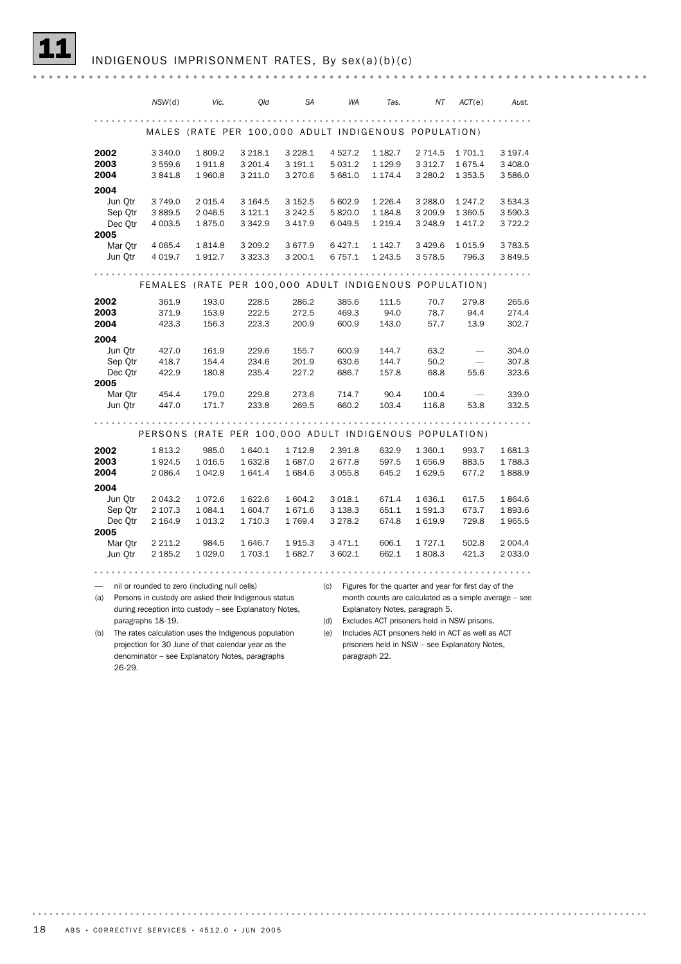| MALES (RATE PER 100,000 ADULT INDIGENOUS POPULATION)<br>2002<br>1809.2<br>3 2 18.1<br>3 2 2 8 . 1<br>1 182.7<br>2 7 1 4.5<br>3 3 4 0.0<br>4 5 27.2<br>1 701.1<br>3 197.4<br>2003<br>1911.8<br>3 201.4<br>5 0 3 1.2<br>1 1 2 9.9<br>3 3 1 2.7<br>1675.4<br>3 559.6<br>3 191.1<br>3 4 0 8.0<br>2004<br>3841.8<br>1960.8<br>3 211.0<br>3 2 7 0.6<br>5 681.0<br>1 174.4<br>3 2 8 0.2<br>1 3 5 3 . 5<br>3 586.0<br>2004<br>Jun Qtr<br>3749.0<br>2 0 1 5.4<br>3 1 64.5<br>3 152.5<br>5 602.9<br>1 2 2 6.4<br>3 2 8 8 . 0<br>1 247.2<br>3 5 3 4 . 3<br>Sep Otr<br>3889.5<br>2 046.5<br>3 121.1<br>3 2 4 2.5<br>5820.0<br>3 209.9<br>3 590.3<br>1 1 8 4 . 8<br>1 360.5<br>Dec Otr<br>4 003.5<br>1875.0<br>3 342.9<br>6 0 4 9.5<br>1 2 1 9.4<br>3 2 4 8 .9<br>1417.2<br>3722.2<br>3417.9<br>2005<br>Mar Otr<br>4 0 65.4<br>1814.8<br>3 209.2<br>3677.9<br>6427.1<br>1 142.7<br>3 4 2 9.6<br>1015.9<br>3783.5<br>Jun Qtr<br>4 0 19.7<br>1912.7<br>3 3 2 3 . 3<br>3 200.1<br>6 7 5 7.1<br>1 2 4 3 .5<br>3578.5<br>796.3<br>3849.5<br>(RATE PER 100,000 ADULT INDIGENOUS POPULATION)<br>FEMALES<br>2002<br>361.9<br>193.0<br>228.5<br>286.2<br>385.6<br>111.5<br>70.7<br>279.8<br>265.6<br>2003<br>371.9<br>153.9<br>222.5<br>272.5<br>469.3<br>94.0<br>78.7<br>94.4<br>274.4<br>2004<br>143.0<br>57.7<br>423.3<br>156.3<br>223.3<br>200.9<br>600.9<br>13.9<br>302.7<br>2004<br>Jun Otr<br>427.0<br>161.9<br>229.6<br>155.7<br>600.9<br>144.7<br>63.2<br>304.0<br>418.7<br>234.6<br>201.9<br>630.6<br>144.7<br>50.2<br>307.8<br>Sep Qtr<br>154.4<br>Dec Otr<br>422.9<br>180.8<br>235.4<br>227.2<br>686.7<br>157.8<br>68.8<br>55.6<br>323.6<br>2005<br>Mar Otr<br>454.4<br>179.0<br>229.8<br>273.6<br>714.7<br>90.4<br>100.4<br>339.0<br>Jun Qtr<br>447.0<br>233.8<br>269.5<br>660.2<br>103.4<br>116.8<br>53.8<br>332.5<br>171.7<br>PERSONS (RATE PER 100,000 ADULT INDIGENOUS POPULATION)<br>2002<br>1813.2<br>985.0<br>1 640.1<br>1 7 1 2.8<br>2 3 9 1.8<br>632.9<br>1 3 6 0.1<br>993.7<br>1681.3<br>2003<br>1924.5<br>1 0 1 6.5<br>1 632.8<br>1687.0<br>2677.8<br>597.5<br>1656.9<br>883.5<br>1788.3<br>2004<br>1 0 4 2.9<br>1 641.4<br>645.2<br>677.2<br>2 086.4<br>1684.6<br>3 0 5 5.8<br>1629.5<br>1888.9<br>2004<br>3 0 18.1<br>Jun Otr<br>2 043.2<br>1072.6<br>1 622.6<br>1 604.2<br>671.4<br>1636.1<br>617.5<br>1864.6<br>Sep Qtr<br>2 107.3<br>1 0 8 4 . 1<br>1 604.7<br>1671.6<br>3 1 38.3<br>651.1<br>1591.3<br>673.7<br>1893.6<br>729.8<br>Dec Otr<br>2 164.9<br>1 013.2<br>1 710.3<br>1769.4<br>3 2 7 8 . 2<br>674.8<br>1619.9<br>1965.5<br>2005<br>Mar Qtr<br>2 2 1 1.2<br>3 4 7 1.1<br>606.1<br>502.8<br>984.5<br>1 646.7<br>1915.3<br>1 7 2 7 . 1<br>2 0 0 4.4<br>Jun Qtr<br>2 185.2<br>1 0 29.0<br>1 703.1<br>1682.7<br>3 602.1<br>662.1<br>421.3<br>2 0 3 3 .0<br>1808.3<br>nil or rounded to zero (including null cells)<br>(c)<br>Figures for the quarter and year for first day of the<br>Persons in custody are asked their Indigenous status<br>(a)<br>month counts are calculated as a simple average - see<br>during reception into custody - see Explanatory Notes,<br>Explanatory Notes, paragraph 5. | NSW(d) | Vic. | Old | <b>SA</b> | <b>WA</b> | Tas. | ΝT | ACT(e) | Aust. |
|----------------------------------------------------------------------------------------------------------------------------------------------------------------------------------------------------------------------------------------------------------------------------------------------------------------------------------------------------------------------------------------------------------------------------------------------------------------------------------------------------------------------------------------------------------------------------------------------------------------------------------------------------------------------------------------------------------------------------------------------------------------------------------------------------------------------------------------------------------------------------------------------------------------------------------------------------------------------------------------------------------------------------------------------------------------------------------------------------------------------------------------------------------------------------------------------------------------------------------------------------------------------------------------------------------------------------------------------------------------------------------------------------------------------------------------------------------------------------------------------------------------------------------------------------------------------------------------------------------------------------------------------------------------------------------------------------------------------------------------------------------------------------------------------------------------------------------------------------------------------------------------------------------------------------------------------------------------------------------------------------------------------------------------------------------------------------------------------------------------------------------------------------------------------------------------------------------------------------------------------------------------------------------------------------------------------------------------------------------------------------------------------------------------------------------------------------------------------------------------------------------------------------------------------------------------------------------------------------------------------------------------------------------------------------------------------------------------------------------------------------------------------------------------------------------------------------------------------------------------------------------------------------------------------------------------------------------------------------------------------------------------------------------------------------------------------------------------------------------------------|--------|------|-----|-----------|-----------|------|----|--------|-------|
|                                                                                                                                                                                                                                                                                                                                                                                                                                                                                                                                                                                                                                                                                                                                                                                                                                                                                                                                                                                                                                                                                                                                                                                                                                                                                                                                                                                                                                                                                                                                                                                                                                                                                                                                                                                                                                                                                                                                                                                                                                                                                                                                                                                                                                                                                                                                                                                                                                                                                                                                                                                                                                                                                                                                                                                                                                                                                                                                                                                                                                                                                                                      |        |      |     |           |           |      |    |        |       |
|                                                                                                                                                                                                                                                                                                                                                                                                                                                                                                                                                                                                                                                                                                                                                                                                                                                                                                                                                                                                                                                                                                                                                                                                                                                                                                                                                                                                                                                                                                                                                                                                                                                                                                                                                                                                                                                                                                                                                                                                                                                                                                                                                                                                                                                                                                                                                                                                                                                                                                                                                                                                                                                                                                                                                                                                                                                                                                                                                                                                                                                                                                                      |        |      |     |           |           |      |    |        |       |
|                                                                                                                                                                                                                                                                                                                                                                                                                                                                                                                                                                                                                                                                                                                                                                                                                                                                                                                                                                                                                                                                                                                                                                                                                                                                                                                                                                                                                                                                                                                                                                                                                                                                                                                                                                                                                                                                                                                                                                                                                                                                                                                                                                                                                                                                                                                                                                                                                                                                                                                                                                                                                                                                                                                                                                                                                                                                                                                                                                                                                                                                                                                      |        |      |     |           |           |      |    |        |       |
|                                                                                                                                                                                                                                                                                                                                                                                                                                                                                                                                                                                                                                                                                                                                                                                                                                                                                                                                                                                                                                                                                                                                                                                                                                                                                                                                                                                                                                                                                                                                                                                                                                                                                                                                                                                                                                                                                                                                                                                                                                                                                                                                                                                                                                                                                                                                                                                                                                                                                                                                                                                                                                                                                                                                                                                                                                                                                                                                                                                                                                                                                                                      |        |      |     |           |           |      |    |        |       |
|                                                                                                                                                                                                                                                                                                                                                                                                                                                                                                                                                                                                                                                                                                                                                                                                                                                                                                                                                                                                                                                                                                                                                                                                                                                                                                                                                                                                                                                                                                                                                                                                                                                                                                                                                                                                                                                                                                                                                                                                                                                                                                                                                                                                                                                                                                                                                                                                                                                                                                                                                                                                                                                                                                                                                                                                                                                                                                                                                                                                                                                                                                                      |        |      |     |           |           |      |    |        |       |
|                                                                                                                                                                                                                                                                                                                                                                                                                                                                                                                                                                                                                                                                                                                                                                                                                                                                                                                                                                                                                                                                                                                                                                                                                                                                                                                                                                                                                                                                                                                                                                                                                                                                                                                                                                                                                                                                                                                                                                                                                                                                                                                                                                                                                                                                                                                                                                                                                                                                                                                                                                                                                                                                                                                                                                                                                                                                                                                                                                                                                                                                                                                      |        |      |     |           |           |      |    |        |       |
|                                                                                                                                                                                                                                                                                                                                                                                                                                                                                                                                                                                                                                                                                                                                                                                                                                                                                                                                                                                                                                                                                                                                                                                                                                                                                                                                                                                                                                                                                                                                                                                                                                                                                                                                                                                                                                                                                                                                                                                                                                                                                                                                                                                                                                                                                                                                                                                                                                                                                                                                                                                                                                                                                                                                                                                                                                                                                                                                                                                                                                                                                                                      |        |      |     |           |           |      |    |        |       |
|                                                                                                                                                                                                                                                                                                                                                                                                                                                                                                                                                                                                                                                                                                                                                                                                                                                                                                                                                                                                                                                                                                                                                                                                                                                                                                                                                                                                                                                                                                                                                                                                                                                                                                                                                                                                                                                                                                                                                                                                                                                                                                                                                                                                                                                                                                                                                                                                                                                                                                                                                                                                                                                                                                                                                                                                                                                                                                                                                                                                                                                                                                                      |        |      |     |           |           |      |    |        |       |
|                                                                                                                                                                                                                                                                                                                                                                                                                                                                                                                                                                                                                                                                                                                                                                                                                                                                                                                                                                                                                                                                                                                                                                                                                                                                                                                                                                                                                                                                                                                                                                                                                                                                                                                                                                                                                                                                                                                                                                                                                                                                                                                                                                                                                                                                                                                                                                                                                                                                                                                                                                                                                                                                                                                                                                                                                                                                                                                                                                                                                                                                                                                      |        |      |     |           |           |      |    |        |       |
|                                                                                                                                                                                                                                                                                                                                                                                                                                                                                                                                                                                                                                                                                                                                                                                                                                                                                                                                                                                                                                                                                                                                                                                                                                                                                                                                                                                                                                                                                                                                                                                                                                                                                                                                                                                                                                                                                                                                                                                                                                                                                                                                                                                                                                                                                                                                                                                                                                                                                                                                                                                                                                                                                                                                                                                                                                                                                                                                                                                                                                                                                                                      |        |      |     |           |           |      |    |        |       |
|                                                                                                                                                                                                                                                                                                                                                                                                                                                                                                                                                                                                                                                                                                                                                                                                                                                                                                                                                                                                                                                                                                                                                                                                                                                                                                                                                                                                                                                                                                                                                                                                                                                                                                                                                                                                                                                                                                                                                                                                                                                                                                                                                                                                                                                                                                                                                                                                                                                                                                                                                                                                                                                                                                                                                                                                                                                                                                                                                                                                                                                                                                                      |        |      |     |           |           |      |    |        |       |
|                                                                                                                                                                                                                                                                                                                                                                                                                                                                                                                                                                                                                                                                                                                                                                                                                                                                                                                                                                                                                                                                                                                                                                                                                                                                                                                                                                                                                                                                                                                                                                                                                                                                                                                                                                                                                                                                                                                                                                                                                                                                                                                                                                                                                                                                                                                                                                                                                                                                                                                                                                                                                                                                                                                                                                                                                                                                                                                                                                                                                                                                                                                      |        |      |     |           |           |      |    |        |       |
|                                                                                                                                                                                                                                                                                                                                                                                                                                                                                                                                                                                                                                                                                                                                                                                                                                                                                                                                                                                                                                                                                                                                                                                                                                                                                                                                                                                                                                                                                                                                                                                                                                                                                                                                                                                                                                                                                                                                                                                                                                                                                                                                                                                                                                                                                                                                                                                                                                                                                                                                                                                                                                                                                                                                                                                                                                                                                                                                                                                                                                                                                                                      |        |      |     |           |           |      |    |        |       |
|                                                                                                                                                                                                                                                                                                                                                                                                                                                                                                                                                                                                                                                                                                                                                                                                                                                                                                                                                                                                                                                                                                                                                                                                                                                                                                                                                                                                                                                                                                                                                                                                                                                                                                                                                                                                                                                                                                                                                                                                                                                                                                                                                                                                                                                                                                                                                                                                                                                                                                                                                                                                                                                                                                                                                                                                                                                                                                                                                                                                                                                                                                                      |        |      |     |           |           |      |    |        |       |
|                                                                                                                                                                                                                                                                                                                                                                                                                                                                                                                                                                                                                                                                                                                                                                                                                                                                                                                                                                                                                                                                                                                                                                                                                                                                                                                                                                                                                                                                                                                                                                                                                                                                                                                                                                                                                                                                                                                                                                                                                                                                                                                                                                                                                                                                                                                                                                                                                                                                                                                                                                                                                                                                                                                                                                                                                                                                                                                                                                                                                                                                                                                      |        |      |     |           |           |      |    |        |       |
|                                                                                                                                                                                                                                                                                                                                                                                                                                                                                                                                                                                                                                                                                                                                                                                                                                                                                                                                                                                                                                                                                                                                                                                                                                                                                                                                                                                                                                                                                                                                                                                                                                                                                                                                                                                                                                                                                                                                                                                                                                                                                                                                                                                                                                                                                                                                                                                                                                                                                                                                                                                                                                                                                                                                                                                                                                                                                                                                                                                                                                                                                                                      |        |      |     |           |           |      |    |        |       |
|                                                                                                                                                                                                                                                                                                                                                                                                                                                                                                                                                                                                                                                                                                                                                                                                                                                                                                                                                                                                                                                                                                                                                                                                                                                                                                                                                                                                                                                                                                                                                                                                                                                                                                                                                                                                                                                                                                                                                                                                                                                                                                                                                                                                                                                                                                                                                                                                                                                                                                                                                                                                                                                                                                                                                                                                                                                                                                                                                                                                                                                                                                                      |        |      |     |           |           |      |    |        |       |
|                                                                                                                                                                                                                                                                                                                                                                                                                                                                                                                                                                                                                                                                                                                                                                                                                                                                                                                                                                                                                                                                                                                                                                                                                                                                                                                                                                                                                                                                                                                                                                                                                                                                                                                                                                                                                                                                                                                                                                                                                                                                                                                                                                                                                                                                                                                                                                                                                                                                                                                                                                                                                                                                                                                                                                                                                                                                                                                                                                                                                                                                                                                      |        |      |     |           |           |      |    |        |       |
|                                                                                                                                                                                                                                                                                                                                                                                                                                                                                                                                                                                                                                                                                                                                                                                                                                                                                                                                                                                                                                                                                                                                                                                                                                                                                                                                                                                                                                                                                                                                                                                                                                                                                                                                                                                                                                                                                                                                                                                                                                                                                                                                                                                                                                                                                                                                                                                                                                                                                                                                                                                                                                                                                                                                                                                                                                                                                                                                                                                                                                                                                                                      |        |      |     |           |           |      |    |        |       |
|                                                                                                                                                                                                                                                                                                                                                                                                                                                                                                                                                                                                                                                                                                                                                                                                                                                                                                                                                                                                                                                                                                                                                                                                                                                                                                                                                                                                                                                                                                                                                                                                                                                                                                                                                                                                                                                                                                                                                                                                                                                                                                                                                                                                                                                                                                                                                                                                                                                                                                                                                                                                                                                                                                                                                                                                                                                                                                                                                                                                                                                                                                                      |        |      |     |           |           |      |    |        |       |
|                                                                                                                                                                                                                                                                                                                                                                                                                                                                                                                                                                                                                                                                                                                                                                                                                                                                                                                                                                                                                                                                                                                                                                                                                                                                                                                                                                                                                                                                                                                                                                                                                                                                                                                                                                                                                                                                                                                                                                                                                                                                                                                                                                                                                                                                                                                                                                                                                                                                                                                                                                                                                                                                                                                                                                                                                                                                                                                                                                                                                                                                                                                      |        |      |     |           |           |      |    |        |       |
|                                                                                                                                                                                                                                                                                                                                                                                                                                                                                                                                                                                                                                                                                                                                                                                                                                                                                                                                                                                                                                                                                                                                                                                                                                                                                                                                                                                                                                                                                                                                                                                                                                                                                                                                                                                                                                                                                                                                                                                                                                                                                                                                                                                                                                                                                                                                                                                                                                                                                                                                                                                                                                                                                                                                                                                                                                                                                                                                                                                                                                                                                                                      |        |      |     |           |           |      |    |        |       |
|                                                                                                                                                                                                                                                                                                                                                                                                                                                                                                                                                                                                                                                                                                                                                                                                                                                                                                                                                                                                                                                                                                                                                                                                                                                                                                                                                                                                                                                                                                                                                                                                                                                                                                                                                                                                                                                                                                                                                                                                                                                                                                                                                                                                                                                                                                                                                                                                                                                                                                                                                                                                                                                                                                                                                                                                                                                                                                                                                                                                                                                                                                                      |        |      |     |           |           |      |    |        |       |
|                                                                                                                                                                                                                                                                                                                                                                                                                                                                                                                                                                                                                                                                                                                                                                                                                                                                                                                                                                                                                                                                                                                                                                                                                                                                                                                                                                                                                                                                                                                                                                                                                                                                                                                                                                                                                                                                                                                                                                                                                                                                                                                                                                                                                                                                                                                                                                                                                                                                                                                                                                                                                                                                                                                                                                                                                                                                                                                                                                                                                                                                                                                      |        |      |     |           |           |      |    |        |       |
|                                                                                                                                                                                                                                                                                                                                                                                                                                                                                                                                                                                                                                                                                                                                                                                                                                                                                                                                                                                                                                                                                                                                                                                                                                                                                                                                                                                                                                                                                                                                                                                                                                                                                                                                                                                                                                                                                                                                                                                                                                                                                                                                                                                                                                                                                                                                                                                                                                                                                                                                                                                                                                                                                                                                                                                                                                                                                                                                                                                                                                                                                                                      |        |      |     |           |           |      |    |        |       |
|                                                                                                                                                                                                                                                                                                                                                                                                                                                                                                                                                                                                                                                                                                                                                                                                                                                                                                                                                                                                                                                                                                                                                                                                                                                                                                                                                                                                                                                                                                                                                                                                                                                                                                                                                                                                                                                                                                                                                                                                                                                                                                                                                                                                                                                                                                                                                                                                                                                                                                                                                                                                                                                                                                                                                                                                                                                                                                                                                                                                                                                                                                                      |        |      |     |           |           |      |    |        |       |
|                                                                                                                                                                                                                                                                                                                                                                                                                                                                                                                                                                                                                                                                                                                                                                                                                                                                                                                                                                                                                                                                                                                                                                                                                                                                                                                                                                                                                                                                                                                                                                                                                                                                                                                                                                                                                                                                                                                                                                                                                                                                                                                                                                                                                                                                                                                                                                                                                                                                                                                                                                                                                                                                                                                                                                                                                                                                                                                                                                                                                                                                                                                      |        |      |     |           |           |      |    |        |       |
|                                                                                                                                                                                                                                                                                                                                                                                                                                                                                                                                                                                                                                                                                                                                                                                                                                                                                                                                                                                                                                                                                                                                                                                                                                                                                                                                                                                                                                                                                                                                                                                                                                                                                                                                                                                                                                                                                                                                                                                                                                                                                                                                                                                                                                                                                                                                                                                                                                                                                                                                                                                                                                                                                                                                                                                                                                                                                                                                                                                                                                                                                                                      |        |      |     |           |           |      |    |        |       |
|                                                                                                                                                                                                                                                                                                                                                                                                                                                                                                                                                                                                                                                                                                                                                                                                                                                                                                                                                                                                                                                                                                                                                                                                                                                                                                                                                                                                                                                                                                                                                                                                                                                                                                                                                                                                                                                                                                                                                                                                                                                                                                                                                                                                                                                                                                                                                                                                                                                                                                                                                                                                                                                                                                                                                                                                                                                                                                                                                                                                                                                                                                                      |        |      |     |           |           |      |    |        |       |
|                                                                                                                                                                                                                                                                                                                                                                                                                                                                                                                                                                                                                                                                                                                                                                                                                                                                                                                                                                                                                                                                                                                                                                                                                                                                                                                                                                                                                                                                                                                                                                                                                                                                                                                                                                                                                                                                                                                                                                                                                                                                                                                                                                                                                                                                                                                                                                                                                                                                                                                                                                                                                                                                                                                                                                                                                                                                                                                                                                                                                                                                                                                      |        |      |     |           |           |      |    |        |       |
|                                                                                                                                                                                                                                                                                                                                                                                                                                                                                                                                                                                                                                                                                                                                                                                                                                                                                                                                                                                                                                                                                                                                                                                                                                                                                                                                                                                                                                                                                                                                                                                                                                                                                                                                                                                                                                                                                                                                                                                                                                                                                                                                                                                                                                                                                                                                                                                                                                                                                                                                                                                                                                                                                                                                                                                                                                                                                                                                                                                                                                                                                                                      |        |      |     |           |           |      |    |        |       |
|                                                                                                                                                                                                                                                                                                                                                                                                                                                                                                                                                                                                                                                                                                                                                                                                                                                                                                                                                                                                                                                                                                                                                                                                                                                                                                                                                                                                                                                                                                                                                                                                                                                                                                                                                                                                                                                                                                                                                                                                                                                                                                                                                                                                                                                                                                                                                                                                                                                                                                                                                                                                                                                                                                                                                                                                                                                                                                                                                                                                                                                                                                                      |        |      |     |           |           |      |    |        |       |
|                                                                                                                                                                                                                                                                                                                                                                                                                                                                                                                                                                                                                                                                                                                                                                                                                                                                                                                                                                                                                                                                                                                                                                                                                                                                                                                                                                                                                                                                                                                                                                                                                                                                                                                                                                                                                                                                                                                                                                                                                                                                                                                                                                                                                                                                                                                                                                                                                                                                                                                                                                                                                                                                                                                                                                                                                                                                                                                                                                                                                                                                                                                      |        |      |     |           |           |      |    |        |       |
|                                                                                                                                                                                                                                                                                                                                                                                                                                                                                                                                                                                                                                                                                                                                                                                                                                                                                                                                                                                                                                                                                                                                                                                                                                                                                                                                                                                                                                                                                                                                                                                                                                                                                                                                                                                                                                                                                                                                                                                                                                                                                                                                                                                                                                                                                                                                                                                                                                                                                                                                                                                                                                                                                                                                                                                                                                                                                                                                                                                                                                                                                                                      |        |      |     |           |           |      |    |        |       |
|                                                                                                                                                                                                                                                                                                                                                                                                                                                                                                                                                                                                                                                                                                                                                                                                                                                                                                                                                                                                                                                                                                                                                                                                                                                                                                                                                                                                                                                                                                                                                                                                                                                                                                                                                                                                                                                                                                                                                                                                                                                                                                                                                                                                                                                                                                                                                                                                                                                                                                                                                                                                                                                                                                                                                                                                                                                                                                                                                                                                                                                                                                                      |        |      |     |           |           |      |    |        |       |
|                                                                                                                                                                                                                                                                                                                                                                                                                                                                                                                                                                                                                                                                                                                                                                                                                                                                                                                                                                                                                                                                                                                                                                                                                                                                                                                                                                                                                                                                                                                                                                                                                                                                                                                                                                                                                                                                                                                                                                                                                                                                                                                                                                                                                                                                                                                                                                                                                                                                                                                                                                                                                                                                                                                                                                                                                                                                                                                                                                                                                                                                                                                      |        |      |     |           |           |      |    |        |       |
|                                                                                                                                                                                                                                                                                                                                                                                                                                                                                                                                                                                                                                                                                                                                                                                                                                                                                                                                                                                                                                                                                                                                                                                                                                                                                                                                                                                                                                                                                                                                                                                                                                                                                                                                                                                                                                                                                                                                                                                                                                                                                                                                                                                                                                                                                                                                                                                                                                                                                                                                                                                                                                                                                                                                                                                                                                                                                                                                                                                                                                                                                                                      |        |      |     |           |           |      |    |        |       |

paragraphs 18-19. (b) The rates calculation uses the Indigenous population projection for 30 June of that calendar year as the

denominator – see Explanatory Notes, paragraphs 26-29.

(d) Excludes ACT prisoners held in NSW prisons.

(e) Includes ACT prisoners held in ACT as well as ACT prisoners held in NSW – see Explanatory Notes, paragraph 22.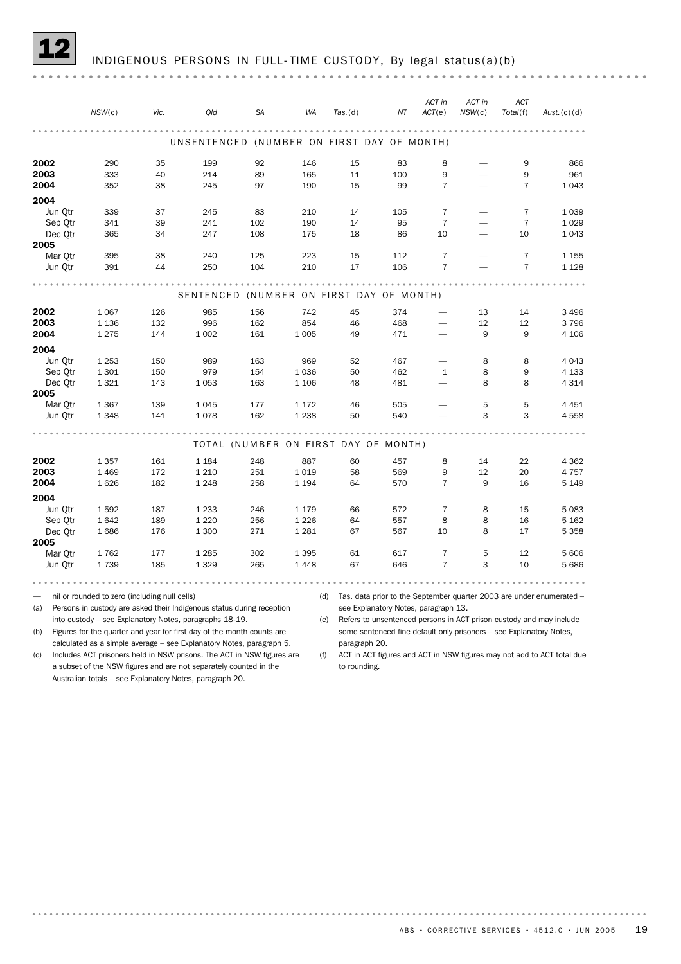# INDIGENOUS PERSONS IN FULL-TIME CUSTODY, By legal status(a)(b)

#### 

|                 | NSW(c)  | Vic. | Old                                        | <b>SA</b> | <b>WA</b> | $Tas.$ $(d)$ | NT                                   | ACT in<br>ACT(e)         | ACT in<br>NSW(c) | <b>ACT</b><br>Total(f) | Aust. (c) (d) |
|-----------------|---------|------|--------------------------------------------|-----------|-----------|--------------|--------------------------------------|--------------------------|------------------|------------------------|---------------|
|                 |         |      | UNSENTENCED (NUMBER ON FIRST DAY OF MONTH) |           |           |              |                                      |                          |                  |                        |               |
|                 |         |      |                                            |           |           |              |                                      |                          |                  |                        |               |
| 2002            | 290     | 35   | 199                                        | 92        | 146       | 15           | 83                                   | 8                        |                  | 9                      | 866           |
| 2003            | 333     | 40   | 214                                        | 89        | 165       | 11           | 100                                  | 9                        |                  | 9                      | 961           |
| 2004            | 352     | 38   | 245                                        | 97        | 190       | 15           | 99                                   | $\overline{7}$           |                  | $\overline{7}$         | 1043          |
| 2004            |         |      |                                            |           |           |              |                                      |                          |                  |                        |               |
| Jun Qtr         | 339     | 37   | 245                                        | 83        | 210       | 14           | 105                                  | $\overline{7}$           |                  | $\overline{7}$         | 1 0 3 9       |
| Sep Qtr         | 341     | 39   | 241                                        | 102       | 190       | 14           | 95                                   | $\overline{7}$           |                  | $\overline{7}$         | 1029          |
| Dec Otr         | 365     | 34   | 247                                        | 108       | 175       | 18           | 86                                   | 10                       |                  | 10                     | 1043          |
| 2005            |         |      |                                            |           |           |              |                                      |                          |                  |                        |               |
| Mar Qtr         | 395     | 38   | 240                                        | 125       | 223       | 15           | 112                                  | $\overline{7}$           |                  | $\overline{7}$         | 1 1 5 5       |
| Jun Qtr         | 391     | 44   | 250                                        | 104       | 210       | 17           | 106                                  | $\overline{7}$           |                  | $\overline{7}$         | 1 1 2 8       |
|                 |         |      |                                            |           |           |              |                                      |                          |                  |                        |               |
|                 |         |      | SENTENCED (NUMBER ON FIRST DAY OF MONTH)   |           |           |              |                                      |                          |                  |                        |               |
| 2002            | 1 0 6 7 | 126  | 985                                        | 156       | 742       | 45           | 374                                  |                          | 13               | 14                     | 3 4 9 6       |
| 2003            | 1 1 3 6 | 132  | 996                                        | 162       | 854       | 46           | 468                                  |                          | 12               | 12                     | 3796          |
| 2004            | 1 2 7 5 | 144  | 1 0 0 2                                    | 161       | 1 0 0 5   | 49           | 471                                  | $\overline{\phantom{0}}$ | 9                | 9                      | 4 1 0 6       |
| 2004            |         |      |                                            |           |           |              |                                      |                          |                  |                        |               |
| Jun Qtr         | 1 2 5 3 | 150  | 989                                        | 163       | 969       | 52           | 467                                  | $\overline{\phantom{0}}$ | 8                | 8                      | 4 0 4 3       |
| Sep Otr         | 1 3 0 1 | 150  | 979                                        | 154       | 1036      | 50           | 462                                  | $\mathbf{1}$             | 8                | 9                      | 4 1 3 3       |
| Dec Qtr         | 1 3 2 1 | 143  | 1 0 5 3                                    | 163       | 1 1 0 6   | 48           | 481                                  | $\overline{\phantom{0}}$ | 8                | 8                      | 4 3 1 4       |
| 2005            |         |      |                                            |           |           |              |                                      |                          |                  |                        |               |
| Mar Qtr         | 1 3 6 7 | 139  | 1 0 4 5                                    | 177       | 1 1 7 2   | 46           | 505                                  |                          | 5                | 5                      | 4 4 5 1       |
| Jun Otr         | 1 3 4 8 | 141  | 1078                                       | 162       | 1 2 3 8   | 50           | 540                                  |                          | 3                | 3                      | 4558          |
|                 |         |      |                                            |           |           |              |                                      |                          |                  |                        |               |
|                 |         |      |                                            |           |           |              | TOTAL (NUMBER ON FIRST DAY OF MONTH) |                          |                  |                        |               |
| 2002            | 1 3 5 7 | 161  | 1 1 8 4                                    | 248       | 887       | 60           | 457                                  | 8                        | 14               | 22                     | 4 3 6 2       |
| 2003            | 1 4 6 9 | 172  | 1 2 1 0                                    | 251       | 1019      | 58           | 569                                  | 9                        | 12               | 20                     | 4757          |
| 2004            | 1626    | 182  | 1 2 4 8                                    | 258       | 1 1 9 4   | 64           | 570                                  | $\overline{7}$           | 9                | 16                     | 5 1 4 9       |
| 2004            |         |      |                                            |           |           |              |                                      |                          |                  |                        |               |
| Jun Qtr         | 1592    | 187  | 1 2 3 3                                    | 246       | 1 1 7 9   | 66           | 572                                  | $\overline{7}$           | 8                | 15                     | 5 0 8 3       |
| Sep Otr         | 1642    | 189  | 1 2 2 0                                    | 256       | 1 2 2 6   | 64           | 557                                  | 8                        | 8                | 16                     | 5 1 6 2       |
| Dec Otr<br>2005 | 1686    | 176  | 1 300                                      | 271       | 1 2 8 1   | 67           | 567                                  | 10                       | 8                | 17                     | 5 3 5 8       |
| Mar Qtr         | 1762    | 177  | 1 2 8 5                                    | 302       | 1 3 9 5   | 61           | 617                                  | $\overline{7}$           | 5                | 12                     | 5 60 6        |
| Jun Otr         | 1739    | 185  | 1 3 2 9                                    | 265       | 1448      | 67           | 646                                  | $\overline{7}$           | 3                | 10                     | 5686          |
|                 |         |      |                                            |           |           |              |                                      |                          |                  |                        |               |

— nil or rounded to zero (including null cells)

(a) Persons in custody are asked their Indigenous status during reception into custody – see Explanatory Notes, paragraphs 18-19.

(d) Tas. data prior to the September quarter 2003 are under enumerated –

(b) Figures for the quarter and year for first day of the month counts are calculated as a simple average – see Explanatory Notes, paragraph 5.

(c) Includes ACT prisoners held in NSW prisons. The ACT in NSW figures are (f) ACT in ACT figures and ACT in NSW figures may not add to ACT total due a subset of the NSW figures and are not separately counted in the Australian totals – see Explanatory Notes, paragraph 20.

see Explanatory Notes, paragraph 13. (e) Refers to unsentenced persons in ACT prison custody and may include

some sentenced fine default only prisoners – see Explanatory Notes, paragraph 20.

to rounding.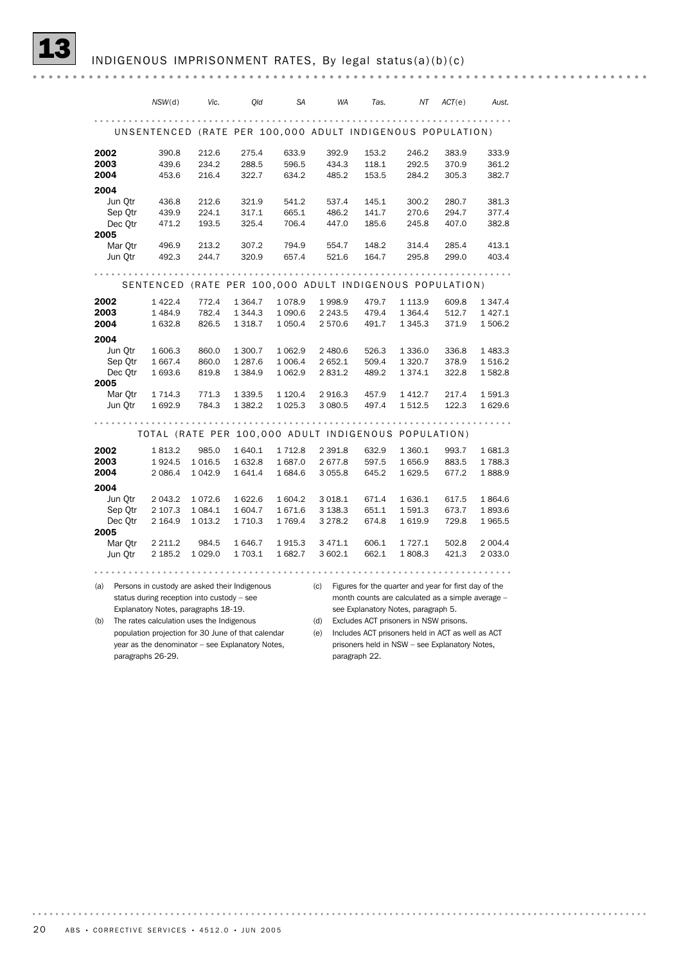|              |         | NSW(d)      | Vic.                                                                               | Qld         | SА        | WA                                             | Tas.  | ΝT                                                                            | ACT(e) | Aust.       |
|--------------|---------|-------------|------------------------------------------------------------------------------------|-------------|-----------|------------------------------------------------|-------|-------------------------------------------------------------------------------|--------|-------------|
|              |         |             |                                                                                    |             |           |                                                |       |                                                                               |        |             |
|              |         | UNSENTENCED |                                                                                    |             |           | (RATE PER 100,000 ADULT INDIGENOUS POPULATION) |       |                                                                               |        |             |
| 2002         |         | 390.8       | 212.6                                                                              | 275.4       | 633.9     | 392.9                                          | 153.2 | 246.2                                                                         | 383.9  | 333.9       |
| 2003<br>2004 |         | 439.6       | 234.2                                                                              | 288.5       | 596.5     | 434.3                                          | 118.1 | 292.5                                                                         | 370.9  | 361.2       |
|              |         | 453.6       | 216.4                                                                              | 322.7       | 634.2     | 485.2                                          | 153.5 | 284.2                                                                         | 305.3  | 382.7       |
| 2004         | Jun Otr | 436.8       | 212.6                                                                              | 321.9       | 541.2     | 537.4                                          | 145.1 | 300.2                                                                         | 280.7  | 381.3       |
|              | Sep Qtr | 439.9       | 224.1                                                                              | 317.1       | 665.1     | 486.2                                          | 141.7 | 270.6                                                                         | 294.7  | 377.4       |
|              | Dec Qtr | 471.2       | 193.5                                                                              | 325.4       | 706.4     | 447.0                                          | 185.6 | 245.8                                                                         | 407.0  | 382.8       |
| 2005         |         |             |                                                                                    |             |           |                                                |       |                                                                               |        |             |
|              | Mar Qtr | 496.9       | 213.2                                                                              | 307.2       | 794.9     | 554.7                                          | 148.2 | 314.4                                                                         | 285.4  | 413.1       |
|              | Jun Qtr | 492.3       | 244.7                                                                              | 320.9       | 657.4     | 521.6                                          | 164.7 | 295.8                                                                         | 299.0  | 403.4       |
|              |         |             |                                                                                    |             |           |                                                | .     |                                                                               |        |             |
|              |         | SENTENCED   |                                                                                    |             |           | (RATE PER 100,000 ADULT INDIGENOUS POPULATION) |       |                                                                               |        |             |
| 2002         |         | 1422.4      | 772.4                                                                              | 1 3 6 4 . 7 | 1078.9    | 1998.9                                         | 479.7 | 1 1 1 3.9                                                                     | 609.8  | 1 3 4 7 . 4 |
| 2003         |         | 1484.9      | 782.4                                                                              | 1 344.3     | 1 0 9 0.6 | 2 2 4 3 .5                                     | 479.4 | 1 3 6 4 . 4                                                                   | 512.7  | 1427.1      |
| 2004         |         | 1632.8      | 826.5                                                                              | 1 3 1 8.7   | 1 0 5 0.4 | 2570.6                                         | 491.7 | 1 345.3                                                                       | 371.9  | 1 506.2     |
| 2004         |         |             |                                                                                    |             |           |                                                |       |                                                                               |        |             |
|              | Jun Qtr | 1 606.3     | 860.0                                                                              | 1 300.7     | 1 0 6 2.9 | 2 480.6                                        | 526.3 | 1 3 3 6 . 0                                                                   | 336.8  | 1483.3      |
|              | Sep Qtr | 1 667.4     | 860.0                                                                              | 1 287.6     | 1 006.4   | 2 652.1                                        | 509.4 | 1 3 2 0.7                                                                     | 378.9  | 1 516.2     |
| 2005         | Dec Qtr | 1693.6      | 819.8                                                                              | 1 3 8 4 . 9 | 1 0 6 2.9 | 2 831.2                                        | 489.2 | 1374.1                                                                        | 322.8  | 1582.8      |
|              | Mar Otr | 1 7 1 4 .3  | 771.3                                                                              | 1 339.5     | 1 120.4   | 2916.3                                         | 457.9 | 1412.7                                                                        | 217.4  | 1 591.3     |
|              | Jun Qtr | 1692.9      | 784.3                                                                              | 1 3 8 2.2   | 1 0 25.3  | 3 080.5                                        | 497.4 | 1 512.5                                                                       | 122.3  | 1629.6      |
|              |         |             |                                                                                    |             |           |                                                |       |                                                                               |        |             |
|              |         |             |                                                                                    |             |           | TOTAL (RATE PER 100,000 ADULT INDIGENOUS       |       | POPULATION)                                                                   |        |             |
| 2002         |         | 1813.2      | 985.0                                                                              | 1 640.1     | 1 7 1 2.8 | 2 3 9 1.8                                      | 632.9 | 1 360.1                                                                       | 993.7  | 1681.3      |
| 2003         |         | 1924.5      | 1016.5                                                                             | 1 632.8     | 1 687.0   | 2677.8                                         | 597.5 | 1656.9                                                                        | 883.5  | 1 788.3     |
| 2004         |         | 2 0 8 6.4   | 1 042.9                                                                            | 1 641.4     | 1 684.6   | 3 0 5 5.8                                      | 645.2 | 1 629.5                                                                       | 677.2  | 1888.9      |
| 2004         |         |             |                                                                                    |             |           |                                                |       |                                                                               |        |             |
|              | Jun Qtr | 2 043.2     | 1072.6                                                                             | 1 622.6     | 1 604.2   | 3 0 18.1                                       | 671.4 | 1636.1                                                                        | 617.5  | 1864.6      |
|              | Sep Qtr | 2 107.3     | 1 0 8 4 . 1                                                                        | 1 604.7     | 1671.6    | 3 1 38.3                                       | 651.1 | 1591.3                                                                        | 673.7  | 1893.6      |
|              | Dec Qtr | 2 164.9     | 1 013.2                                                                            | 1 710.3     | 1 769.4   | 3 2 7 8 . 2                                    | 674.8 | 1619.9                                                                        | 729.8  | 1965.5      |
| 2005         | Mar Qtr | 2 2 1 1.2   | 984.5                                                                              | 1 646.7     | 1915.3    | 3 4 7 1.1                                      | 606.1 | 1727.1                                                                        | 502.8  | 2 0 0 4.4   |
|              | Jun Qtr | 2 185.2     | 1 0 29.0                                                                           | 1 703.1     | 1682.7    | 3 602.1                                        | 662.1 | 1808.3                                                                        | 421.3  | 2 033.0     |
|              |         |             |                                                                                    |             |           |                                                |       |                                                                               |        |             |
|              |         |             |                                                                                    |             |           |                                                |       |                                                                               |        |             |
| (a)          |         |             | Persons in custody are asked their Indigenous                                      |             |           | (c)                                            |       | Figures for the quarter and year for first day of the                         |        |             |
|              |         |             | status during reception into custody - see<br>Explanatory Notes, paragraphs 18-19. |             |           |                                                |       | month counts are calculated as a simple average -                             |        |             |
| (b)          |         |             | The rates calculation uses the Indigenous                                          |             |           | (d)                                            |       | see Explanatory Notes, paragraph 5.<br>Excludes ACT prisoners in NSW prisons. |        |             |
|              |         |             |                                                                                    |             |           |                                                |       |                                                                               |        |             |

population projection for 30 June of that calendar year as the denominator – see Explanatory Notes, paragraphs 26-29.

(e) Includes ACT prisoners held in ACT as well as ACT prisoners held in NSW – see Explanatory Notes, paragraph 22.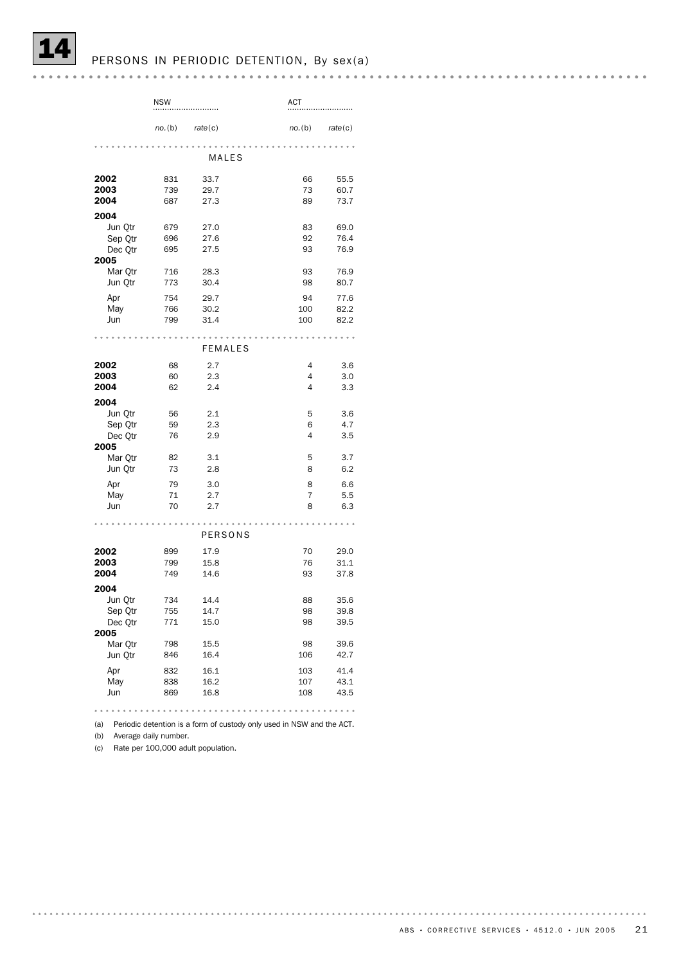# PERSONS IN PERIODIC DETENTION, By sex(a)

|                                                                     | <b>NSW</b>                      |                                      | ACT                                                                    |
|---------------------------------------------------------------------|---------------------------------|--------------------------------------|------------------------------------------------------------------------|
|                                                                     | no.(b)                          | rate(c)                              | no.(b)<br>rate(c)                                                      |
|                                                                     |                                 | MALES                                |                                                                        |
| 2002<br>2003<br>2004                                                | 831<br>739<br>687               | 33.7<br>29.7<br>27.3                 | 66<br>55.5<br>73<br>60.7<br>89<br>73.7                                 |
| 2004<br>Jun Qtr<br>Sep Qtr<br>Dec Qtr<br>2005                       | 679<br>696<br>695               | 27.0<br>27.6<br>27.5                 | 83<br>69.0<br>92<br>76.4<br>93<br>76.9                                 |
| Mar Qtr<br>Jun Qtr                                                  | 716<br>773                      | 28.3<br>30.4                         | 93<br>76.9<br>98<br>80.7                                               |
| Apr<br>May<br>Jun                                                   | 754<br>766<br>799               | 29.7<br>30.2<br>31.4                 | 94<br>77.6<br>100<br>82.2<br>100<br>82.2                               |
|                                                                     |                                 | <b>FEMALES</b>                       |                                                                        |
| 2002<br>2003<br>2004                                                | 68<br>60<br>62                  | 2.7<br>2.3<br>2.4                    | 4<br>3.6<br>$\overline{4}$<br>3.0<br>$\overline{4}$<br>3.3             |
| 2004<br>Jun Qtr<br>Sep Qtr<br>Dec Qtr<br>2005<br>Mar Qtr<br>Jun Qtr | 56<br>59<br>76<br>82<br>73      | 2.1<br>2.3<br>2.9<br>3.1<br>2.8      | 5<br>3.6<br>6<br>4.7<br>4<br>3.5<br>5<br>3.7<br>8<br>6.2               |
| Apr<br>May<br>Jun                                                   | 79<br>71<br>70                  | 3.0<br>2.7<br>2.7                    | 8<br>6.6<br>7<br>5.5<br>8<br>6.3                                       |
|                                                                     |                                 | PERSONS                              |                                                                        |
| 2002<br>2003<br>2004<br>2004                                        | 899<br>799<br>749               | 17.9<br>15.8<br>14.6                 | 70<br>29.0<br>76<br>31.1<br>93<br>37.8                                 |
| Jun Qtr<br>Sep Qtr<br>Dec Qtr<br>2005                               | 734<br>755<br>771               | 14.4<br>14.7<br>15.0                 | 88<br>35.6<br>98<br>39.8<br>98<br>39.5                                 |
| Mar Qtr<br>Jun Qtr<br>Apr<br>May<br>Jun                             | 798<br>846<br>832<br>838<br>869 | 15.5<br>16.4<br>16.1<br>16.2<br>16.8 | 98<br>39.6<br>106<br>42.7<br>103<br>41.4<br>43.1<br>107<br>108<br>43.5 |
|                                                                     |                                 |                                      |                                                                        |

(a) Periodic detention is a form of custody only used in NSW and the ACT.

(b) Average daily number.

(c) Rate per 100,000 adult population.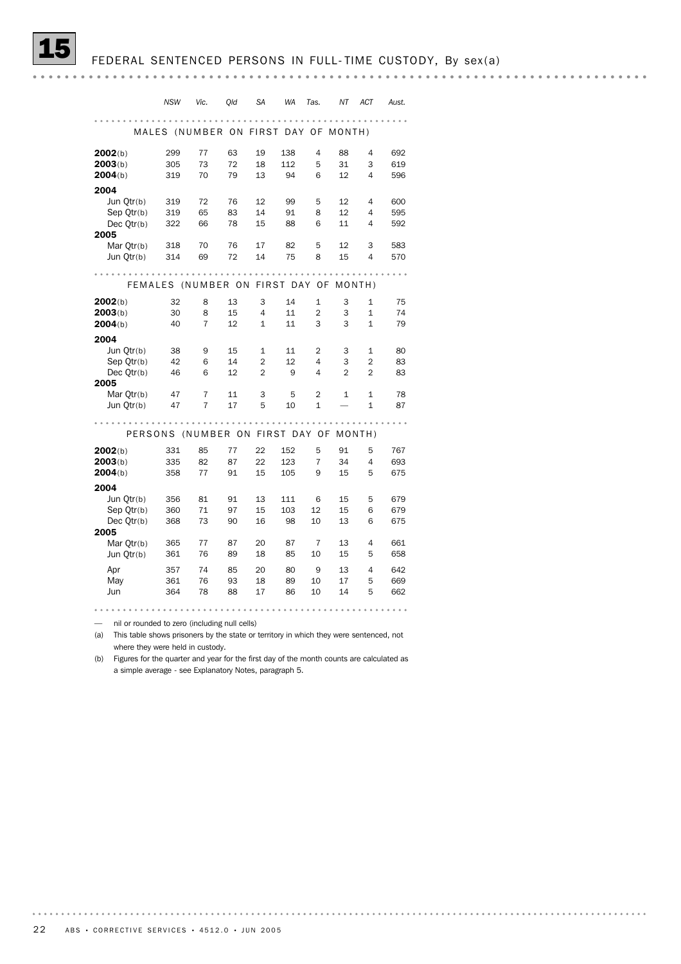|                                        | <b>NSW</b>                           | Vic.           | Qld      | SА             | WA        | Tas.           | ΝT             | ACT            | Aust.      |
|----------------------------------------|--------------------------------------|----------------|----------|----------------|-----------|----------------|----------------|----------------|------------|
|                                        |                                      |                |          | .              |           |                |                |                |            |
|                                        | MALES (NUMBER ON FIRST DAY OF MONTH) |                |          |                |           |                |                |                |            |
| 2002(b)                                | 299                                  | 77             | 63       | 19             | 138       | $\overline{4}$ | 88             | 4              | 692        |
| 2003(b)                                | 305                                  | 73             | 72       | 18             | 112       | 5              | 31             | 3              | 619        |
| 2004(b)                                | 319                                  | 70             | 79       | 13             | 94        | 6              | 12             | $\overline{4}$ | 596        |
| 2004                                   |                                      |                |          |                |           |                |                |                |            |
| Jun $Qtr(b)$                           | 319                                  | 72             | 76       | 12             | 99        | 5              | 12             | $\overline{4}$ | 600        |
| Sep Qtr(b)                             | 319                                  | 65             | 83       | 14             | 91        | 8              | 12             | $\overline{4}$ | 595        |
| Dec Otr(b)                             | 322                                  | 66             | 78       | 15             | 88        | 6              | 11             | 4              | 592        |
| 2005<br>Mar Qtr(b)                     | 318                                  | 70             | 76       | 17             | 82        | 5              | 12             | 3              | 583        |
| Jun $Qtr(b)$                           | 314                                  | 69             | 72       | 14             | 75        | 8              | 15             | $\overline{4}$ | 570        |
|                                        |                                      |                |          |                |           |                |                |                |            |
|                                        |                                      |                |          |                |           |                |                |                |            |
| FEMALES (NUMBER ON FIRST DAY OF MONTH) |                                      |                |          |                |           |                |                |                |            |
| 2002(b)                                | 32                                   | 8              | 13       | 3              | 14        | $\mathbf{1}$   | 3              | $\mathbf{1}$   | 75         |
| 2003(b)                                | 30                                   | 8              | 15       | 4              | 11        | $\overline{2}$ | 3              | 1              | 74         |
| 2004(b)                                | 40                                   | $\overline{7}$ | 12       | $\mathbf{1}$   | 11        | 3              | 3              | 1              | 79         |
| 2004                                   |                                      |                |          |                |           |                |                |                |            |
| Jun Qtr(b)                             | 38                                   | 9              | 15       | $\mathbf{1}$   | 11        | $\overline{2}$ | 3              | 1              | 80         |
| Sep Qtr(b)                             | 42                                   | 6              | 14       | 2              | 12        | $\overline{4}$ | 3              | $\overline{2}$ | 83         |
| Dec Otr(b)                             | 46                                   | 6              | 12       | $\overline{2}$ | 9         | $\overline{4}$ | $\overline{2}$ | $\overline{2}$ | 83         |
| 2005<br>Mar $Qtr(b)$                   | 47                                   | 7              | 11       | 3              | 5         | 2              | 1              | 1              | 78         |
| Jun Qtr(b)                             | 47                                   | $\overline{7}$ | 17       | 5              | 10        | $\mathbf{1}$   |                | $\mathbf{1}$   | 87         |
|                                        |                                      |                |          |                |           |                |                |                |            |
| .                                      |                                      |                | 0.0      | $- - -$        |           |                |                |                |            |
| PERSONS (NUMBER ON FIRST DAY OF MONTH) |                                      |                |          |                |           |                |                |                |            |
| 2002(b)                                | 331                                  | 85             | 77       | 22             | 152       | 5              | 91             | 5              | 767        |
| 2003(b)                                | 335                                  | 82             | 87       | 22             | 123       | $\overline{7}$ | 34             | 4              | 693        |
| 2004(b)                                | 358                                  | 77             | 91       | 15             | 105       | 9              | 15             | 5              | 675        |
| 2004                                   |                                      |                |          |                |           |                |                |                |            |
| Jun Qtr(b)                             | 356                                  | 81             | 91       | 13             | 111       | 6              | 15             | 5              | 679        |
| Sep Qtr(b)                             | 360                                  | 71             | 97<br>90 | 15<br>16       | 103<br>98 | 12<br>10       | 15<br>13       | 6<br>6         | 679<br>675 |
| Dec Otr(b)<br>2005                     | 368                                  | 73             |          |                |           |                |                |                |            |
| Mar $Qtr(b)$                           | 365                                  | 77             | 87       | 20             | 87        | 7              | 13             | 4              | 661        |
| Jun Qtr(b)                             | 361                                  | 76             | 89       | 18             | 85        | 10             | 15             | 5              | 658        |
| Apr                                    | 357                                  | 74             | 85       | 20             | 80        | 9              | 13             | $\overline{4}$ | 642        |
| May                                    | 361                                  | 76             | 93       | 18             | 89        | 10             | 17             | 5              | 669        |
| Jun                                    | 364                                  | 78             | 88       | 17             | 86        | 10             | 14             | 5              | 662        |
|                                        |                                      |                |          |                |           |                |                |                |            |

— nil or rounded to zero (including null cells)

(a) This table shows prisoners by the state or territory in which they were sentenced, not where they were held in custody.

(b) Figures for the quarter and year for the first day of the month counts are calculated as a simple average - see Explanatory Notes, paragraph 5.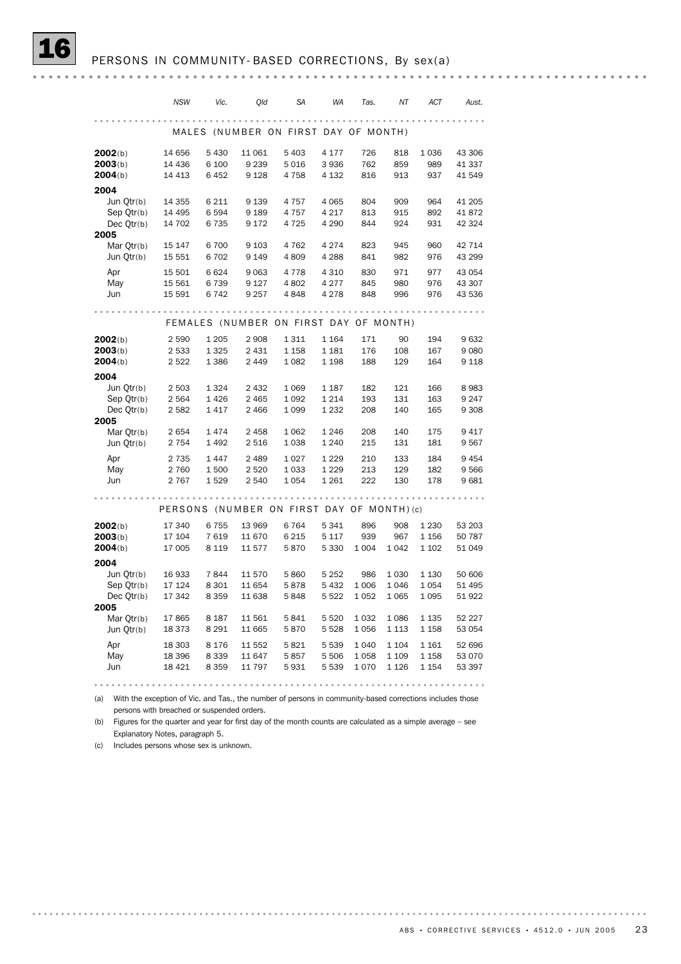persons with breached or suspended orders.

(b) Figures for the quarter and year for first day of the month counts are calculated as a simple average – see Explanatory Notes, paragraph 5.

(c) Includes persons whose sex is unknown.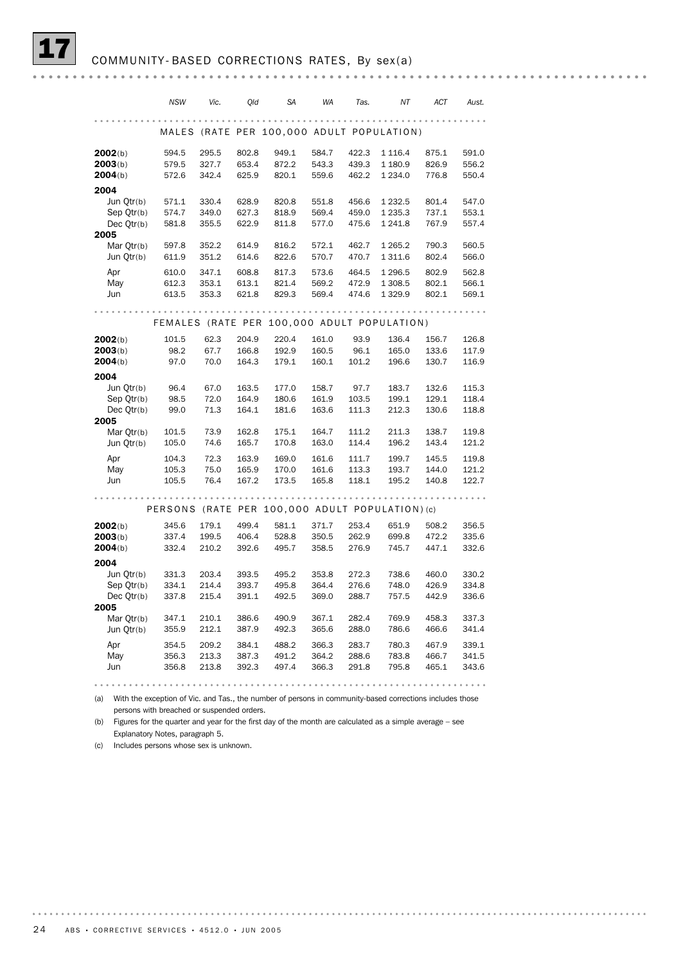|                            | <b>NSW</b>     | Vic.           | Qld            | <b>SA</b>      | <b>WA</b>      | Tas.           | ΝT                                              | ACT            | Aust.          |
|----------------------------|----------------|----------------|----------------|----------------|----------------|----------------|-------------------------------------------------|----------------|----------------|
|                            |                |                |                |                |                |                |                                                 |                |                |
|                            |                |                |                |                |                |                | MALES (RATE PER 100,000 ADULT POPULATION)       |                |                |
| 2002(b)                    | 594.5          | 295.5          | 802.8          | 949.1          | 584.7          | 422.3          | 1 1 1 6.4                                       | 875.1          | 591.0          |
| 2003(b)                    | 579.5          | 327.7          | 653.4          | 872.2          | 543.3          | 439.3          | 1 1 8 0.9                                       | 826.9          | 556.2          |
| 2004(b)                    | 572.6          | 342.4          | 625.9          | 820.1          | 559.6          | 462.2          | 1 2 3 4 .0                                      | 776.8          | 550.4          |
| 2004                       |                |                |                |                |                |                |                                                 |                |                |
| Jun $Qtr(b)$<br>Sep Qtr(b) | 571.1          | 330.4          | 628.9<br>627.3 | 820.8          | 551.8<br>569.4 | 456.6          | 1 2 3 2.5                                       | 801.4          | 547.0<br>553.1 |
| Dec Otr(b)                 | 574.7<br>581.8 | 349.0<br>355.5 | 622.9          | 818.9<br>811.8 | 577.0          | 459.0<br>475.6 | 1 2 3 5 . 3<br>1 2 4 1.8                        | 737.1<br>767.9 | 557.4          |
| 2005                       |                |                |                |                |                |                |                                                 |                |                |
| Mar Qtr(b)                 | 597.8          | 352.2          | 614.9          | 816.2          | 572.1          | 462.7          | 1 2 6 5.2                                       | 790.3          | 560.5          |
| Jun Qtr(b)                 | 611.9          | 351.2          | 614.6          | 822.6          | 570.7          | 470.7          | 1 3 1 1.6                                       | 802.4          | 566.0          |
| Apr                        | 610.0          | 347.1          | 608.8          | 817.3          | 573.6          | 464.5          | 1 2 9 6.5                                       | 802.9          | 562.8          |
| May                        | 612.3          | 353.1          | 613.1          | 821.4          | 569.2          | 472.9          | 1 308.5                                         | 802.1          | 566.1          |
| Jun                        | 613.5          | 353.3          | 621.8          | 829.3          | 569.4          | 474.6          | 1 3 2 9.9                                       | 802.1          | 569.1          |
|                            |                |                |                |                |                |                |                                                 |                |                |
|                            |                |                |                |                |                |                | FEMALES (RATE PER 100,000 ADULT POPULATION)     |                |                |
| 2002(b)                    | 101.5          | 62.3           | 204.9          | 220.4          | 161.0          | 93.9           | 136.4                                           | 156.7          | 126.8          |
| 2003(b)<br>2004(b)         | 98.2<br>97.0   | 67.7<br>70.0   | 166.8<br>164.3 | 192.9<br>179.1 | 160.5<br>160.1 | 96.1<br>101.2  | 165.0<br>196.6                                  | 133.6<br>130.7 | 117.9<br>116.9 |
|                            |                |                |                |                |                |                |                                                 |                |                |
| 2004                       |                |                |                |                |                |                |                                                 |                |                |
| Jun Qtr(b)<br>Sep Qtr(b)   | 96.4<br>98.5   | 67.0<br>72.0   | 163.5<br>164.9 | 177.0<br>180.6 | 158.7<br>161.9 | 97.7<br>103.5  | 183.7<br>199.1                                  | 132.6<br>129.1 | 115.3<br>118.4 |
| Dec $Qtr(b)$               | 99.0           | 71.3           | 164.1          | 181.6          | 163.6          | 111.3          | 212.3                                           | 130.6          | 118.8          |
| 2005                       |                |                |                |                |                |                |                                                 |                |                |
| Mar Qtr(b)                 | 101.5          | 73.9           | 162.8          | 175.1          | 164.7          | 111.2          | 211.3                                           | 138.7          | 119.8          |
| Jun Otr(b)                 | 105.0          | 74.6           | 165.7          | 170.8          | 163.0          | 114.4          | 196.2                                           | 143.4          | 121.2          |
| Apr                        | 104.3          | 72.3           | 163.9          | 169.0          | 161.6          | 111.7          | 199.7                                           | 145.5          | 119.8          |
| May                        | 105.3          | 75.0           | 165.9          | 170.0          | 161.6          | 113.3          | 193.7                                           | 144.0          | 121.2          |
| Jun                        | 105.5          | 76.4           | 167.2          | 173.5          | 165.8          | 118.1          | 195.2                                           | 140.8          | 122.7          |
|                            |                | .              |                | .              | .              |                | .                                               |                |                |
|                            |                |                |                |                |                |                | PERSONS (RATE PER 100,000 ADULT POPULATION) (c) |                |                |
| 2002(b)                    | 345.6          | 179.1          | 499.4          | 581.1          | 371.7          | 253.4          | 651.9                                           | 508.2          | 356.5          |
| 2003(b)                    | 337.4          | 199.5          | 406.4          | 528.8          | 350.5          | 262.9          | 699.8                                           | 472.2          | 335.6          |
| 2004(b)                    | 332.4          | 210.2          | 392.6          | 495.7          | 358.5          | 276.9          | 745.7                                           | 447.1          | 332.6          |
| 2004                       |                |                |                |                |                |                |                                                 |                |                |
| Jun $Qtr(b)$<br>Sep Qtr(b) | 331.3<br>334.1 | 203.4<br>214.4 | 393.5<br>393.7 | 495.2<br>495.8 | 353.8<br>364.4 | 272.3<br>276.6 | 738.6<br>748.0                                  | 460.0<br>426.9 | 330.2<br>334.8 |
| Dec $Qtr(b)$               | 337.8          | 215.4          | 391.1          | 492.5          | 369.0          | 288.7          | 757.5                                           | 442.9          | 336.6          |
| 2005                       |                |                |                |                |                |                |                                                 |                |                |
| Mar Qtr(b)                 | 347.1          | 210.1          | 386.6          | 490.9          | 367.1          | 282.4          | 769.9                                           | 458.3          | 337.3          |
| Jun Qtr(b)                 | 355.9          | 212.1          | 387.9          | 492.3          | 365.6          | 288.0          | 786.6                                           | 466.6          | 341.4          |
| Apr                        | 354.5          | 209.2          | 384.1          | 488.2          | 366.3          | 283.7          | 780.3                                           | 467.9          | 339.1          |
| May                        | 356.3          | 213.3          | 387.3          | 491.2          | 364.2          | 288.6          | 783.8                                           | 466.7          | 341.5          |
| Jun                        | 356.8          | 213.8          | 392.3          | 497.4          | 366.3          | 291.8          | 795.8                                           | 465.1          | 343.6          |
|                            |                |                |                |                |                |                |                                                 |                |                |

(a) With the exception of Vic. and Tas., the number of persons in community-based corrections includes those persons with breached or suspended orders.

(b) Figures for the quarter and year for the first day of the month are calculated as a simple average – see Explanatory Notes, paragraph 5.

(c) Includes persons whose sex is unknown.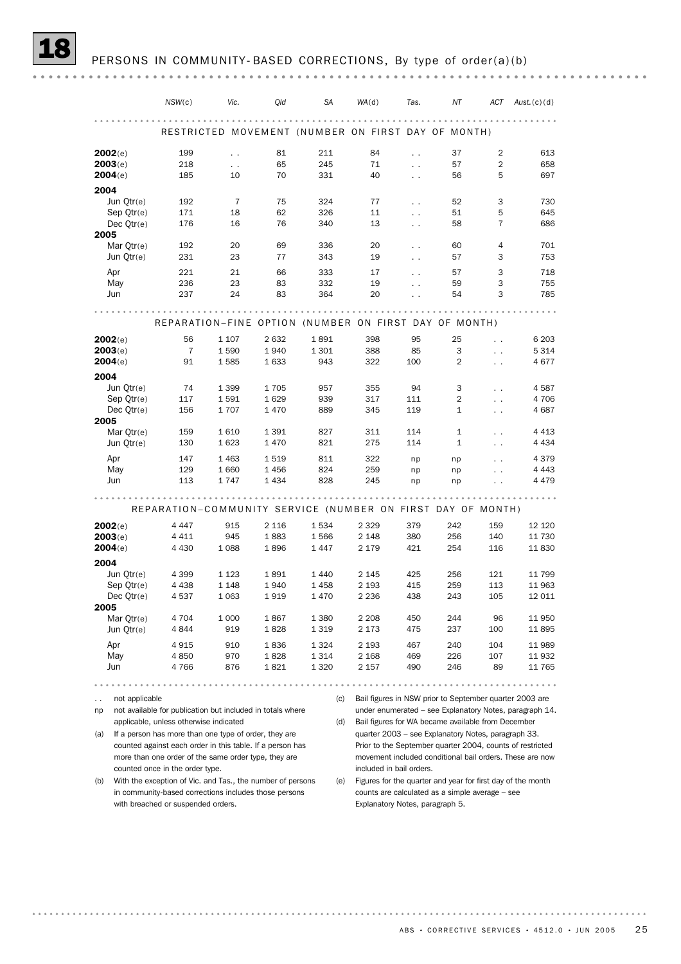|                      | NSW(c)                                                      | Vic.                 | Qld     | SA      | WA(d)                                              | Tas.                            | NT                                                          | ACT                  | Aust. $(c)(d)$                                            |
|----------------------|-------------------------------------------------------------|----------------------|---------|---------|----------------------------------------------------|---------------------------------|-------------------------------------------------------------|----------------------|-----------------------------------------------------------|
|                      |                                                             |                      |         |         |                                                    |                                 |                                                             |                      |                                                           |
|                      |                                                             |                      |         |         | RESTRICTED MOVEMENT (NUMBER ON FIRST DAY OF MONTH) |                                 |                                                             |                      |                                                           |
| 2002(e)              | 199                                                         | $\ddot{\phantom{a}}$ | 81      | 211     | 84                                                 | $\ddot{\phantom{0}}$            | 37                                                          | 2                    | 613                                                       |
| 2003(e)              | 218                                                         | $\ddotsc$            | 65      | 245     | 71                                                 | $\ddotsc$                       | 57                                                          | $\overline{2}$       | 658                                                       |
| 2004(e)              | 185                                                         | 10                   | 70      | 331     | 40                                                 | $\ddot{\phantom{0}}$            | 56                                                          | 5                    | 697                                                       |
| 2004                 |                                                             |                      |         |         |                                                    |                                 |                                                             |                      |                                                           |
| Jun Qtr(e)           | 192                                                         | 7                    | 75      | 324     | 77                                                 | $\ddotsc$                       | 52                                                          | 3                    | 730                                                       |
| $Sep$ $Or(e)$        | 171                                                         | 18                   | 62      | 326     | 11                                                 | $\ddotsc$                       | 51                                                          | 5<br>$\overline{7}$  | 645                                                       |
| Dec $Qtr(e)$<br>2005 | 176                                                         | 16                   | 76      | 340     | 13                                                 | $\ddot{\phantom{0}}$            | 58                                                          |                      | 686                                                       |
| Mar $Qtr(e)$         | 192                                                         | 20                   | 69      | 336     | 20                                                 | $\ddotsc$                       | 60                                                          | $\overline{4}$       | 701                                                       |
| Jun Qtr(e)           | 231                                                         | 23                   | 77      | 343     | 19                                                 | $\ddot{\phantom{0}}$            | 57                                                          | 3                    | 753                                                       |
| Apr                  | 221                                                         | 21                   | 66      | 333     | 17                                                 | $\ddot{\phantom{0}}$            | 57                                                          | 3                    | 718                                                       |
| May                  | 236                                                         | 23                   | 83      | 332     | 19                                                 | $\ddot{\phantom{0}}$            | 59                                                          | 3                    | 755                                                       |
| Jun                  | 237                                                         | 24                   | 83      | 364     | 20                                                 | $\ddot{\phantom{0}}$            | 54                                                          | 3                    | 785                                                       |
|                      | REPARATION-FINE OPTION (NUMBER ON FIRST DAY OF MONTH)       |                      |         |         |                                                    |                                 |                                                             |                      |                                                           |
| 2002(e)              | 56                                                          | 1 1 0 7              | 2 6 3 2 | 1891    | 398                                                | 95                              | 25                                                          | $\ddot{\phantom{a}}$ | 6 2 0 3                                                   |
| 2003(e)              | $\overline{7}$                                              | 1590                 | 1940    | 1 3 0 1 | 388                                                | 85                              | 3                                                           | $\ddot{\phantom{a}}$ | 5 3 1 4                                                   |
| 2004(e)              | 91                                                          | 1585                 | 1633    | 943     | 322                                                | 100                             | $\overline{2}$                                              | $\ddotsc$            | 4677                                                      |
| 2004                 |                                                             |                      |         |         |                                                    |                                 |                                                             |                      |                                                           |
| Jun $Qtr(e)$         | 74                                                          | 1 3 9 9              | 1705    | 957     | 355                                                | 94                              | 3                                                           | $\ddot{\phantom{0}}$ | 4587                                                      |
| $Sep$ $Qtr(e)$       | 117                                                         | 1591                 | 1629    | 939     | 317                                                | 111                             | $\overline{2}$                                              | $\sim$ $\sim$        | 4 706                                                     |
| Dec $Qtr(e)$         | 156                                                         | 1707                 | 1470    | 889     | 345                                                | 119                             | $\mathbf{1}$                                                | $\ddot{\phantom{0}}$ | 4687                                                      |
| 2005                 |                                                             |                      |         |         |                                                    |                                 |                                                             |                      |                                                           |
| Mar $Qtr(e)$         | 159                                                         | 1610                 | 1 3 9 1 | 827     | 311                                                | 114                             | $\mathbf{1}$<br>$\mathbf{1}$                                | $\ddot{\phantom{0}}$ | 4 4 1 3                                                   |
| Jun Qtr(e)           | 130                                                         | 1623                 | 1470    | 821     | 275                                                | 114                             |                                                             | $\ddotsc$            | 4 4 3 4                                                   |
| Apr                  | 147                                                         | 1463                 | 1519    | 811     | 322                                                | np                              | np                                                          | $\ddot{\phantom{a}}$ | 4 3 7 9                                                   |
| May                  | 129                                                         | 1 6 6 0              | 1456    | 824     | 259                                                | np                              | np                                                          | $\ddotsc$            | 4 4 4 3                                                   |
| Jun                  | 113                                                         | 1747                 | 1 4 3 4 | 828     | 245                                                | np                              | np                                                          | $\ddot{\phantom{0}}$ | 4 4 7 9                                                   |
|                      | REPARATION-COMMUNITY SERVICE (NUMBER ON FIRST DAY OF MONTH) |                      |         | .       |                                                    |                                 |                                                             |                      |                                                           |
| 2002(e)              | 4 4 4 7                                                     | 915                  | 2 1 1 6 | 1534    | 2 3 2 9                                            | 379                             | 242                                                         | 159                  | 12 120                                                    |
| 2003(e)              | 4 4 1 1                                                     | 945                  | 1883    | 1566    | 2 1 4 8                                            | 380                             | 256                                                         | 140                  | 11 730                                                    |
| 2004(e)              | 4 4 3 0                                                     | 1088                 | 1896    | 1447    | 2 1 7 9                                            | 421                             | 254                                                         | 116                  | 11830                                                     |
| 2004                 |                                                             |                      |         |         |                                                    |                                 |                                                             |                      |                                                           |
| Jun Qtr(e)           | 4 3 9 9                                                     | 1 1 2 3              | 1891    | 1440    | 2 1 4 5                                            | 425                             | 256                                                         | 121                  | 11 799                                                    |
| Sep Otr(e)           | 4 4 3 8                                                     | 1 1 4 8              | 1940    | 1458    | 2 1 9 3                                            | 415                             | 259                                                         | 113                  | 11 963                                                    |
| Dec Qtr(e)           | 4537                                                        | 1 0 6 3              | 1919    | 1470    | 2 2 3 6                                            | 438                             | 243                                                         | 105                  | 12 011                                                    |
| 2005                 |                                                             |                      |         |         |                                                    |                                 |                                                             |                      |                                                           |
| Mar Qtr(e)           | 4 704                                                       | 1 0 0 0              | 1867    | 1 380   | 2 2 0 8                                            | 450                             | 244                                                         | 96                   | 11 950                                                    |
| Jun Qtr(e)           | 4 844                                                       | 919                  | 1828    | 1 319   | 2 173                                              | 475                             | 237                                                         | 100                  | 11 895                                                    |
| Apr                  | 4 915                                                       | 910                  | 1836    | 1 324   | 2 193                                              | 467                             | 240                                                         | 104                  | 11 989                                                    |
| May                  | 4850                                                        | 970                  | 1828    | 1 3 1 4 | 2 1 6 8                                            | 469                             | 226                                                         | 107                  | 11 932                                                    |
| Jun                  | 4766                                                        | 876                  | 1821    | 1 3 2 0 | 2 157                                              | 490                             | 246                                                         | 89                   | 11 765                                                    |
|                      |                                                             |                      |         |         |                                                    |                                 |                                                             |                      |                                                           |
| not applicable       |                                                             |                      |         | (c)     |                                                    |                                 | Bail figures in NSW prior to September quarter 2003 are     |                      |                                                           |
| np                   | not available for publication but included in totals where  |                      |         |         |                                                    |                                 |                                                             |                      | under enumerated – see Explanatory Notes, paragraph 14.   |
|                      | applicable, unless otherwise indicated                      |                      |         | (d)     |                                                    |                                 | Bail figures for WA became available from December          |                      |                                                           |
| (a)                  | If a person has more than one type of order, they are       |                      |         |         |                                                    |                                 | quarter 2003 – see Explanatory Notes, paragraph 33.         |                      |                                                           |
|                      | counted against each order in this table. If a person has   |                      |         |         |                                                    |                                 |                                                             |                      | Prior to the September quarter 2004, counts of restricted |
|                      | more than one order of the same order type, they are        |                      |         |         |                                                    |                                 |                                                             |                      | movement included conditional bail orders. These are now  |
|                      | counted once in the order type.                             |                      |         |         |                                                    | included in bail orders.        |                                                             |                      |                                                           |
| (b)                  | With the exception of Vic. and Tas., the number of persons  |                      |         | (e)     |                                                    |                                 | Figures for the quarter and year for first day of the month |                      |                                                           |
|                      | in community-based corrections includes those persons       |                      |         |         |                                                    |                                 | counts are calculated as a simple average - see             |                      |                                                           |
|                      | with breached or suspended orders.                          |                      |         |         |                                                    | Explanatory Notes, paragraph 5. |                                                             |                      |                                                           |
|                      |                                                             |                      |         |         |                                                    |                                 |                                                             |                      |                                                           |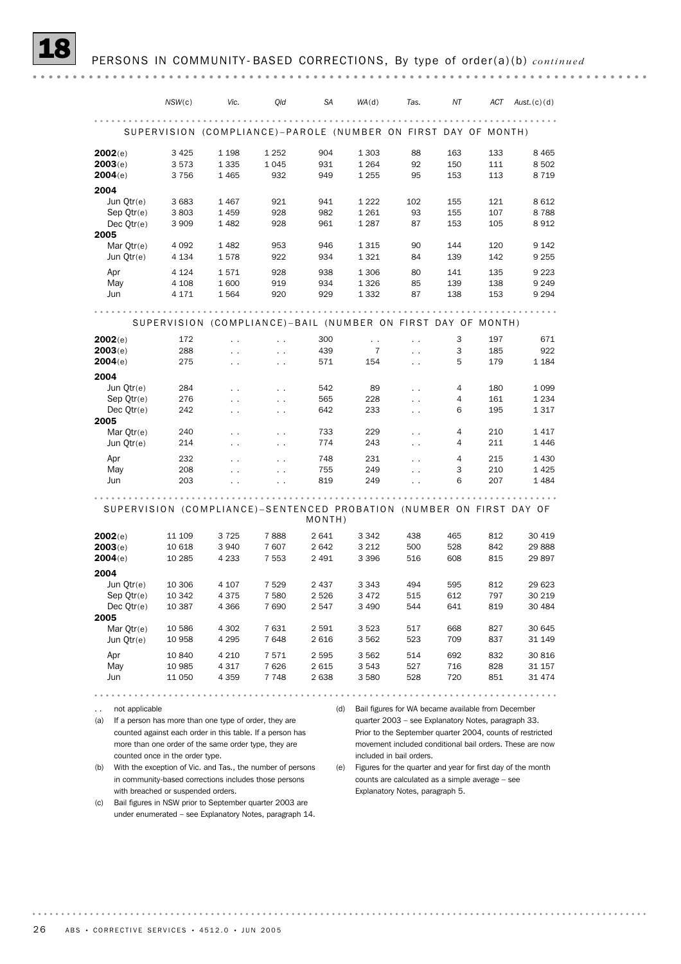|                                                                      | NSW(c)                             | Vic.                                                                                                                                                                       | Qld                               | <b>SA</b>       | WA(d)              | Tas.                                                                                                                                                                         | ΝT         | ACT        | Aust. $(c)(d)$   |
|----------------------------------------------------------------------|------------------------------------|----------------------------------------------------------------------------------------------------------------------------------------------------------------------------|-----------------------------------|-----------------|--------------------|------------------------------------------------------------------------------------------------------------------------------------------------------------------------------|------------|------------|------------------|
|                                                                      |                                    |                                                                                                                                                                            |                                   |                 |                    | SUPERVISION (COMPLIANCE)-PAROLE (NUMBER ON FIRST DAY OF MONTH)                                                                                                               |            |            |                  |
| 2002(e)                                                              | 3 4 2 5                            | 1 1 9 8                                                                                                                                                                    | 1 2 5 2                           | 904             | 1 3 0 3            | 88                                                                                                                                                                           | 163        | 133        | 8 4 6 5          |
| 2003(e)                                                              | 3573                               | 1 3 3 5                                                                                                                                                                    | 1 0 4 5                           | 931             | 1 2 6 4            | 92                                                                                                                                                                           | 150        | 111        | 8502             |
| 2004(e)                                                              | 3756                               | 1465                                                                                                                                                                       | 932                               | 949             | 1 2 5 5            | 95                                                                                                                                                                           | 153        | 113        | 8 7 1 9          |
| 2004                                                                 |                                    |                                                                                                                                                                            |                                   |                 |                    |                                                                                                                                                                              |            |            |                  |
| Jun $Qtr(e)$                                                         | 3683                               | 1467                                                                                                                                                                       | 921                               | 941             | 1 2 2 2            | 102                                                                                                                                                                          | 155        | 121        | 8612             |
| Sep Qtr(e)                                                           | 3803                               | 1459                                                                                                                                                                       | 928                               | 982             | 1 2 6 1            | 93                                                                                                                                                                           | 155        | 107        | 8788             |
| Dec $Qtr(e)$                                                         | 3 9 0 9                            | 1482                                                                                                                                                                       | 928                               | 961             | 1 2 8 7            | 87                                                                                                                                                                           | 153        | 105        | 8912             |
| 2005                                                                 |                                    |                                                                                                                                                                            |                                   |                 |                    |                                                                                                                                                                              |            |            |                  |
| Mar $Qtr(e)$                                                         | 4 0 9 2                            | 1482                                                                                                                                                                       | 953                               | 946             | 1 3 1 5            | 90                                                                                                                                                                           | 144        | 120        | 9 1 4 2          |
| Jun Qtr(e)                                                           | 4 1 3 4                            | 1578                                                                                                                                                                       | 922                               | 934             | 1 3 2 1            | 84                                                                                                                                                                           | 139        | 142        | 9 2 5 5          |
| Apr                                                                  | 4 1 2 4                            | 1571                                                                                                                                                                       | 928                               | 938             | 1 3 0 6            | 80                                                                                                                                                                           | 141        | 135        | 9 2 2 3          |
| May                                                                  | 4 1 0 8                            | 1 600                                                                                                                                                                      | 919                               | 934             | 1 3 2 6            | 85                                                                                                                                                                           | 139        | 138        | 9 2 4 9          |
| Jun                                                                  | 4 171                              | 1564                                                                                                                                                                       | 920                               | 929             | 1 3 3 2            | 87                                                                                                                                                                           | 138        | 153        | 9 2 9 4          |
|                                                                      |                                    |                                                                                                                                                                            |                                   |                 |                    | SUPERVISION (COMPLIANCE)-BAIL (NUMBER ON FIRST DAY OF MONTH)                                                                                                                 |            |            |                  |
| 2002(e)                                                              | 172                                | $\ddot{\phantom{0}}$                                                                                                                                                       | $\ddot{\phantom{0}}$              | 300             | $\ddotsc$          | $\ddot{\phantom{0}}$                                                                                                                                                         | 3          | 197        | 671              |
| 2003(e)                                                              | 288                                | $\ddot{\phantom{0}}$                                                                                                                                                       | $\ddotsc$                         | 439             | 7                  | $\ddot{\phantom{0}}$                                                                                                                                                         | 3          | 185        | 922              |
| 2004(e)                                                              | 275                                | . .                                                                                                                                                                        | $\ddotsc$                         | 571             | 154                | $\ddotsc$                                                                                                                                                                    | 5          | 179        | 1 1 8 4          |
| 2004                                                                 |                                    |                                                                                                                                                                            |                                   |                 |                    |                                                                                                                                                                              |            |            |                  |
| Jun Qtr(e)                                                           | 284                                | $\ddot{\phantom{0}}$                                                                                                                                                       | $\ddot{\phantom{0}}$              | 542             | 89                 | $\ddot{\phantom{0}}$                                                                                                                                                         | 4          | 180        | 1 0 9 9          |
| $Sep$ $Qtr(e)$                                                       | 276                                | $\ddot{\phantom{0}}$                                                                                                                                                       | $\ddotsc$                         | 565             | 228                | $\ddot{\phantom{0}}$                                                                                                                                                         | 4          | 161        | 1 2 3 4          |
| Dec $Qtr(e)$                                                         | 242                                | $\ddot{\phantom{0}}$                                                                                                                                                       | $\sim$ $\sim$                     | 642             | 233                | $\ddot{\phantom{0}}$                                                                                                                                                         | 6          | 195        | 1317             |
| 2005<br>Mar $Qtr(e)$                                                 | 240                                | $\ddot{\phantom{0}}$                                                                                                                                                       | $\ddot{\phantom{0}}$              | 733             | 229                | $\ddot{\phantom{0}}$                                                                                                                                                         | 4          | 210        | 1417             |
| Jun Qtr(e)                                                           | 214                                | . .                                                                                                                                                                        | $\ddotsc$                         | 774             | 243                | $\ddot{\phantom{0}}$                                                                                                                                                         | 4          | 211        | 1446             |
|                                                                      |                                    |                                                                                                                                                                            |                                   |                 |                    |                                                                                                                                                                              |            |            |                  |
| Apr<br>May                                                           | 232                                | $\ddot{\phantom{0}}$                                                                                                                                                       | $\ddotsc$                         | 748             | 231                | $\ddot{\phantom{0}}$                                                                                                                                                         | 4<br>3     | 215        | 1 4 3 0          |
| Jun                                                                  | 208<br>203                         | $\ddot{\phantom{0}}$                                                                                                                                                       | $\ddot{\phantom{0}}$<br>$\ddotsc$ | 755<br>819      | 249<br>249         | $\ddot{\phantom{0}}$<br>$\ddot{\phantom{0}}$                                                                                                                                 | 6          | 210<br>207 | 1425<br>1484     |
| SUPERVISION (COMPLIANCE)-SENTENCED PROBATION (NUMBER ON FIRST DAY OF |                                    |                                                                                                                                                                            |                                   | MONTH)          |                    |                                                                                                                                                                              |            |            |                  |
| 2002(e)                                                              | 11 109                             | 3725                                                                                                                                                                       | 7888                              | 2641            | 3 3 4 2            | 438                                                                                                                                                                          | 465        | 812        | 30 419           |
| 2003(e)                                                              | 10 618                             | 3940                                                                                                                                                                       | 7607                              | 2642            | 3 2 1 2            | 500                                                                                                                                                                          | 528        | 842        | 29888            |
| 2004(e)                                                              | 10 285                             | 4 2 3 3                                                                                                                                                                    | 7 5 5 3                           | 2 4 9 1         | 3 3 9 6            | 516                                                                                                                                                                          | 608        | 815        | 29897            |
| 2004                                                                 |                                    |                                                                                                                                                                            |                                   |                 |                    |                                                                                                                                                                              |            |            |                  |
| Jun Qtr(e)                                                           | 10 306                             | 4 107                                                                                                                                                                      | 7 5 2 9                           | 2 4 3 7         | 3 3 4 3            | 494                                                                                                                                                                          | 595        | 812        | 29 623           |
| Sep Qtr(e)                                                           | 10 342                             | 4375                                                                                                                                                                       | 7 5 8 0                           | 2 526           | 3 4 7 2            | 515                                                                                                                                                                          | 612        | 797        | 30 219           |
| Dec $Qtr(e)$<br>2005                                                 | 10 387                             | 4 3 6 6                                                                                                                                                                    | 7690                              | 2 547           | 3 4 9 0            | 544                                                                                                                                                                          | 641        | 819        | 30 4 84          |
| Mar $Qtr(e)$                                                         | 10 586                             | 4 3 0 2                                                                                                                                                                    | 7631                              | 2 5 9 1         | 3 5 2 3            | 517                                                                                                                                                                          | 668        | 827        | 30 645           |
| Jun Qtr(e)                                                           | 10 958                             | 4 2 9 5                                                                                                                                                                    | 7648                              | 2 616           | 3 5 6 2            | 523                                                                                                                                                                          | 709        | 837        | 31 149           |
|                                                                      |                                    |                                                                                                                                                                            |                                   |                 |                    |                                                                                                                                                                              |            |            |                  |
| Apr<br>May                                                           | 10 840<br>10 985                   | 4 2 1 0<br>4 3 1 7                                                                                                                                                         | 7571<br>7626                      | 2 5 9 5<br>2615 | 3 5 6 2<br>3 5 4 3 | 514<br>527                                                                                                                                                                   | 692<br>716 | 832<br>828 | 30 816<br>31 157 |
| Jun                                                                  | 11 050                             | 4 3 5 9                                                                                                                                                                    | 7748                              | 2638            | 3 5 8 0            | 528                                                                                                                                                                          | 720        | 851        | 31 474           |
|                                                                      |                                    |                                                                                                                                                                            |                                   |                 |                    |                                                                                                                                                                              |            |            |                  |
|                                                                      |                                    |                                                                                                                                                                            |                                   |                 |                    |                                                                                                                                                                              |            |            |                  |
| not applicable<br>. .                                                |                                    |                                                                                                                                                                            |                                   |                 | (d)                | Bail figures for WA became available from December                                                                                                                           |            |            |                  |
| (a)                                                                  |                                    | If a person has more than one type of order, they are<br>counted against each order in this table. If a person has<br>more than one order of the same order type, they are |                                   |                 |                    | quarter 2003 – see Explanatory Notes, paragraph 33.<br>Prior to the September quarter 2004, counts of restricted<br>movement included conditional bail orders. These are now |            |            |                  |
|                                                                      | counted once in the order type.    |                                                                                                                                                                            |                                   |                 |                    | included in bail orders.                                                                                                                                                     |            |            |                  |
| (b)                                                                  |                                    | With the exception of Vic. and Tas., the number of persons<br>in community-based corrections includes those persons                                                        |                                   |                 | (e)                | Figures for the quarter and year for first day of the month<br>counts are calculated as a simple average - see                                                               |            |            |                  |
| (c)                                                                  | with breached or suspended orders. | Bail figures in NSW prior to September quarter 2003 are                                                                                                                    |                                   |                 |                    | Explanatory Notes, paragraph 5.                                                                                                                                              |            |            |                  |
|                                                                      |                                    | under enumerated – see Explanatory Notes, paragraph 14.                                                                                                                    |                                   |                 |                    |                                                                                                                                                                              |            |            |                  |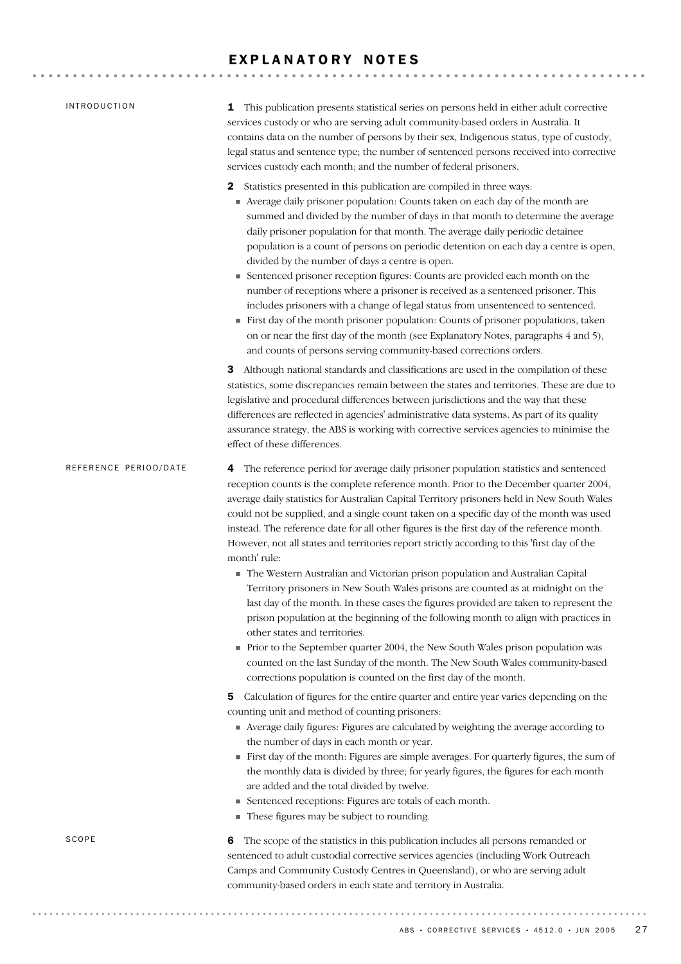### EXPLANATORY NOTES

| <b>INTRODUCTION</b>   | This publication presents statistical series on persons held in either adult corrective<br>1<br>services custody or who are serving adult community-based orders in Australia. It<br>contains data on the number of persons by their sex, Indigenous status, type of custody,<br>legal status and sentence type; the number of sentenced persons received into corrective<br>services custody each month; and the number of federal prisoners.                                                                                                                                                                                                                                                                                                                                                                                                                                                                                                                                  |
|-----------------------|---------------------------------------------------------------------------------------------------------------------------------------------------------------------------------------------------------------------------------------------------------------------------------------------------------------------------------------------------------------------------------------------------------------------------------------------------------------------------------------------------------------------------------------------------------------------------------------------------------------------------------------------------------------------------------------------------------------------------------------------------------------------------------------------------------------------------------------------------------------------------------------------------------------------------------------------------------------------------------|
|                       | Statistics presented in this publication are compiled in three ways:<br>2<br>Average daily prisoner population: Counts taken on each day of the month are<br>summed and divided by the number of days in that month to determine the average<br>daily prisoner population for that month. The average daily periodic detainee<br>population is a count of persons on periodic detention on each day a centre is open,<br>divided by the number of days a centre is open.<br>• Sentenced prisoner reception figures: Counts are provided each month on the<br>number of receptions where a prisoner is received as a sentenced prisoner. This<br>includes prisoners with a change of legal status from unsentenced to sentenced.<br>First day of the month prisoner population: Counts of prisoner populations, taken<br>on or near the first day of the month (see Explanatory Notes, paragraphs 4 and 5),<br>and counts of persons serving community-based corrections orders. |
|                       | Although national standards and classifications are used in the compilation of these<br>3<br>statistics, some discrepancies remain between the states and territories. These are due to<br>legislative and procedural differences between jurisdictions and the way that these<br>differences are reflected in agencies' administrative data systems. As part of its quality<br>assurance strategy, the ABS is working with corrective services agencies to minimise the<br>effect of these differences.                                                                                                                                                                                                                                                                                                                                                                                                                                                                        |
| REFERENCE PERIOD/DATE | The reference period for average daily prisoner population statistics and sentenced<br>4<br>reception counts is the complete reference month. Prior to the December quarter 2004,<br>average daily statistics for Australian Capital Territory prisoners held in New South Wales<br>could not be supplied, and a single count taken on a specific day of the month was used<br>instead. The reference date for all other figures is the first day of the reference month.<br>However, not all states and territories report strictly according to this 'first day of the                                                                                                                                                                                                                                                                                                                                                                                                        |
|                       | month' rule:<br>The Western Australian and Victorian prison population and Australian Capital<br>Territory prisoners in New South Wales prisons are counted as at midnight on the<br>last day of the month. In these cases the figures provided are taken to represent the<br>prison population at the beginning of the following month to align with practices in<br>other states and territories.<br>• Prior to the September quarter 2004, the New South Wales prison population was                                                                                                                                                                                                                                                                                                                                                                                                                                                                                         |
|                       | counted on the last Sunday of the month. The New South Wales community-based<br>corrections population is counted on the first day of the month.                                                                                                                                                                                                                                                                                                                                                                                                                                                                                                                                                                                                                                                                                                                                                                                                                                |
|                       | Calculation of figures for the entire quarter and entire year varies depending on the<br>5<br>counting unit and method of counting prisoners:<br>• Average daily figures: Figures are calculated by weighting the average according to<br>the number of days in each month or year.<br>First day of the month: Figures are simple averages. For quarterly figures, the sum of<br>the monthly data is divided by three; for yearly figures, the figures for each month<br>are added and the total divided by twelve.                                                                                                                                                                                                                                                                                                                                                                                                                                                             |
|                       | Sentenced receptions: Figures are totals of each month.<br>These figures may be subject to rounding.                                                                                                                                                                                                                                                                                                                                                                                                                                                                                                                                                                                                                                                                                                                                                                                                                                                                            |
| SCOPE                 | The scope of the statistics in this publication includes all persons remanded or<br>6<br>sentenced to adult custodial corrective services agencies (including Work Outreach<br>Camps and Community Custody Centres in Queensland), or who are serving adult<br>community-based orders in each state and territory in Australia.                                                                                                                                                                                                                                                                                                                                                                                                                                                                                                                                                                                                                                                 |

ABS • CORRECTIVE SERVICES • 4512.0 • JUN 2005 27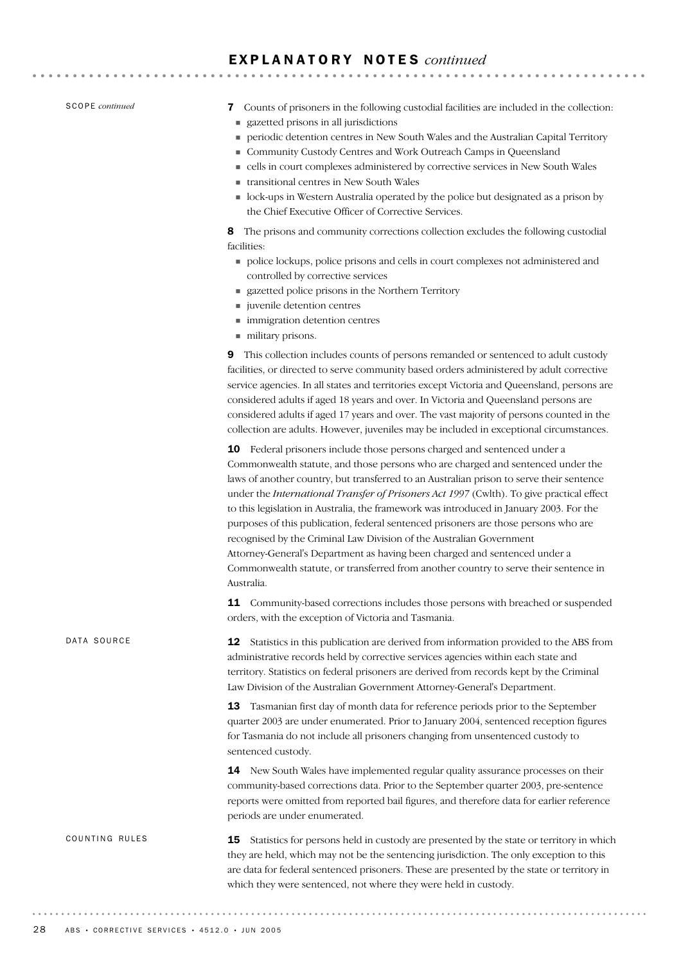SCOPE *continued*

7 Counts of prisoners in the following custodial facilities are included in the collection: ! gazetted prisons in all jurisdictions

- ! periodic detention centres in New South Wales and the Australian Capital Territory
- ! Community Custody Centres and Work Outreach Camps in Queensland
- ! cells in court complexes administered by corrective services in New South Wales
- ! transitional centres in New South Wales
- ! lock-ups in Western Australia operated by the police but designated as a prison by the Chief Executive Officer of Corrective Services.

8 The prisons and community corrections collection excludes the following custodial facilities:

- ! police lockups, police prisons and cells in court complexes not administered and controlled by corrective services
- ! gazetted police prisons in the Northern Territory
- $\blacksquare$  juvenile detention centres
- ! immigration detention centres
- ! military prisons.

9 This collection includes counts of persons remanded or sentenced to adult custody facilities, or directed to serve community based orders administered by adult corrective service agencies. In all states and territories except Victoria and Queensland, persons are considered adults if aged 18 years and over. In Victoria and Queensland persons are considered adults if aged 17 years and over. The vast majority of persons counted in the collection are adults. However, juveniles may be included in exceptional circumstances.

10 Federal prisoners include those persons charged and sentenced under a Commonwealth statute, and those persons who are charged and sentenced under the laws of another country, but transferred to an Australian prison to serve their sentence under the *International Transfer of Prisoners Act 1997* (Cwlth). To give practical effect to this legislation in Australia, the framework was introduced in January 2003. For the purposes of this publication, federal sentenced prisoners are those persons who are recognised by the Criminal Law Division of the Australian Government Attorney-General's Department as having been charged and sentenced under a Commonwealth statute, or transferred from another country to serve their sentence in Australia.

11 Community-based corrections includes those persons with breached or suspended orders, with the exception of Victoria and Tasmania.

12 Statistics in this publication are derived from information provided to the ABS from administrative records held by corrective services agencies within each state and territory. Statistics on federal prisoners are derived from records kept by the Criminal Law Division of the Australian Government Attorney-General's Department. 13 Tasmanian first day of month data for reference periods prior to the September quarter 2003 are under enumerated. Prior to January 2004, sentenced reception figures for Tasmania do not include all prisoners changing from unsentenced custody to sentenced custody. 14 New South Wales have implemented regular quality assurance processes on their community-based corrections data. Prior to the September quarter 2003, pre-sentence reports were omitted from reported bail figures, and therefore data for earlier reference periods are under enumerated. DATA SOURCE

15 Statistics for persons held in custody are presented by the state or territory in which they are held, which may not be the sentencing jurisdiction. The only exception to this are data for federal sentenced prisoners. These are presented by the state or territory in which they were sentenced, not where they were held in custody. COUNTING RULES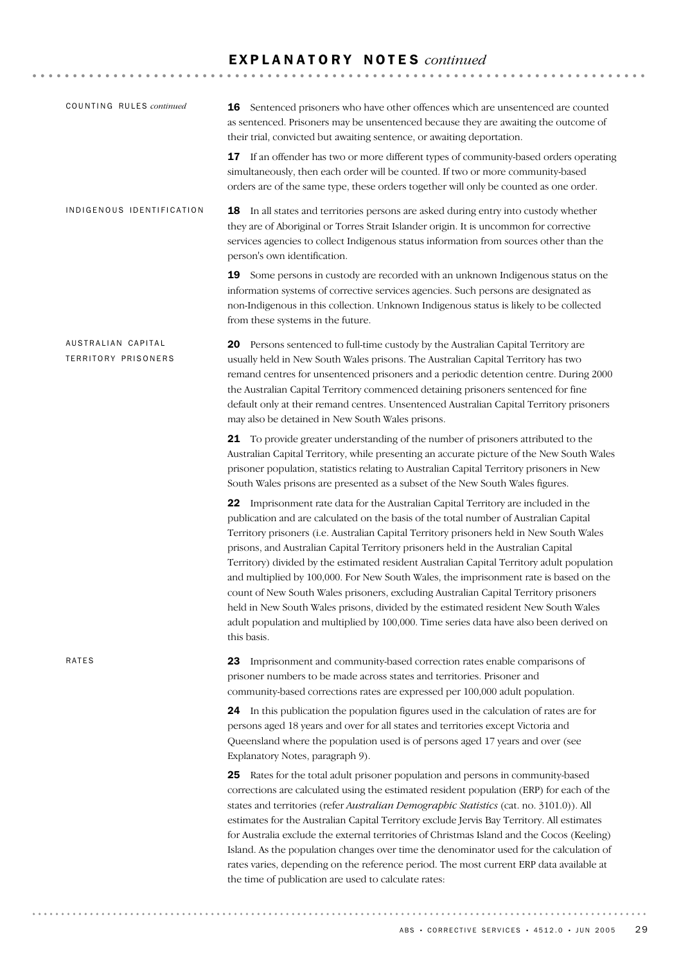| COUNTING RULES continued                  | <b>16</b> Sentenced prisoners who have other offences which are unsentenced are counted<br>as sentenced. Prisoners may be unsentenced because they are awaiting the outcome of<br>their trial, convicted but awaiting sentence, or awaiting deportation.                                                                                                                                                                                                                                                                                                                                                                                                                                                                                                                                                                                    |
|-------------------------------------------|---------------------------------------------------------------------------------------------------------------------------------------------------------------------------------------------------------------------------------------------------------------------------------------------------------------------------------------------------------------------------------------------------------------------------------------------------------------------------------------------------------------------------------------------------------------------------------------------------------------------------------------------------------------------------------------------------------------------------------------------------------------------------------------------------------------------------------------------|
|                                           | 17 If an offender has two or more different types of community-based orders operating<br>simultaneously, then each order will be counted. If two or more community-based<br>orders are of the same type, these orders together will only be counted as one order.                                                                                                                                                                                                                                                                                                                                                                                                                                                                                                                                                                           |
| INDIGENOUS IDENTIFICATION                 | 18 In all states and territories persons are asked during entry into custody whether<br>they are of Aboriginal or Torres Strait Islander origin. It is uncommon for corrective<br>services agencies to collect Indigenous status information from sources other than the<br>person's own identification.                                                                                                                                                                                                                                                                                                                                                                                                                                                                                                                                    |
|                                           | 19 Some persons in custody are recorded with an unknown Indigenous status on the<br>information systems of corrective services agencies. Such persons are designated as<br>non-Indigenous in this collection. Unknown Indigenous status is likely to be collected<br>from these systems in the future.                                                                                                                                                                                                                                                                                                                                                                                                                                                                                                                                      |
| AUSTRALIAN CAPITAL<br>TERRITORY PRISONERS | 20 Persons sentenced to full-time custody by the Australian Capital Territory are<br>usually held in New South Wales prisons. The Australian Capital Territory has two<br>remand centres for unsentenced prisoners and a periodic detention centre. During 2000<br>the Australian Capital Territory commenced detaining prisoners sentenced for fine<br>default only at their remand centres. Unsentenced Australian Capital Territory prisoners<br>may also be detained in New South Wales prisons.                                                                                                                                                                                                                                                                                                                                        |
|                                           | 21 To provide greater understanding of the number of prisoners attributed to the<br>Australian Capital Territory, while presenting an accurate picture of the New South Wales<br>prisoner population, statistics relating to Australian Capital Territory prisoners in New<br>South Wales prisons are presented as a subset of the New South Wales figures.                                                                                                                                                                                                                                                                                                                                                                                                                                                                                 |
|                                           | 22 Imprisonment rate data for the Australian Capital Territory are included in the<br>publication and are calculated on the basis of the total number of Australian Capital<br>Territory prisoners (i.e. Australian Capital Territory prisoners held in New South Wales<br>prisons, and Australian Capital Territory prisoners held in the Australian Capital<br>Territory) divided by the estimated resident Australian Capital Territory adult population<br>and multiplied by 100,000. For New South Wales, the imprisonment rate is based on the<br>count of New South Wales prisoners, excluding Australian Capital Territory prisoners<br>held in New South Wales prisons, divided by the estimated resident New South Wales<br>adult population and multiplied by 100,000. Time series data have also been derived on<br>this basis. |
| RATES                                     | 23 Imprisonment and community-based correction rates enable comparisons of<br>prisoner numbers to be made across states and territories. Prisoner and<br>community-based corrections rates are expressed per 100,000 adult population.                                                                                                                                                                                                                                                                                                                                                                                                                                                                                                                                                                                                      |
|                                           | 24 In this publication the population figures used in the calculation of rates are for<br>persons aged 18 years and over for all states and territories except Victoria and<br>Queensland where the population used is of persons aged 17 years and over (see<br>Explanatory Notes, paragraph 9).                                                                                                                                                                                                                                                                                                                                                                                                                                                                                                                                           |
|                                           | 25 Rates for the total adult prisoner population and persons in community-based<br>corrections are calculated using the estimated resident population (ERP) for each of the<br>states and territories (refer Australian Demographic Statistics (cat. no. 3101.0)). All<br>estimates for the Australian Capital Territory exclude Jervis Bay Territory. All estimates<br>for Australia exclude the external territories of Christmas Island and the Cocos (Keeling)<br>Island. As the population changes over time the denominator used for the calculation of<br>rates varies, depending on the reference period. The most current ERP data available at<br>the time of publication are used to calculate rates:                                                                                                                            |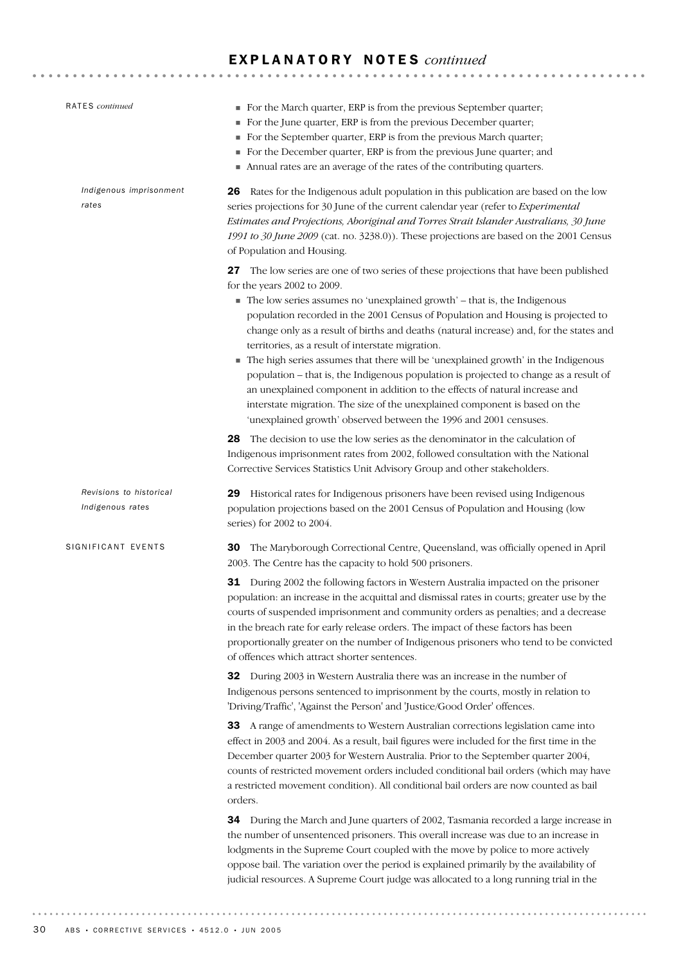| RATES continued                             | • For the March quarter, ERP is from the previous September quarter;<br>For the June quarter, ERP is from the previous December quarter;<br>• For the September quarter, ERP is from the previous March quarter;<br>For the December quarter, ERP is from the previous June quarter; and<br>Annual rates are an average of the rates of the contributing quarters.                                                                                                                                                                                                                                                                                                                                                                                                                                                                                    |
|---------------------------------------------|-------------------------------------------------------------------------------------------------------------------------------------------------------------------------------------------------------------------------------------------------------------------------------------------------------------------------------------------------------------------------------------------------------------------------------------------------------------------------------------------------------------------------------------------------------------------------------------------------------------------------------------------------------------------------------------------------------------------------------------------------------------------------------------------------------------------------------------------------------|
| Indigenous imprisonment<br>rates            | Rates for the Indigenous adult population in this publication are based on the low<br>26<br>series projections for 30 June of the current calendar year (refer to Experimental<br>Estimates and Projections, Aboriginal and Torres Strait Islander Australians, 30 June<br>1991 to 30 June 2009 (cat. no. 3238.0)). These projections are based on the 2001 Census<br>of Population and Housing.                                                                                                                                                                                                                                                                                                                                                                                                                                                      |
|                                             | 27 The low series are one of two series of these projections that have been published<br>for the years 2002 to 2009.<br>The low series assumes no 'unexplained growth' - that is, the Indigenous<br>population recorded in the 2001 Census of Population and Housing is projected to<br>change only as a result of births and deaths (natural increase) and, for the states and<br>territories, as a result of interstate migration.<br>The high series assumes that there will be 'unexplained growth' in the Indigenous<br>population - that is, the Indigenous population is projected to change as a result of<br>an unexplained component in addition to the effects of natural increase and<br>interstate migration. The size of the unexplained component is based on the<br>'unexplained growth' observed between the 1996 and 2001 censuses. |
|                                             | The decision to use the low series as the denominator in the calculation of<br>28<br>Indigenous imprisonment rates from 2002, followed consultation with the National<br>Corrective Services Statistics Unit Advisory Group and other stakeholders.                                                                                                                                                                                                                                                                                                                                                                                                                                                                                                                                                                                                   |
| Revisions to historical<br>Indigenous rates | 29<br>Historical rates for Indigenous prisoners have been revised using Indigenous<br>population projections based on the 2001 Census of Population and Housing (low<br>series) for 2002 to 2004.                                                                                                                                                                                                                                                                                                                                                                                                                                                                                                                                                                                                                                                     |
| SIGNIFICANT EVENTS                          | The Maryborough Correctional Centre, Queensland, was officially opened in April<br>30<br>2003. The Centre has the capacity to hold 500 prisoners.                                                                                                                                                                                                                                                                                                                                                                                                                                                                                                                                                                                                                                                                                                     |
|                                             | <b>31</b> During 2002 the following factors in Western Australia impacted on the prisoner<br>population: an increase in the acquittal and dismissal rates in courts; greater use by the<br>courts of suspended imprisonment and community orders as penalties; and a decrease<br>in the breach rate for early release orders. The impact of these factors has been<br>proportionally greater on the number of Indigenous prisoners who tend to be convicted<br>of offences which attract shorter sentences.                                                                                                                                                                                                                                                                                                                                           |
|                                             | 32 During 2003 in Western Australia there was an increase in the number of<br>Indigenous persons sentenced to imprisonment by the courts, mostly in relation to<br>'Driving/Traffic', 'Against the Person' and 'Justice/Good Order' offences.                                                                                                                                                                                                                                                                                                                                                                                                                                                                                                                                                                                                         |
|                                             | 33 A range of amendments to Western Australian corrections legislation came into<br>effect in 2003 and 2004. As a result, bail figures were included for the first time in the<br>December quarter 2003 for Western Australia. Prior to the September quarter 2004,<br>counts of restricted movement orders included conditional bail orders (which may have<br>a restricted movement condition). All conditional bail orders are now counted as bail<br>orders.                                                                                                                                                                                                                                                                                                                                                                                      |
|                                             | <b>34</b> During the March and June quarters of 2002, Tasmania recorded a large increase in<br>the number of unsentenced prisoners. This overall increase was due to an increase in<br>lodgments in the Supreme Court coupled with the move by police to more actively<br>oppose bail. The variation over the period is explained primarily by the availability of<br>judicial resources. A Supreme Court judge was allocated to a long running trial in the                                                                                                                                                                                                                                                                                                                                                                                          |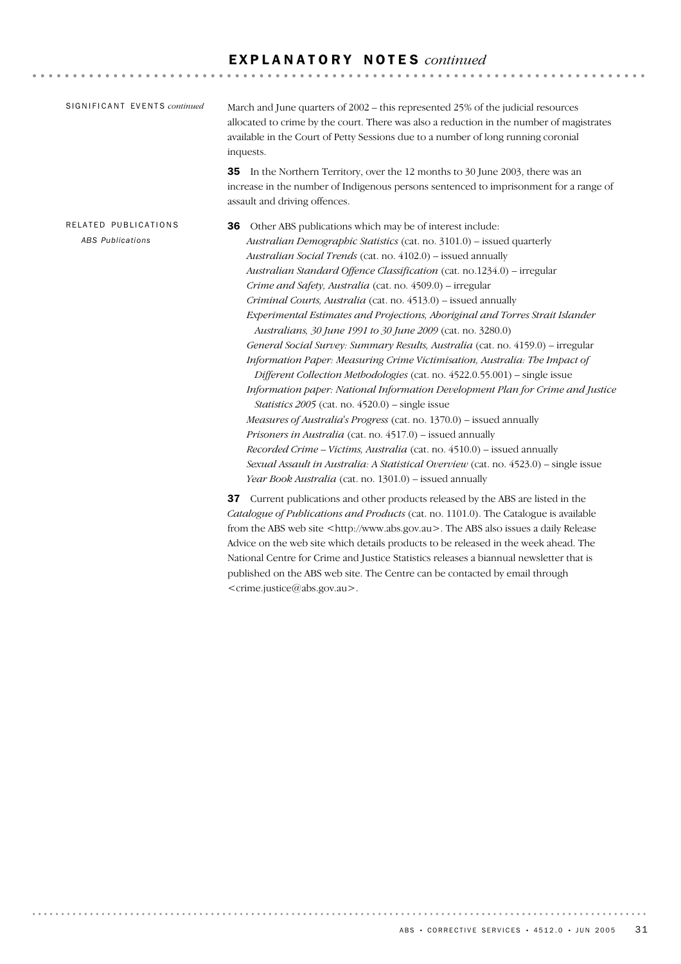**AAAAAAAAAA** 

| SIGNIFICANT EVENTS continued | March and June quarters of 2002 - this represented 25% of the judicial resources<br>allocated to crime by the court. There was also a reduction in the number of magistrates<br>available in the Court of Petty Sessions due to a number of long running coronial<br>inquests. |    |                                                                                                                                                                                                                                                                                                                                                                                                                                                                                                                                                                                                                                                                                                                                                                                                                                                                                                                                                                                                                                                                                                                                                                                                                                                                                                                                          |
|------------------------------|--------------------------------------------------------------------------------------------------------------------------------------------------------------------------------------------------------------------------------------------------------------------------------|----|------------------------------------------------------------------------------------------------------------------------------------------------------------------------------------------------------------------------------------------------------------------------------------------------------------------------------------------------------------------------------------------------------------------------------------------------------------------------------------------------------------------------------------------------------------------------------------------------------------------------------------------------------------------------------------------------------------------------------------------------------------------------------------------------------------------------------------------------------------------------------------------------------------------------------------------------------------------------------------------------------------------------------------------------------------------------------------------------------------------------------------------------------------------------------------------------------------------------------------------------------------------------------------------------------------------------------------------|
|                              |                                                                                                                                                                                                                                                                                | 35 | In the Northern Territory, over the 12 months to 30 June 2003, there was an<br>increase in the number of Indigenous persons sentenced to imprisonment for a range of<br>assault and driving offences.                                                                                                                                                                                                                                                                                                                                                                                                                                                                                                                                                                                                                                                                                                                                                                                                                                                                                                                                                                                                                                                                                                                                    |
|                              | RELATED PUBLICATIONS<br><b>ABS Publications</b>                                                                                                                                                                                                                                | 36 | Other ABS publications which may be of interest include:<br>Australian Demographic Statistics (cat. no. 3101.0) - issued quarterly<br>Australian Social Trends (cat. no. 4102.0) – issued annually<br>Australian Standard Offence Classification (cat. no.1234.0) - irregular<br>Crime and Safety, Australia (cat. no. 4509.0) – irregular<br>Criminal Courts, Australia (cat. no. 4513.0) - issued annually<br>Experimental Estimates and Projections, Aboriginal and Torres Strait Islander<br>Australians, 30 June 1991 to 30 June 2009 (cat. no. 3280.0)<br>General Social Survey: Summary Results, Australia (cat. no. 4159.0) – irregular<br>Information Paper: Measuring Crime Victimisation, Australia: The Impact of<br>Different Collection Methodologies (cat. no. 4522.0.55.001) - single issue<br>Information paper: National Information Development Plan for Crime and Justice<br><i>Statistics</i> $2005$ (cat. no. $4520.0$ ) – single issue<br>Measures of Australia's Progress (cat. no. 1370.0) – issued annually<br>Prisoners in Australia (cat. no. 4517.0) - issued annually<br>Recorded Crime - Victims, Australia (cat. no. 4510.0) - issued annually<br>Sexual Assault in Australia: A Statistical Overview (cat. no. 4523.0) – single issue<br><i>Year Book Australia</i> (cat. no. 1301.0) – issued annually |
|                              |                                                                                                                                                                                                                                                                                | 37 | Current publications and other products released by the ABS are listed in the<br><i>Catalogue of Publications and Products (cat. no. 1101.0). The Catalogue is available</i>                                                                                                                                                                                                                                                                                                                                                                                                                                                                                                                                                                                                                                                                                                                                                                                                                                                                                                                                                                                                                                                                                                                                                             |

*Catalogue of Publications and Products* (cat. no. 1101.0). The Catalogue is available from the ABS web site <http://www.abs.gov.au>. The ABS also issues a daily Release Advice on the web site which details products to be released in the week ahead. The National Centre for Crime and Justice Statistics releases a biannual newsletter that is published on the ABS web site. The Centre can be contacted by email through <crime.justice@abs.gov.au>.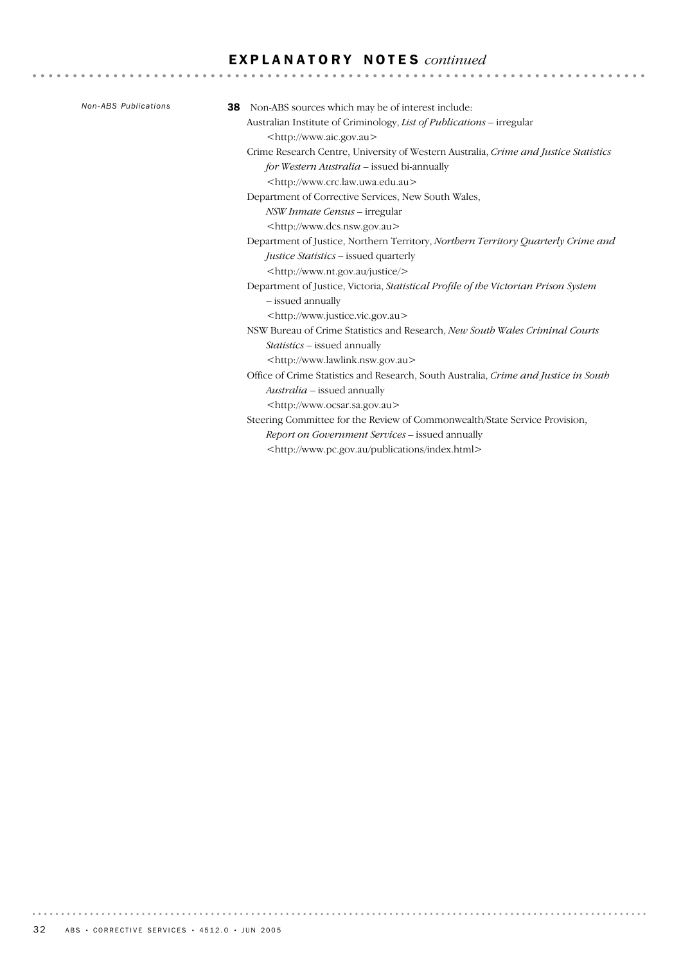| <b>Non-ABS Publications</b> | Non-ABS sources which may be of interest include:<br>38                              |
|-----------------------------|--------------------------------------------------------------------------------------|
|                             | Australian Institute of Criminology, List of Publications - irregular                |
|                             | <http: www.aic.gov.au=""></http:>                                                    |
|                             | Crime Research Centre, University of Western Australia, Crime and Justice Statistics |
|                             | for Western Australia - issued bi-annually                                           |
|                             | <http: www.crc.law.uwa.edu.au=""></http:>                                            |
|                             | Department of Corrective Services, New South Wales,                                  |
|                             | NSW Inmate Census - irregular                                                        |
|                             | <http: www.dcs.nsw.gov.au=""></http:>                                                |
|                             | Department of Justice, Northern Territory, Northern Territory Quarterly Crime and    |
|                             | <i>Justice Statistics</i> – issued quarterly                                         |
|                             | <http: justice="" www.nt.gov.au=""></http:>                                          |
|                             | Department of Justice, Victoria, Statistical Profile of the Victorian Prison System  |
|                             | - issued annually                                                                    |
|                             | <http: www.justice.vic.gov.au=""></http:>                                            |
|                             | NSW Bureau of Crime Statistics and Research, New South Wales Criminal Courts         |
|                             | <i>Statistics</i> – issued annually                                                  |
|                             | <http: www.lawlink.nsw.gov.au=""></http:>                                            |
|                             | Office of Crime Statistics and Research, South Australia, Crime and Justice in South |
|                             | Australia - issued annually                                                          |
|                             | <http: www.ocsar.sa.gov.au=""></http:>                                               |
|                             | Steering Committee for the Review of Commonwealth/State Service Provision,           |
|                             | Report on Government Services – issued annually                                      |
|                             | <http: index.html="" publications="" www.pc.gov.au=""></http:>                       |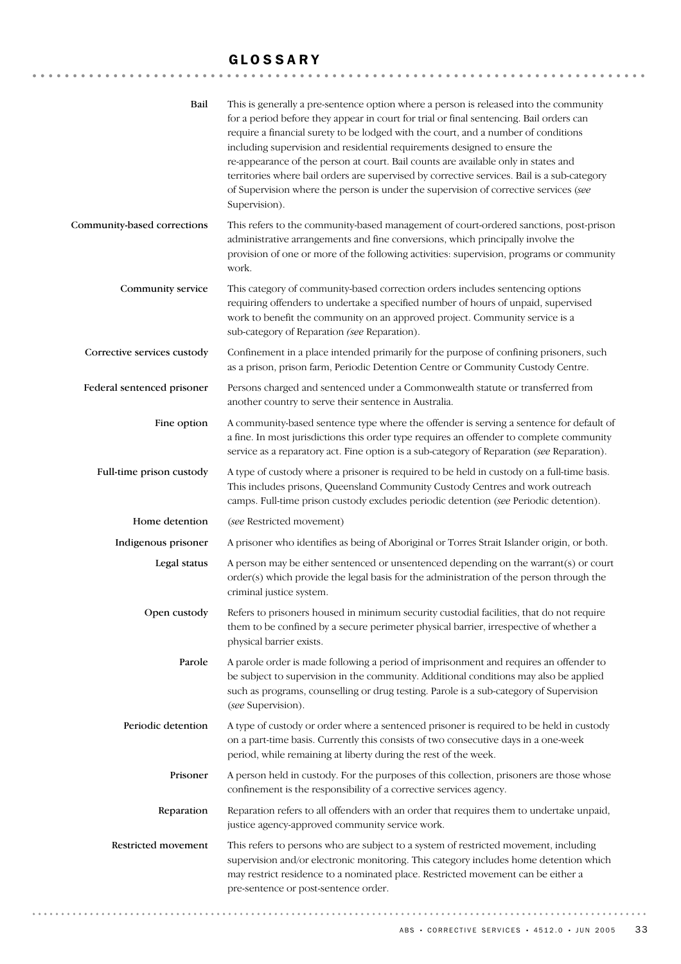# GLOSSARY

| Bail                        | This is generally a pre-sentence option where a person is released into the community<br>for a period before they appear in court for trial or final sentencing. Bail orders can<br>require a financial surety to be lodged with the court, and a number of conditions<br>including supervision and residential requirements designed to ensure the<br>re-appearance of the person at court. Bail counts are available only in states and<br>territories where bail orders are supervised by corrective services. Bail is a sub-category<br>of Supervision where the person is under the supervision of corrective services (see<br>Supervision). |
|-----------------------------|---------------------------------------------------------------------------------------------------------------------------------------------------------------------------------------------------------------------------------------------------------------------------------------------------------------------------------------------------------------------------------------------------------------------------------------------------------------------------------------------------------------------------------------------------------------------------------------------------------------------------------------------------|
| Community-based corrections | This refers to the community-based management of court-ordered sanctions, post-prison<br>administrative arrangements and fine conversions, which principally involve the<br>provision of one or more of the following activities: supervision, programs or community<br>work.                                                                                                                                                                                                                                                                                                                                                                     |
| Community service           | This category of community-based correction orders includes sentencing options<br>requiring offenders to undertake a specified number of hours of unpaid, supervised<br>work to benefit the community on an approved project. Community service is a<br>sub-category of Reparation (see Reparation).                                                                                                                                                                                                                                                                                                                                              |
| Corrective services custody | Confinement in a place intended primarily for the purpose of confining prisoners, such<br>as a prison, prison farm, Periodic Detention Centre or Community Custody Centre.                                                                                                                                                                                                                                                                                                                                                                                                                                                                        |
| Federal sentenced prisoner  | Persons charged and sentenced under a Commonwealth statute or transferred from<br>another country to serve their sentence in Australia.                                                                                                                                                                                                                                                                                                                                                                                                                                                                                                           |
| Fine option                 | A community-based sentence type where the offender is serving a sentence for default of<br>a fine. In most jurisdictions this order type requires an offender to complete community<br>service as a reparatory act. Fine option is a sub-category of Reparation (see Reparation).                                                                                                                                                                                                                                                                                                                                                                 |
| Full-time prison custody    | A type of custody where a prisoner is required to be held in custody on a full-time basis.<br>This includes prisons, Queensland Community Custody Centres and work outreach<br>camps. Full-time prison custody excludes periodic detention (see Periodic detention).                                                                                                                                                                                                                                                                                                                                                                              |
| Home detention              | (see Restricted movement)                                                                                                                                                                                                                                                                                                                                                                                                                                                                                                                                                                                                                         |
| Indigenous prisoner         | A prisoner who identifies as being of Aboriginal or Torres Strait Islander origin, or both.                                                                                                                                                                                                                                                                                                                                                                                                                                                                                                                                                       |
| Legal status                | A person may be either sentenced or unsentenced depending on the warrant(s) or court<br>order(s) which provide the legal basis for the administration of the person through the<br>criminal justice system.                                                                                                                                                                                                                                                                                                                                                                                                                                       |
| Open custody                | Refers to prisoners housed in minimum security custodial facilities, that do not require<br>them to be confined by a secure perimeter physical barrier, irrespective of whether a<br>physical barrier exists.                                                                                                                                                                                                                                                                                                                                                                                                                                     |
| Parole                      | A parole order is made following a period of imprisonment and requires an offender to<br>be subject to supervision in the community. Additional conditions may also be applied<br>such as programs, counselling or drug testing. Parole is a sub-category of Supervision<br>(see Supervision).                                                                                                                                                                                                                                                                                                                                                    |
| Periodic detention          | A type of custody or order where a sentenced prisoner is required to be held in custody<br>on a part-time basis. Currently this consists of two consecutive days in a one-week<br>period, while remaining at liberty during the rest of the week.                                                                                                                                                                                                                                                                                                                                                                                                 |
| Prisoner                    | A person held in custody. For the purposes of this collection, prisoners are those whose<br>confinement is the responsibility of a corrective services agency.                                                                                                                                                                                                                                                                                                                                                                                                                                                                                    |
| Reparation                  | Reparation refers to all offenders with an order that requires them to undertake unpaid,<br>justice agency-approved community service work.                                                                                                                                                                                                                                                                                                                                                                                                                                                                                                       |
| Restricted movement         | This refers to persons who are subject to a system of restricted movement, including<br>supervision and/or electronic monitoring. This category includes home detention which<br>may restrict residence to a nominated place. Restricted movement can be either a<br>pre-sentence or post-sentence order.                                                                                                                                                                                                                                                                                                                                         |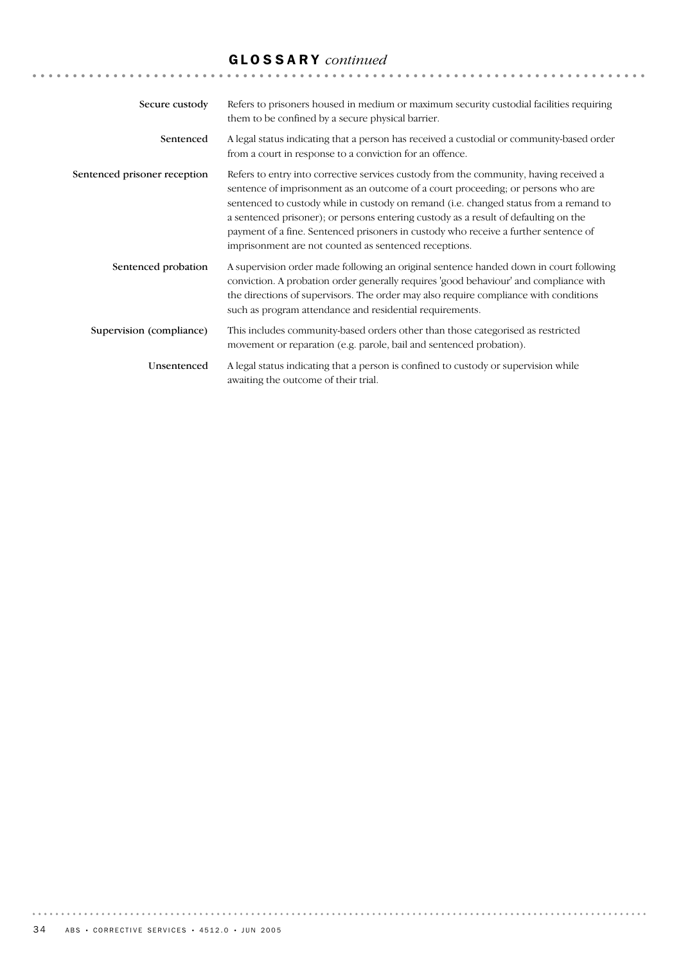# GLOSSARY *continued*

| Secure custody               | Refers to prisoners housed in medium or maximum security custodial facilities requiring<br>them to be confined by a secure physical barrier.                                                                                                                                                                                                                                                                                                                                                               |
|------------------------------|------------------------------------------------------------------------------------------------------------------------------------------------------------------------------------------------------------------------------------------------------------------------------------------------------------------------------------------------------------------------------------------------------------------------------------------------------------------------------------------------------------|
| Sentenced                    | A legal status indicating that a person has received a custodial or community-based order<br>from a court in response to a conviction for an offence.                                                                                                                                                                                                                                                                                                                                                      |
| Sentenced prisoner reception | Refers to entry into corrective services custody from the community, having received a<br>sentence of imprisonment as an outcome of a court proceeding; or persons who are<br>sentenced to custody while in custody on remand (i.e. changed status from a remand to<br>a sentenced prisoner); or persons entering custody as a result of defaulting on the<br>payment of a fine. Sentenced prisoners in custody who receive a further sentence of<br>imprisonment are not counted as sentenced receptions. |
| Sentenced probation          | A supervision order made following an original sentence handed down in court following<br>conviction. A probation order generally requires 'good behaviour' and compliance with<br>the directions of supervisors. The order may also require compliance with conditions<br>such as program attendance and residential requirements.                                                                                                                                                                        |
| Supervision (compliance)     | This includes community-based orders other than those categorised as restricted<br>movement or reparation (e.g. parole, bail and sentenced probation).                                                                                                                                                                                                                                                                                                                                                     |
| Unsentenced                  | A legal status indicating that a person is confined to custody or supervision while<br>awaiting the outcome of their trial.                                                                                                                                                                                                                                                                                                                                                                                |